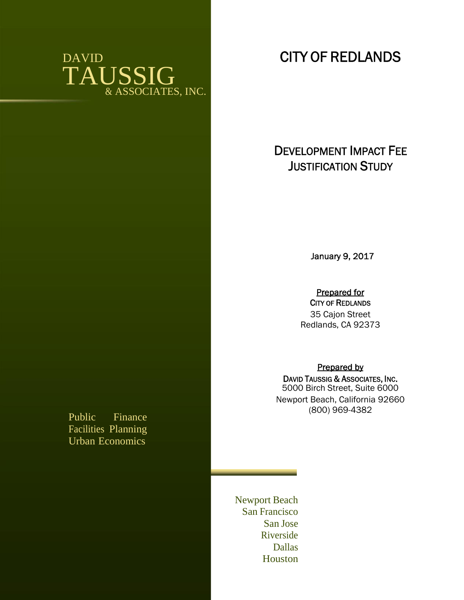# DAVID TAUSSIG & ASSOCIATES, INC.

# **DEVELOPMENT IMPACT FEE JUSTIFICATION STUDY**

**CITY OF REDLANDS**

**January 9, 2017**

**Prepared for**

**CITY OF REDLANDS** 35 Cajon Street Redlands, CA 92373

# **Prepared by**

**DAVID TAUSSIG & ASSOCIATES, INC.** 5000 Birch Street, Suite 6000 Newport Beach, California 92660 (800) 969-4382

Newport Beach San Francisco San Jose Riverside Dallas Houston

Public Finance Facilities Planning Urban Economics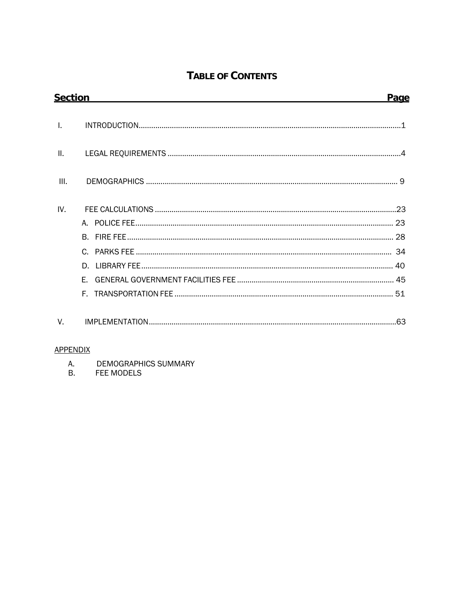# TABLE OF CONTENTS

| <b>Section</b>                 | Page |
|--------------------------------|------|
| $\mathsf{L}$                   |      |
| $\mathbf{II}$ .                |      |
| III.                           |      |
| IV.<br>D.<br>F.                |      |
| $V_{\rm c}$<br><b>ADDENDIY</b> |      |

# <u>'ENDIX</u>

- A. **DEMOGRAPHICS SUMMARY**
- **B.** FEE MODELS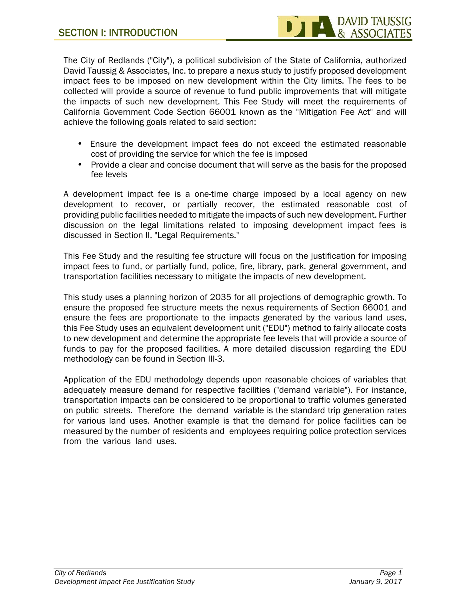The City of Redlands ("City"), a political subdivision of the State of California, authorized David Taussig & Associates, Inc. to prepare a nexus study to justify proposed development impact fees to be imposed on new development within the City limits. The fees to be collected will provide a source of revenue to fund public improvements that will mitigate the impacts of such new development. This Fee Study will meet the requirements of California Government Code Section 66001 known as the "Mitigation Fee Act" and will achieve the following goals related to said section:

- Ensure the development impact fees do not exceed the estimated reasonable cost of providing the service for which the fee is imposed
- Provide a clear and concise document that will serve as the basis for the proposed fee levels

A development impact fee is a one-time charge imposed by a local agency on new development to recover, or partially recover, the estimated reasonable cost of providing public facilities needed to mitigate the impacts of such new development. Further discussion on the legal limitations related to imposing development impact fees is discussed in Section II, "Legal Requirements."

This Fee Study and the resulting fee structure will focus on the justification for imposing impact fees to fund, or partially fund, police, fire, library, park, general government, and transportation facilities necessary to mitigate the impacts of new development.

This study uses a planning horizon of 2035 for all projections of demographic growth. To ensure the proposed fee structure meets the nexus requirements of Section 66001 and ensure the fees are proportionate to the impacts generated by the various land uses, this Fee Study uses an equivalent development unit ("EDU") method to fairly allocate costs to new development and determine the appropriate fee levels that will provide a source of funds to pay for the proposed facilities. A more detailed discussion regarding the EDU methodology can be found in Section III-3.<br>Application of the EDU methodology depends upon reasonable choices of variables that

adequately measure demand for respective facilities ("demand variable"). For instance, transportation impacts can be considered to be proportional to traffic volumes generated on public streets. Therefore the demand variable is the standard trip generation rates for various land uses. Another example is that the demand for police facilities can be measured by the number of residents and employees requiring police protection services from the various land uses.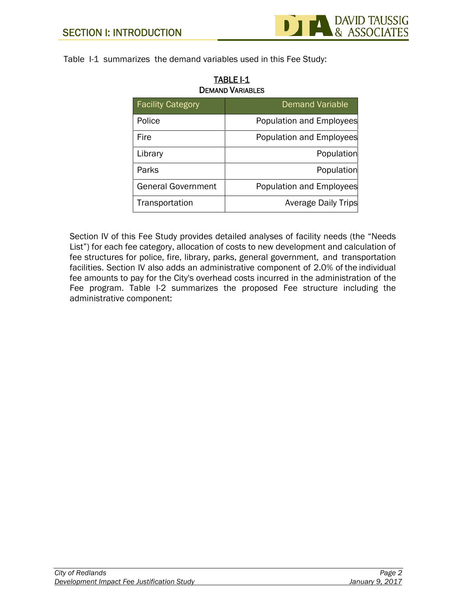

Table I-1 summarizes the demand variables used in this Fee Study:

| <b>Facility Category</b>  | <b>Demand Variable</b>     |  |  |  |
|---------------------------|----------------------------|--|--|--|
| Police                    | Population and Employees   |  |  |  |
| Fire                      | Population and Employees   |  |  |  |
| Library                   | Population                 |  |  |  |
| Parks                     | Population                 |  |  |  |
| <b>General Government</b> | Population and Employees   |  |  |  |
| Transportation            | <b>Average Daily Trips</b> |  |  |  |

| <b>TABLE I-1</b>        |  |
|-------------------------|--|
| <b>DEMAND VARIABLES</b> |  |

Section IV of this Fee Study provides detailed analyses of facility needs (the "Needs List") for each fee category, allocation of costs to new development and calculation of fee structures for police, fire, library, parks, general government, and transportation facilities. Section IV also adds an administrative component of 2.0% of the individual fee amounts to pay for the City's overhead costs incurred in the administration of the Fee program. Table I-2 summarizes the proposed Fee structure including the administrative component: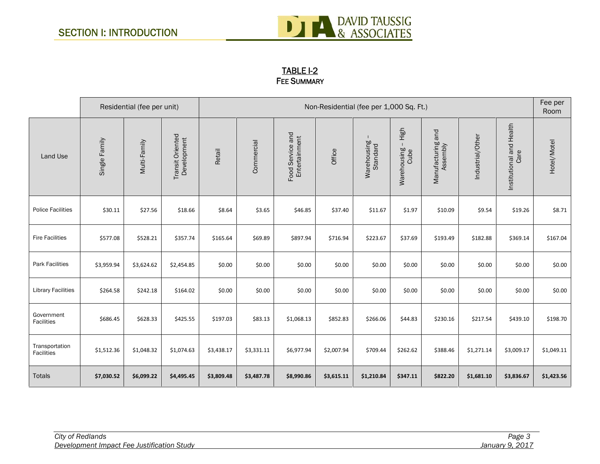

# **TABLE I-2 FEE SUMMARY**

|                              |               | Residential (fee per unit) |                                 |            | Non-Residential (fee per 1,000 Sq. Ft.) |                                   |            |                         |                             | Fee per<br>Room               |                  |                                  |             |
|------------------------------|---------------|----------------------------|---------------------------------|------------|-----------------------------------------|-----------------------------------|------------|-------------------------|-----------------------------|-------------------------------|------------------|----------------------------------|-------------|
| Land Use                     | Single Family | Multi-Family               | Transit Oriented<br>Development | Retail     | Commercial                              | Food Service and<br>Entertainment | Office     | Warehousing<br>Standard | High<br>Warehousing<br>Cube | Manufacturing and<br>Assembly | Industrial/Other | Institutional and Health<br>Care | Hotel/Motel |
| <b>Police Facilities</b>     | \$30.11       | \$27.56                    | \$18.66                         | \$8.64     | \$3.65                                  | \$46.85                           | \$37.40    | \$11.67                 | \$1.97                      | \$10.09                       | \$9.54           | \$19.26                          | \$8.71      |
| <b>Fire Facilities</b>       | \$577.08      | \$528.21                   | \$357.74                        | \$165.64   | \$69.89                                 | \$897.94                          | \$716.94   | \$223.67                | \$37.69                     | \$193.49                      | \$182.88         | \$369.14                         | \$167.04    |
| <b>Park Facilities</b>       | \$3,959.94    | \$3,624.62                 | \$2,454.85                      | \$0.00     | \$0.00                                  | \$0.00                            | \$0.00     | \$0.00                  | \$0.00                      | \$0.00                        | \$0.00           | \$0.00                           | \$0.00      |
| <b>Library Facilities</b>    | \$264.58      | \$242.18                   | \$164.02                        | \$0.00     | \$0.00                                  | \$0.00                            | \$0.00     | \$0.00                  | \$0.00                      | \$0.00                        | \$0.00           | \$0.00                           | \$0.00      |
| Government<br>Facilities     | \$686.45      | \$628.33                   | \$425.55                        | \$197.03   | \$83.13                                 | \$1,068.13                        | \$852.83   | \$266.06                | \$44.83                     | \$230.16                      | \$217.54         | \$439.10                         | \$198.70    |
| Transportation<br>Facilities | \$1,512.36    | \$1,048.32                 | \$1,074.63                      | \$3,438.17 | \$3,331.11                              | \$6,977.94                        | \$2,007.94 | \$709.44                | \$262.62                    | \$388.46                      | \$1,271.14       | \$3,009.17                       | \$1,049.11  |
| <b>Totals</b>                | \$7,030.52    | \$6,099.22                 | \$4,495.45                      | \$3,809.48 | \$3,487.78                              | \$8,990.86                        | \$3,615.11 | \$1,210.84              | \$347.11                    | \$822.20                      | \$1,681.10       | \$3,836.67                       | \$1,423.56  |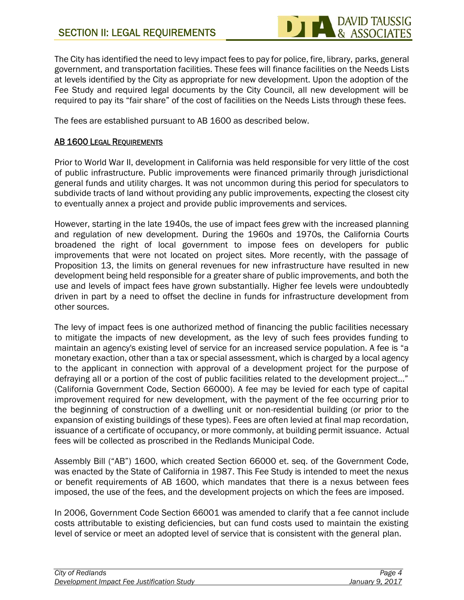

The City has identified the need to levy impact fees to pay for police, fire, library, parks, general government, and transportation facilities. These fees will finance facilities on the Needs Lists at levels identified by the City as appropriate for new development. Upon the adoption of the Fee Study and required legal documents by the City Council, all new development will be required to pay its "fair share" of the cost of facilities on the Needs Lists through these fees.

The fees are established pursuant to AB 1600 as described below.

# **AB 1600 LEGAL REQUIREMENTS**

Prior to World War II, development in California was held responsible for very little of the cost of public infrastructure. Public improvements were financed primarily through jurisdictional general funds and utility charges. It was not uncommon during this period for speculators to subdivide tracts of land without providing any public improvements, expecting the closest city to eventually annex a project and provide public improvements and services.

However, starting in the late 1940s, the use of impact fees grew with the increased planning and regulation of new development. During the 1960s and 1970s, the California Courts broadened the right of local government to impose fees on developers for public improvements that were not located on project sites. More recently, with the passage of Proposition 13, the limits on general revenues for new infrastructure have resulted in new development being held responsible for a greater share of public improvements, and both the use and levels of impact fees have grown substantially. Higher fee levels were undoubtedly driven in part by a need to offset the decline in funds for infrastructure development from other sources.

The levy of impact fees is one authorized method of financing the public facilities necessary to mitigate the impacts of new development, as the levy of such fees provides funding to maintain an agency's existing level of service for an increased service population. A fee is "a monetary exaction, other than a tax or special assessment, which is charged by a local agency to the applicant in connection with approval of a development project for the purpose of defraying all or a portion of the cost of public facilities related to the development project..." (California Government Code, Section 66000). A fee may be levied for each type of capital improvement required for new development, with the payment of the fee occurring prior to the beginning of construction of a dwelling unit or non-residential building (or prior to the expansion of existing buildings of these types). Fees are often levied at final map recordation, issuance of a certificate of occupancy, or more commonly, at building permit issuance. Actual fees will be collected as proscribed in the Redlands Municipal Code.

Assembly Bill ("AB") 1600, which created Section 66000 et. seq. of the Government Code, was enacted by the State of California in 1987. This Fee Study is intended to meet the nexus or benefit requirements of AB 1600, which mandates that there is a nexus between fees imposed, the use of the fees, and the development projects on which the fees are imposed.

In 2006, Government Code Section 66001 was amended to clarify that a fee cannot include costs attributable to existing deficiencies, but can fund costs used to maintain the existing level of service or meet an adopted level of service that is consistent with the general plan.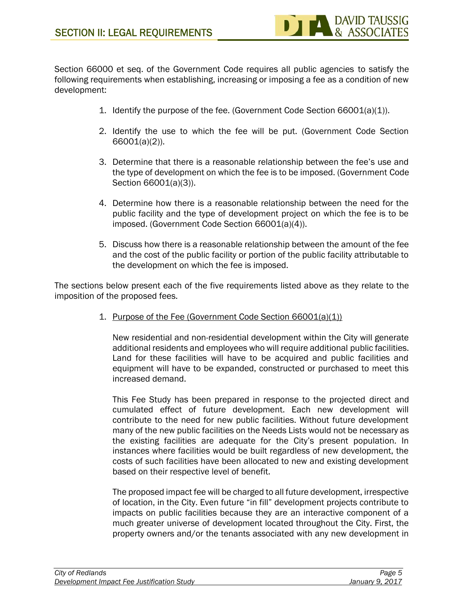Section 66000 et seq. of the Government Code requires all public agencies to satisfy the following requirements when establishing, increasing or imposing a fee as a condition of new development:

- 1. Identify the purpose of the fee. (Government Code Section 66001(a)(1)).
- 2. Identify the use to which the fee will be put. (Government Code Section 66001(a)(2)).
- 3. Determine that there is a reasonable relationship between the fee's use and the type of development on which the fee is to be imposed. (Government Code Section 66001(a)(3)).
- 4. Determine how there is a reasonable relationship between the need for the public facility and the type of development project on which the fee is to be imposed. (Government Code Section 66001(a)(4)).
- 5. Discuss how there is a reasonable relationship between the amount of the fee and the cost of the public facility or portion of the public facility attributable to the development on which the fee is imposed.

The sections below present each of the five requirements listed above as they relate to the imposition of the proposed fees.

1. Purpose of the Fee (Government Code Section 66001(a)(1))

New residential and non-residential development within the City will generate additional residents and employees who will require additional public facilities. Land for these facilities will have to be acquired and public facilities and equipment will have to be expanded, constructed or purchased to meet this increased demand.

This Fee Study has been prepared in response to the projected direct and cumulated effect of future development. Each new development will contribute to the need for new public facilities. Without future development many of the new public facilities on the Needs Lists would not be necessary as the existing facilities are adequate for the City's present population. In instances where facilities would be built regardless of new development, the costs of such facilities have been allocated to new and existing development based on their respective level of benefit.

The proposed impact fee will be charged to all future development, irrespective of location, in the City. Even future "in fill" development projects contribute to impacts on public facilities because they are an interactive component of a much greater universe of development located throughout the City. First, the property owners and/or the tenants associated with any new development in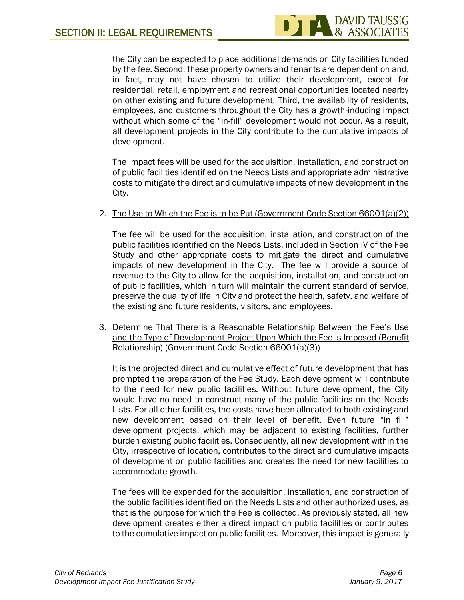

the City can be expected to place additional demands on City facilities funded by the fee. Second, these property owners and tenants are dependent on and, in fact, may not have chosen to utilize their development, except for residential, retail, employment and recreational opportunities located nearby on other existing and future development. Third, the availability of residents, employees, and customers throughout the City has a growth-inducing impact without which some of the "in-fill" development would not occur. As a result, all development projects in the City contribute to the cumulative impacts of development.

The impact fees will be used for the acquisition, installation, and construction of public facilities identified on the Needs Lists and appropriate administrative costs to mitigate the direct and cumulative impacts of new development in the City.

2. The Use to Which the Fee is to be Put (Government Code Section 66001(a)(2))

The fee will be used for the acquisition, installation, and construction of the public facilities identified on the Needs Lists, included in Section IV of the Fee Study and other appropriate costs to mitigate the direct and cumulative impacts of new development in the City. The fee will provide a source of revenue to the City to allow for the acquisition, installation, and construction of public facilities, which in turn will maintain the current standard of service, preserve the quality of life in City and protect the health, safety, and welfare of the existing and future residents, visitors, and employees.

3. Determine That There is a Reasonable Relationship Between the Fee's Use and the Type of Development Project Upon Which the Fee is Imposed (Benefit Relationship) (Government Code Section 66001(a)(3))

It is the projected direct and cumulative effect of future development that has prompted the preparation of the Fee Study. Each development will contribute to the need for new public facilities. Without future development, the City would have no need to construct many of the public facilities on the Needs Lists. For all other facilities, the costs have been allocated to both existing and new development based on their level of benefit. Even future "in fill" development projects, which may be adjacent to existing facilities, further burden existing public facilities. Consequently, all new development within the City, irrespective of location, contributes to the direct and cumulative impacts of development on public facilities and creates the need for new facilities to accommodate growth.

The fees will be expended for the acquisition, installation, and construction of the public facilities identified on the Needs Lists and other authorized uses, as that is the purpose for which the Fee is collected. As previously stated, all new development creates either a direct impact on public facilities or contributes to the cumulative impact on public facilities. Moreover, this impact is generally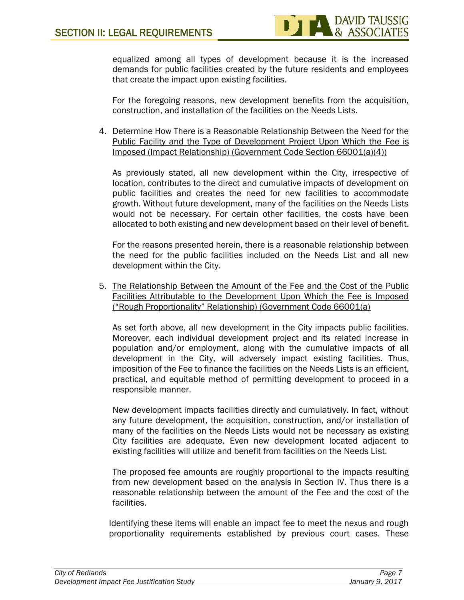equalized among all types of development because it is the increased demands for public facilities created by the future residents and employees that create the impact upon existing facilities.

For the foregoing reasons, new development benefits from the acquisition, construction, and installation of the facilities on the Needs Lists.

4. Determine How There is a Reasonable Relationship Between the Need for the Public Facility and the Type of Development Project Upon Which the Fee is Imposed (Impact Relationship) (Government Code Section 66001(a)(4))

As previously stated, all new development within the City, irrespective of location, contributes to the direct and cumulative impacts of development on public facilities and creates the need for new facilities to accommodate growth. Without future development, many of the facilities on the Needs Lists would not be necessary. For certain other facilities, the costs have been allocated to both existing and new development based on their level of benefit.

For the reasons presented herein, there is a reasonable relationship between the need for the public facilities included on the Needs List and all new development within the City.

5. The Relationship Between the Amount of the Fee and the Cost of the Public Facilities Attributable to the Development Upon Which the Fee is Imposed ("Rough Proportionality" Relationship) (Government Code 66001(a)

As set forth above, all new development in the City impacts public facilities. Moreover, each individual development project and its related increase in population and/or employment, along with the cumulative impacts of all development in the City, will adversely impact existing facilities. Thus, imposition of the Fee to finance the facilities on the Needs Lists is an efficient, practical, and equitable method of permitting development to proceed in a responsible manner.

New development impacts facilities directly and cumulatively. In fact, without any future development, the acquisition, construction, and/or installation of many of the facilities on the Needs Lists would not be necessary as existing City facilities are adequate. Even new development located adjacent to existing facilities will utilize and benefit from facilities on the Needs List.

The proposed fee amounts are roughly proportional to the impacts resulting from new development based on the analysis in Section IV. Thus there is a reasonable relationship between the amount of the Fee and the cost of the facilities.

Identifying these items will enable an impact fee to meet the nexus and rough proportionality requirements established by previous court cases. These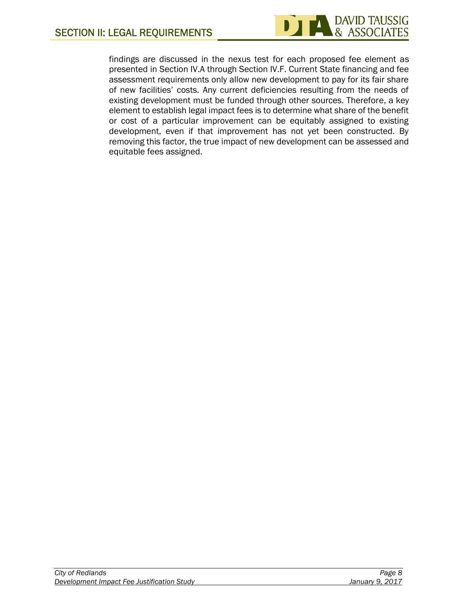

findings are discussed in the nexus test for each proposed fee element as presented in Section IV.A through Section IV.F. Current State financing and fee assessment requirements only allow new development to pay for its fair share of new facilities' costs. Any current deficiencies resulting from the needs of existing development must be funded through other sources. Therefore, a key element to establish legal impact fees is to determine what share of the benefit or cost of a particular improvement can be equitably assigned to existing development, even if that improvement has not yet been constructed. By removing this factor, the true impact of new development can be assessed and equitable fees assigned.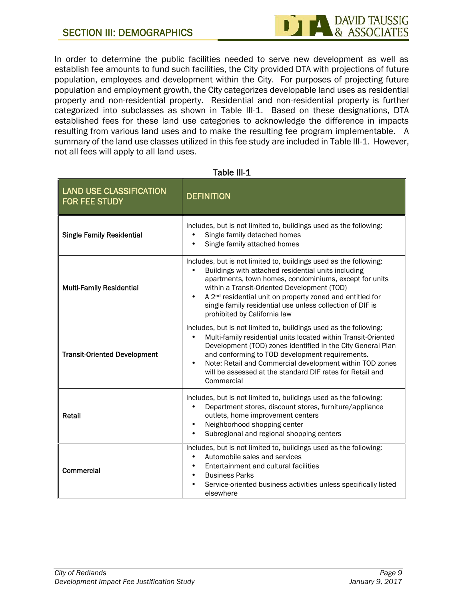

In order to determine the public facilities needed to serve new development as well as establish fee amounts to fund such facilities, the City provided DTA with projections of future population, employees and development within the City. For purposes of projecting future population and employment growth, the City categorizes developable land uses as residential property and non-residential property. Residential and non-residential property is further categorized into subclasses as shown in Table III-1. Based on these designations, DTA established fees for these land use categories to acknowledge the difference in impacts resulting from various land uses and to make the resulting fee program implementable. A summary of the land use classes utilized in this fee study are included in Table III-1. However, not all fees will apply to all land uses.

| <b>LAND USE CLASSIFICATION</b><br>FOR FEE STUDY | <b>DEFINITION</b>                                                                                                                                                                                                                                                                                                                                                                                       |
|-------------------------------------------------|---------------------------------------------------------------------------------------------------------------------------------------------------------------------------------------------------------------------------------------------------------------------------------------------------------------------------------------------------------------------------------------------------------|
| <b>Single Family Residential</b>                | Includes, but is not limited to, buildings used as the following:<br>Single family detached homes<br>Single family attached homes                                                                                                                                                                                                                                                                       |
| <b>Multi-Family Residential</b>                 | Includes, but is not limited to, buildings used as the following:<br>Buildings with attached residential units including<br>apartments, town homes, condominiums, except for units<br>within a Transit-Oriented Development (TOD)<br>A 2 <sup>nd</sup> residential unit on property zoned and entitled for<br>single family residential use unless collection of DIF is<br>prohibited by California law |
| <b>Transit-Oriented Development</b>             | Includes, but is not limited to, buildings used as the following:<br>Multi-family residential units located within Transit-Oriented<br>Development (TOD) zones identified in the City General Plan<br>and conforming to TOD development requirements.<br>Note: Retail and Commercial development within TOD zones<br>will be assessed at the standard DIF rates for Retail and<br>Commercial            |
| <b>Retail</b>                                   | Includes, but is not limited to, buildings used as the following:<br>Department stores, discount stores, furniture/appliance<br>outlets, home improvement centers<br>Neighborhood shopping center<br>Subregional and regional shopping centers                                                                                                                                                          |
| Commercial                                      | Includes, but is not limited to, buildings used as the following:<br>Automobile sales and services<br>Entertainment and cultural facilities<br><b>Business Parks</b><br>Service-oriented business activities unless specifically listed<br>elsewhere                                                                                                                                                    |

# **Table III-1**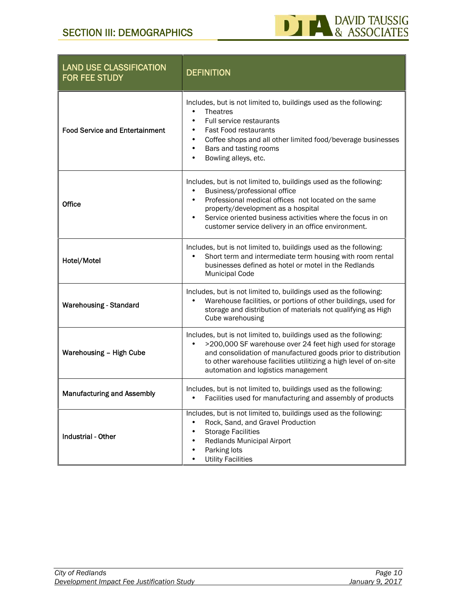

| <b>LAND USE CLASSIFICATION</b><br>FOR FEE STUDY | <b>DEFINITION</b>                                                                                                                                                                                                                                                                                                    |
|-------------------------------------------------|----------------------------------------------------------------------------------------------------------------------------------------------------------------------------------------------------------------------------------------------------------------------------------------------------------------------|
| <b>Food Service and Entertainment</b>           | Includes, but is not limited to, buildings used as the following:<br><b>Theatres</b><br>Full service restaurants<br>Fast Food restaurants<br>Coffee shops and all other limited food/beverage businesses<br>Bars and tasting rooms<br>Bowling alleys, etc.                                                           |
| Office                                          | Includes, but is not limited to, buildings used as the following:<br>Business/professional office<br>Professional medical offices not located on the same<br>property/development as a hospital<br>Service oriented business activities where the focus in on<br>customer service delivery in an office environment. |
| Hotel/Motel                                     | Includes, but is not limited to, buildings used as the following:<br>Short term and intermediate term housing with room rental<br>businesses defined as hotel or motel in the Redlands<br><b>Municipal Code</b>                                                                                                      |
| <b>Warehousing - Standard</b>                   | Includes, but is not limited to, buildings used as the following:<br>Warehouse facilities, or portions of other buildings, used for<br>storage and distribution of materials not qualifying as High<br>Cube warehousing                                                                                              |
| Warehousing - High Cube                         | Includes, but is not limited to, buildings used as the following:<br>>200,000 SF warehouse over 24 feet high used for storage<br>and consolidation of manufactured goods prior to distribution<br>to other warehouse facilities utilitizing a high level of on-site<br>automation and logistics management           |
| <b>Manufacturing and Assembly</b>               | Includes, but is not limited to, buildings used as the following:<br>Facilities used for manufacturing and assembly of products                                                                                                                                                                                      |
| <b>Industrial - Other</b>                       | Includes, but is not limited to, buildings used as the following:<br>Rock, Sand, and Gravel Production<br><b>Storage Facilities</b><br>Redlands Municipal Airport<br>Parking lots<br><b>Utility Facilities</b>                                                                                                       |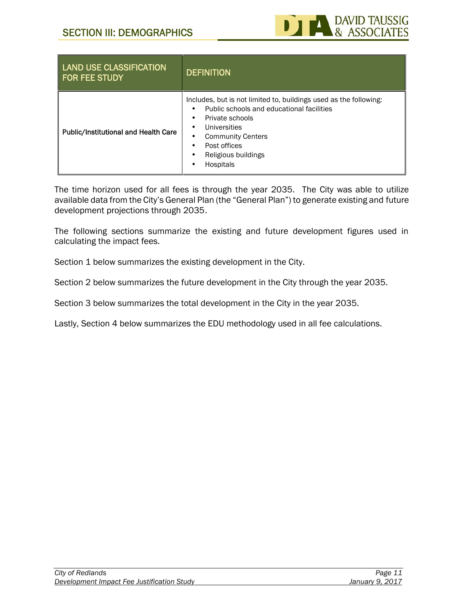

| <b>LAND USE CLASSIFICATION</b><br><b>FOR FEE STUDY</b> | <b>DEFINITION</b>                                                                                                                                                                                                                 |
|--------------------------------------------------------|-----------------------------------------------------------------------------------------------------------------------------------------------------------------------------------------------------------------------------------|
| <b>Public/Institutional and Health Care</b>            | Includes, but is not limited to, buildings used as the following:<br>Public schools and educational facilities<br>Private schools<br>Universities<br><b>Community Centers</b><br>Post offices<br>Religious buildings<br>Hospitals |

The time horizon used for all fees is through the year 2035. The City was able to utilize available data from the City's General Plan (the "General Plan") to generate existing and future development projections through 2035.

The following sections summarize the existing and future development figures used in calculating the impact fees.

Section 1 below summarizes the existing development in the City.

Section 2 below summarizes the future development in the City through the year 2035.

Section 3 below summarizes the total development in the City in the year 2035.

Lastly, Section 4 below summarizes the EDU methodology used in all fee calculations.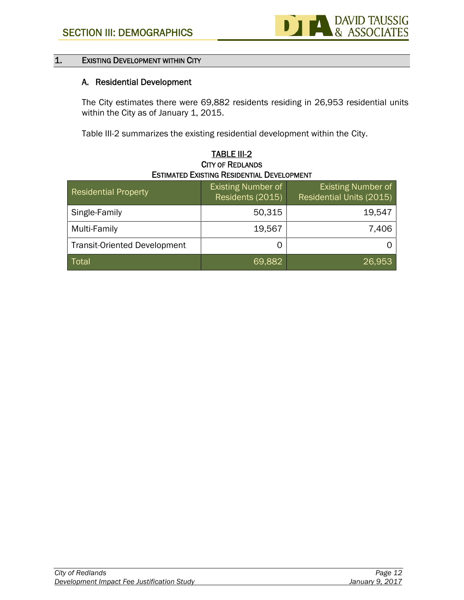

# **1. EXISTING DEVELOPMENT WITHIN CITY**

# **A. Residential Development**

The City estimates there were 69,882 residents residing in 26,953 residential units within the City as of January 1, 2015.

Table III-2 summarizes the existing residential development within the City.

| <b>ESTIMATED EXISTING RESIDENTIAL DEVELOPMENT</b> |                                               |                                                       |  |  |  |
|---------------------------------------------------|-----------------------------------------------|-------------------------------------------------------|--|--|--|
| <b>Residential Property</b>                       | <b>Existing Number of</b><br>Residents (2015) | <b>Existing Number of</b><br>Residential Units (2015) |  |  |  |
| Single-Family                                     | 50,315                                        | 19,547                                                |  |  |  |
| Multi-Family                                      | 19,567                                        | 7,406                                                 |  |  |  |
| <b>Transit-Oriented Development</b>               | O                                             | Ő                                                     |  |  |  |
| Total                                             | 69,882                                        | 26.953                                                |  |  |  |

# **TABLE III-2 CITY OF REDLANDS**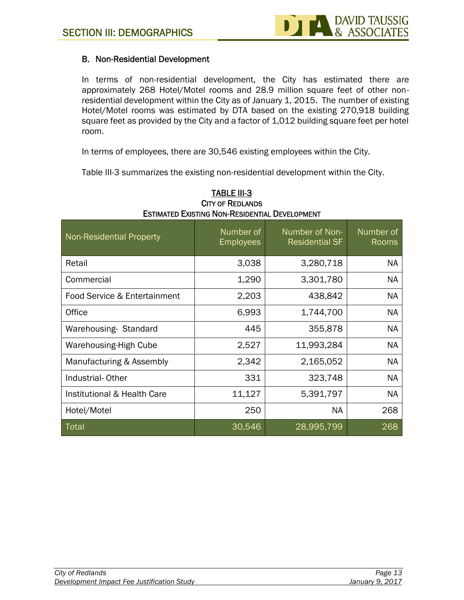# **B. Non-Residential Development**

In terms of non-residential development, the City has estimated there are approximately 268 Hotel/Motel rooms and 28.9 million square feet of other non residential development within the City as of January 1, 2015. The number of existing Hotel/Motel rooms was estimated by DTA based on the existing 270,918 building square feet as provided by the City and a factor of 1,012 building square feet per hotel room.

In terms of employees, there are 30,546 existing employees within the City.

Table III-3 summarizes the existing non-residential development within the City.

| <b>Non-Residential Property</b> | Number of<br><b>Employees</b> | Number of Non-<br><b>Residential SF</b> | Number of<br>Rooms |
|---------------------------------|-------------------------------|-----------------------------------------|--------------------|
| Retail                          | 3,038                         | 3,280,718                               | <b>NA</b>          |
| Commercial                      | 1,290                         | 3,301,780                               | <b>NA</b>          |
| Food Service & Entertainment    | 2,203                         | 438,842                                 | <b>NA</b>          |
| Office                          | 6,993                         | 1,744,700                               | <b>NA</b>          |
| Warehousing Standard            | 445                           | 355,878                                 | <b>NA</b>          |
| Warehousing-High Cube           | 2,527                         | 11,993,284                              | <b>NA</b>          |
| Manufacturing & Assembly        | 2,342                         | 2,165,052                               | <b>NA</b>          |
| Industrial-Other                | 331                           | 323,748                                 | <b>NA</b>          |
| Institutional & Health Care     | 11,127                        | 5,391,797                               | <b>NA</b>          |
| Hotel/Motel                     | 250                           | <b>NA</b>                               | 268                |
| Total                           | 30,546                        | 28,995,799                              | 268                |

# **TABLE III-3 CITY OF REDLANDS ESTIMATED EXISTING NON-RESIDENTIAL DEVELOPMENT**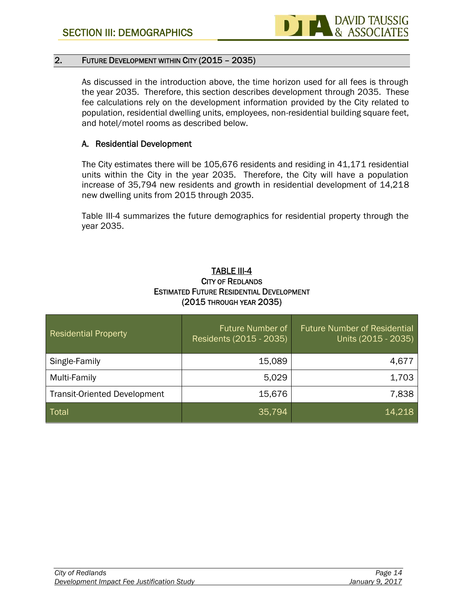

# **2. FUTURE DEVELOPMENT WITHIN CITY (2015 – 2035)**

As discussed in the introduction above, the time horizon used for all fees is through the year 2035. Therefore, this section describes development through 2035. These fee calculations rely on the development information provided by the City related to population, residential dwelling units, employees, non-residential building square feet, and hotel/motel rooms as described below.

# **A. Residential Development**

The City estimates there will be 105,676 residents and residing in 41,171 residential units within the City in the year 2035. Therefore, the City will have a population increase of 35,794 new residents and growth in residential development of 14,218 new dwelling units from 2015 through 2035.

Table III-4 summarizes the future demographics for residential property through the year 2035.

# **TABLE III-4 CITY OF REDLANDS ESTIMATED FUTURE RESIDENTIAL DEVELOPMENT (2015 THROUGH YEAR 2035)**

| <b>Residential Property</b>         | Future Number of<br>Residents (2015 - 2035) | <b>Future Number of Residential</b><br>Units (2015 - 2035) |
|-------------------------------------|---------------------------------------------|------------------------------------------------------------|
| Single-Family                       | 15,089                                      | 4,677                                                      |
| Multi-Family                        | 5,029                                       | 1,703                                                      |
| <b>Transit-Oriented Development</b> | 15,676                                      | 7,838                                                      |
| Total                               | 35,794                                      | 14,218                                                     |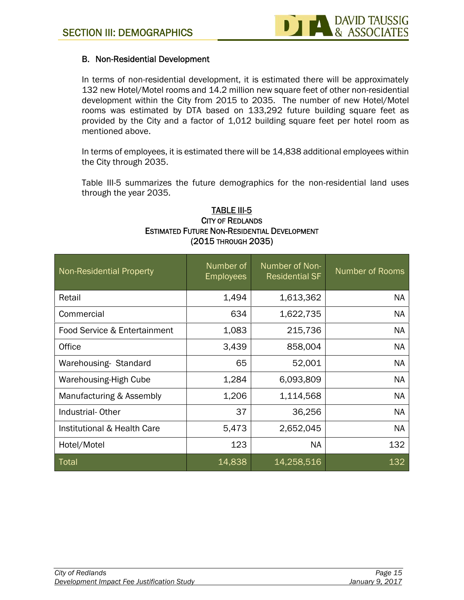# **B. Non-Residential Development**

In terms of non-residential development, it is estimated there will be approximately 132 new Hotel/Motel rooms and 14.2 million new square feet of other non-residential development within the City from 2015 to 2035. The number of new Hotel/Motel rooms was estimated by DTA based on 133,292 future building square feet as provided by the City and a factor of 1,012 building square feet per hotel room as mentioned above.

In terms of employees, it is estimated there will be 14,838 additional employees within the City through 2035.

Table III-5 summarizes the future demographics for the non-residential land uses through the year 2035.

| <b>Non-Residential Property</b> | Number of<br><b>Employees</b> | Number of Non-<br><b>Residential SF</b> | <b>Number of Rooms</b> |
|---------------------------------|-------------------------------|-----------------------------------------|------------------------|
| Retail                          | 1,494                         | 1,613,362                               | <b>NA</b>              |
| Commercial                      | 634                           | 1,622,735                               | NA                     |
| Food Service & Entertainment    | 1,083                         | 215,736                                 | <b>NA</b>              |
| Office                          | 3,439                         | 858,004                                 | <b>NA</b>              |
| Warehousing-Standard            | 65                            | 52,001                                  | NA                     |
| <b>Warehousing-High Cube</b>    | 1,284                         | 6,093,809                               | NA                     |
| Manufacturing & Assembly        | 1,206                         | 1,114,568                               | NA                     |
| Industrial-Other                | 37                            | 36,256                                  | NA                     |
| Institutional & Health Care     | 5,473                         | 2,652,045                               | NA                     |
| Hotel/Motel                     | 123                           | NA.                                     | 132                    |
| Total                           | 14,838                        | 14,258,516                              | 132                    |

# **TABLE III-5 CITY OF REDLANDS ESTIMATED FUTURE NON-RESIDENTIAL DEVELOPMENT (2015 THROUGH 2035)**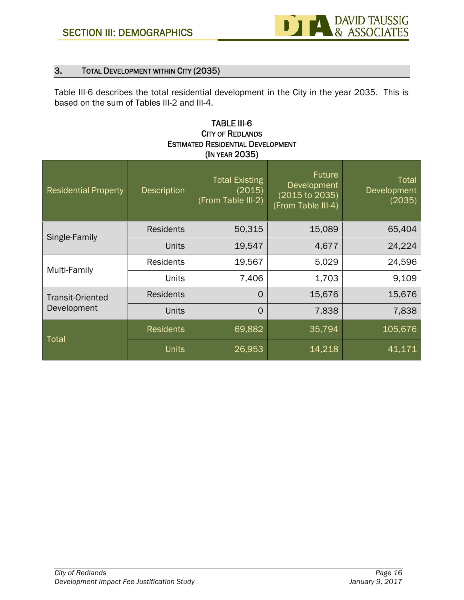# **3. TOTAL DEVELOPMENT WITHIN CITY (2035)**

Table III-6 describes the total residential development in the City in the year 2035. This is based on the sum of Tables III-2 and III-4.

# **TABLE III-6 CITY OF REDLANDS ESTIMATED RESIDENTIAL DEVELOPMENT (IN YEAR 2035)**

| <b>Residential Property</b>            | <b>Description</b> | <b>Total Existing</b><br>(2015)<br>(From Table III-2) | <b>Future</b><br>Development<br>(2015 to 2035)<br>(From Table III-4) | <b>Total</b><br>Development<br>(2035) |
|----------------------------------------|--------------------|-------------------------------------------------------|----------------------------------------------------------------------|---------------------------------------|
| Single-Family                          | <b>Residents</b>   | 50,315                                                | 15,089                                                               | 65,404                                |
|                                        | <b>Units</b>       | 19,547                                                | 4,677                                                                | 24,224                                |
| Multi-Family                           | <b>Residents</b>   | 19,567                                                | 5,029                                                                | 24,596                                |
|                                        | <b>Units</b>       | 7,406                                                 | 1,703                                                                | 9,109                                 |
| <b>Transit-Oriented</b><br>Development | <b>Residents</b>   | $\Omega$                                              | 15,676                                                               | 15,676                                |
|                                        | <b>Units</b>       | $\overline{0}$                                        | 7,838                                                                | 7,838                                 |
| Total                                  | <b>Residents</b>   | 69,882                                                | 35,794                                                               | 105,676                               |
|                                        | <b>Units</b>       | 26,953                                                | 14,218                                                               | 41,171                                |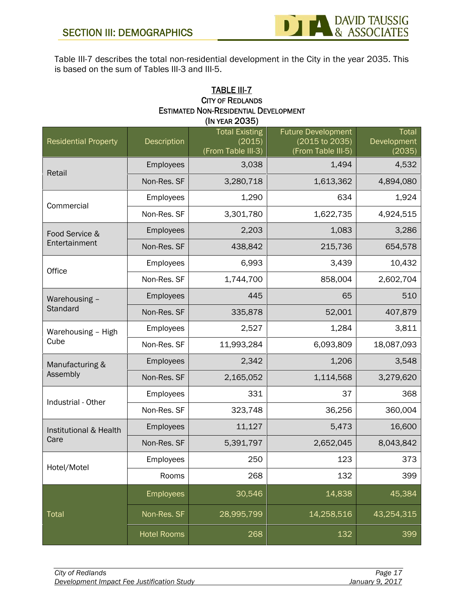

Table III-7 describes the total non-residential development in the City in the year 2035. This is based on the sum of Tables III-3 and III-5.

# **TABLE III-7 CITY OF REDLANDS ESTIMATED NON-RESIDENTIAL DEVELOPMENT (IN YEAR 2035)**

| <b>Residential Property</b> | Description        | <b>Total Existing</b><br>(2015)<br>(From Table III-3) | <b>Future Development</b><br>(2015 to 2035)<br>(From Table III-5) | Total<br>Development<br>(2035) |
|-----------------------------|--------------------|-------------------------------------------------------|-------------------------------------------------------------------|--------------------------------|
| Retail                      | Employees          | 3,038                                                 | 1,494                                                             | 4,532                          |
|                             | Non-Res. SF        | 3,280,718                                             | 1,613,362                                                         | 4,894,080                      |
| Commercial                  | Employees          | 1,290                                                 | 634                                                               | 1,924                          |
|                             | Non-Res. SF        | 3,301,780                                             | 1,622,735                                                         | 4,924,515                      |
| Food Service &              | Employees          | 2,203                                                 | 1,083                                                             | 3,286                          |
| Entertainment               | Non-Res. SF        | 438,842                                               | 215,736                                                           | 654,578                        |
| Office                      | Employees          | 6,993                                                 | 3,439                                                             | 10,432                         |
|                             | Non-Res. SF        | 1,744,700                                             | 858,004                                                           | 2,602,704                      |
| Warehousing -               | Employees          | 445                                                   | 65                                                                | 510                            |
| Standard                    | Non-Res. SF        | 335,878                                               | 52,001                                                            | 407,879                        |
| Warehousing - High          | Employees          | 2,527                                                 | 1,284                                                             | 3,811                          |
| Cube                        | Non-Res. SF        | 11,993,284                                            | 6,093,809                                                         | 18,087,093                     |
| Manufacturing &             | Employees          | 2,342                                                 | 1,206                                                             | 3,548                          |
| Assembly                    | Non-Res. SF        | 2,165,052                                             | 1,114,568                                                         | 3,279,620                      |
| Industrial - Other          | Employees          | 331                                                   | 37                                                                | 368                            |
|                             | Non-Res. SF        | 323,748                                               | 36,256                                                            | 360,004                        |
| Institutional & Health      | Employees          | 11,127                                                | 5,473                                                             | 16,600                         |
| Care                        | Non-Res. SF        | 5,391,797                                             | 2,652,045                                                         | 8,043,842                      |
| Hotel/Motel                 | Employees          | 250                                                   | 123                                                               | 373                            |
|                             | Rooms              | 268                                                   | 132                                                               | 399                            |
|                             | Employees          | 30,546                                                | 14,838                                                            | 45,384                         |
| Total                       | Non-Res. SF        | 28,995,799                                            | 14,258,516                                                        | 43,254,315                     |
|                             | <b>Hotel Rooms</b> | 268                                                   | 132                                                               | 399                            |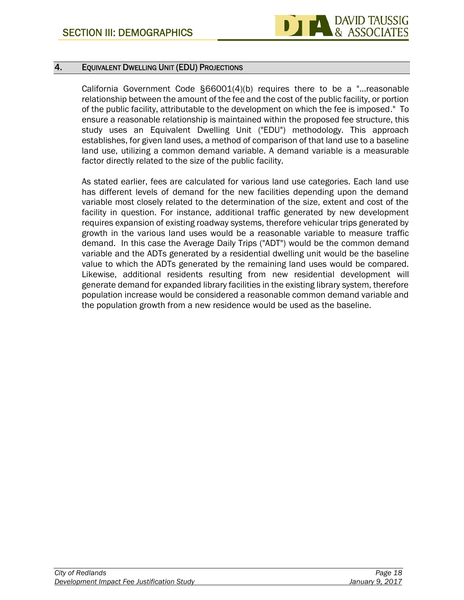

# **4. EQUIVALENT DWELLING UNIT (EDU) PROJECTIONS**

California Government Code §66001(4)(b) requires there to be a "...reasonable relationship between the amount of the fee and the cost of the public facility, or portion of the public facility, attributable to the development on which the fee is imposed." To ensure a reasonable relationship is maintained within the proposed fee structure, this study uses an Equivalent Dwelling Unit ("EDU") methodology. This approach establishes, for given land uses, a method of comparison of that land use to a baseline land use, utilizing a common demand variable. A demand variable is a measurable factor directly related to the size of the public facility.

As stated earlier, fees are calculated for various land use categories. Each land use has different levels of demand for the new facilities depending upon the demand variable most closely related to the determination of the size, extent and cost of the facility in question. For instance, additional traffic generated by new development requires expansion of existing roadway systems, therefore vehicular trips generated by growth in the various land uses would be a reasonable variable to measure traffic demand. In this case the Average Daily Trips ("ADT") would be the common demand variable and the ADTs generated by a residential dwelling unit would be the baseline value to which the ADTs generated by the remaining land uses would be compared. Likewise, additional residents resulting from new residential development will generate demand for expanded library facilities in the existing library system, therefore population increase would be considered a reasonable common demand variable and the population growth from a new residence would be used as the baseline.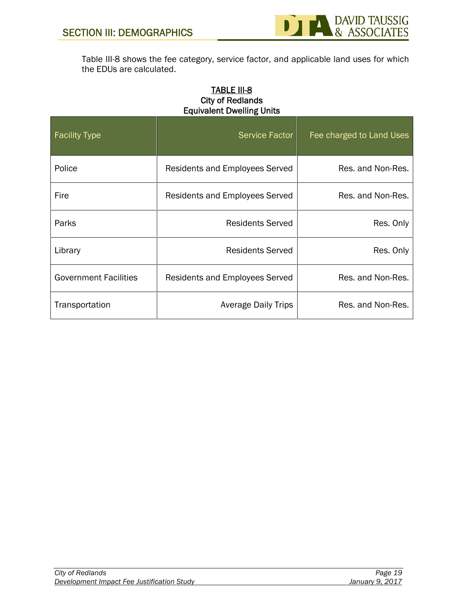

Table III-8 shows the fee category, service factor, and applicable land uses for which the EDUs are calculated.

# **TABLE III-8 City of Redlands Equivalent Dwelling Units**

| <b>Facility Type</b>         | Service Factor                        | Fee charged to Land Uses |
|------------------------------|---------------------------------------|--------------------------|
| Police                       | Residents and Employees Served        | Res. and Non-Res.        |
| Fire                         | <b>Residents and Employees Served</b> | Res. and Non-Res.        |
| Parks                        | Residents Served                      | Res. Only                |
| Library                      | <b>Residents Served</b>               | Res. Only                |
| <b>Government Facilities</b> | <b>Residents and Employees Served</b> | Res. and Non-Res.        |
| Transportation               | <b>Average Daily Trips</b>            | Res. and Non-Res.        |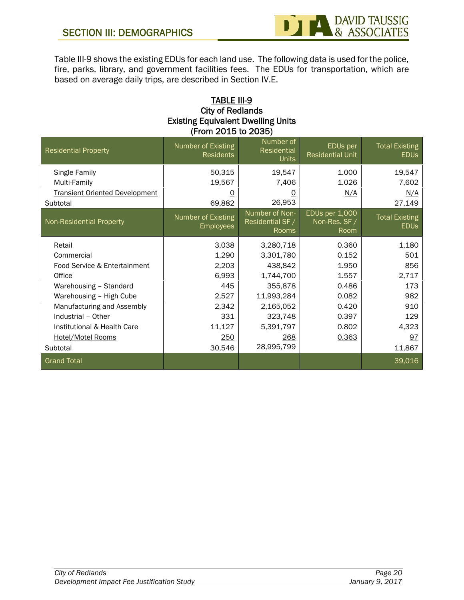

Table III-9 shows the existing EDUs for each land use. The following data is used for the police, fire, parks, library, and government facilities fees. The EDUs for transportation, which are based on average daily trips, are described in Section IV.E.

# **TABLE III-9 City of Redlands Existing Equivalent Dwelling Units (From 2015 to 2035)**

| <b>Residential Property</b>                                            | Number of Existing<br><b>Residents</b> | Number of<br><b>Residential</b><br><b>Units</b> | EDUs per<br><b>Residential Unit</b>     | <b>Total Existing</b><br><b>EDUS</b> |
|------------------------------------------------------------------------|----------------------------------------|-------------------------------------------------|-----------------------------------------|--------------------------------------|
| Single Family<br>Multi-Family<br><b>Transient Oriented Development</b> | 50,315<br>19,567                       | 19,547<br>7,406                                 | 1.000<br>1.026                          | 19,547<br>7,602                      |
| Subtotal                                                               | 0<br>69,882                            | <u>0</u><br>26,953                              | N/A                                     | N/A<br>27,149                        |
| Non-Residential Property                                               | Number of Existing<br><b>Employees</b> | Number of Non-<br>Residential SF /<br>Rooms     | EDUs per 1,000<br>Non-Res. SF /<br>Room | <b>Total Existing</b><br><b>EDUS</b> |
| Retail                                                                 | 3,038                                  | 3,280,718                                       | 0.360                                   | 1,180                                |
| Commercial                                                             | 1,290                                  | 3,301,780                                       | 0.152                                   | 501                                  |
| Food Service & Entertainment                                           | 2,203                                  | 438,842                                         | 1.950                                   | 856                                  |
| Office                                                                 | 6,993                                  | 1,744,700                                       | 1.557                                   | 2,717                                |
| Warehousing - Standard                                                 | 445                                    | 355,878                                         | 0.486                                   | 173                                  |
| Warehousing - High Cube                                                | 2,527                                  | 11,993,284                                      | 0.082                                   | 982                                  |
| Manufacturing and Assembly                                             | 2,342                                  | 2,165,052                                       | 0.420                                   | 910                                  |
| Industrial - Other                                                     | 331                                    | 323,748                                         | 0.397                                   | 129                                  |
| Institutional & Health Care                                            | 11,127                                 | 5,391,797                                       | 0.802                                   | 4,323                                |
| <b>Hotel/Motel Rooms</b>                                               | 250                                    | 268                                             | 0.363                                   | 97                                   |
| Subtotal                                                               | 30,546                                 | 28,995,799                                      |                                         | 11,867                               |
| <b>Grand Total</b>                                                     |                                        |                                                 |                                         | 39,016                               |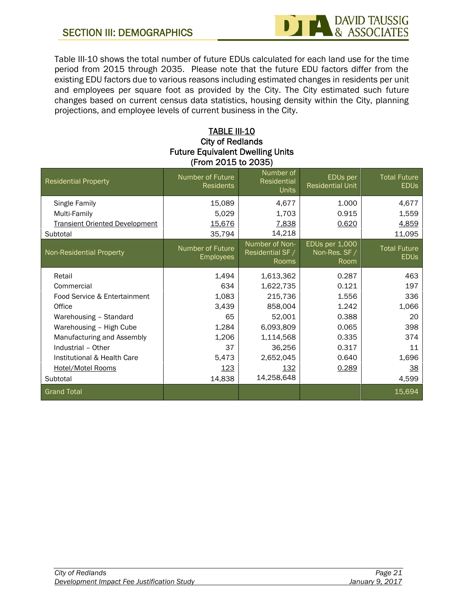# **SECTION III: DEMOGRAPHICS**



Table III-10 shows the total number of future EDUs calculated for each land use for the time period from 2015 through 2035. Please note that the future EDU factors differ from the existing EDU factors due to various reasons including estimated changes in residents per unit and employees per square foot as provided by the City. The City estimated such future changes based on current census data statistics, housing density within the City, planning projections, and employee levels of current business in the City.

# **TABLE III-10 City of Redlands Future Equivalent Dwelling Units (From 2015 to 2035)**

| <b>Residential Property</b>                                                        | Number of Future<br>Residents        | Number of<br>Residential<br><b>Units</b>           | EDUs per<br><b>Residential Unit</b>     | <b>Total Future</b><br><b>EDUS</b> |
|------------------------------------------------------------------------------------|--------------------------------------|----------------------------------------------------|-----------------------------------------|------------------------------------|
| Single Family<br>Multi-Family<br><b>Transient Oriented Development</b><br>Subtotal | 15,089<br>5,029<br>15,676<br>35,794  | 4,677<br>1,703<br>7,838<br>14,218                  | 1.000<br>0.915<br>0.620                 | 4,677<br>1,559<br>4,859<br>11,095  |
| Non-Residential Property                                                           | Number of Future<br><b>Employees</b> | Number of Non-<br>Residential SF /<br><b>Rooms</b> | EDUs per 1,000<br>Non-Res. SF /<br>Room | <b>Total Future</b><br><b>EDUS</b> |
| Retail                                                                             | 1,494                                | 1,613,362                                          | 0.287                                   | 463                                |
| Commercial                                                                         | 634                                  | 1,622,735                                          | 0.121                                   | 197                                |
| Food Service & Entertainment                                                       | 1,083                                | 215,736                                            | 1.556                                   | 336                                |
| Office                                                                             | 3,439                                | 858,004                                            | 1.242                                   | 1,066                              |
| Warehousing - Standard                                                             | 65                                   | 52,001                                             | 0.388                                   | 20                                 |
| Warehousing - High Cube                                                            | 1,284                                | 6,093,809                                          | 0.065                                   | 398                                |
| Manufacturing and Assembly                                                         | 1,206                                | 1,114,568                                          | 0.335                                   | 374                                |
| Industrial - Other                                                                 | 37                                   | 36,256                                             | 0.317                                   | 11                                 |
| Institutional & Health Care                                                        | 5,473                                | 2,652,045                                          | 0.640                                   | 1,696                              |
| <b>Hotel/Motel Rooms</b>                                                           | <u>123</u>                           | 132                                                | 0.289                                   | 38                                 |
| Subtotal                                                                           | 14,838                               | 14,258,648                                         |                                         | 4,599                              |
| <b>Grand Total</b>                                                                 |                                      |                                                    |                                         | 15,694                             |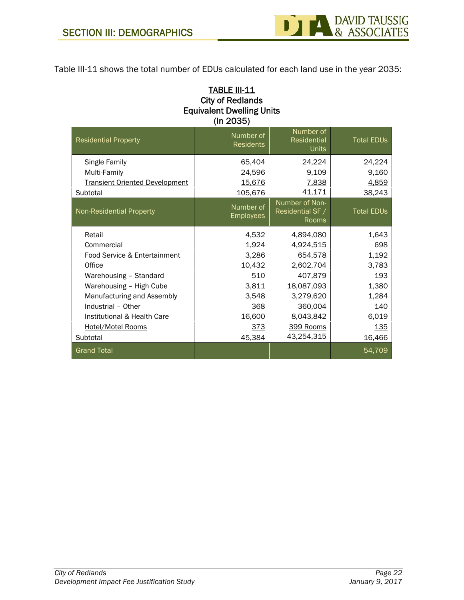

Table III-11 shows the total number of EDUs calculated for each land use in the year 2035:

# **TABLE III-11 City of Redlands Equivalent Dwelling Units (In 2035)**

| <b>Residential Property</b>           | Number of<br><b>Residents</b> | Number of<br>Residential<br><b>Units</b>    | <b>Total EDUs</b> |
|---------------------------------------|-------------------------------|---------------------------------------------|-------------------|
| Single Family                         | 65,404                        | 24,224                                      | 24,224            |
| Multi-Family                          | 24,596                        | 9,109                                       | 9,160             |
| <b>Transient Oriented Development</b> | 15,676                        | 7,838                                       | 4,859             |
| Subtotal                              | 105,676                       | 41,171                                      | 38,243            |
| <b>Non-Residential Property</b>       | Number of<br><b>Employees</b> | Number of Non-<br>Residential SF /<br>Rooms | <b>Total EDUs</b> |
| Retail                                | 4,532                         | 4,894,080                                   | 1,643             |
| Commercial                            | 1,924                         | 4,924,515                                   | 698               |
| Food Service & Entertainment          | 3,286                         | 654,578                                     | 1,192             |
| Office                                | 10,432                        | 2,602,704                                   | 3,783             |
| Warehousing - Standard                | 510                           | 407,879                                     | 193               |
| Warehousing - High Cube               | 3,811                         | 18,087,093                                  | 1,380             |
| Manufacturing and Assembly            | 3,548                         | 3,279,620                                   | 1,284             |
| Industrial - Other                    | 368                           | 360,004                                     | 140               |
| Institutional & Health Care           | 16,600                        | 8,043,842                                   | 6,019             |
| <b>Hotel/Motel Rooms</b>              | <u>373</u>                    | 399 Rooms                                   | <u>135</u>        |
| Subtotal                              | 45,384                        | 43,254,315                                  | 16,466            |
| <b>Grand Total</b>                    |                               |                                             | 54,709            |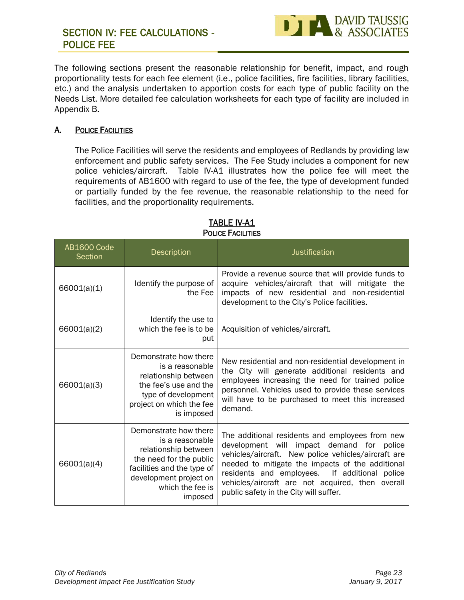

The following sections present the reasonable relationship for benefit, impact, and rough proportionality tests for each fee element (i.e., police facilities, fire facilities, library facilities, etc.) and the analysis undertaken to apportion costs for each type of public facility on the Needs List. More detailed fee calculation worksheets for each type of facility are included in Appendix B.

# **A. POLICE FACILITIES**

The Police Facilities will serve the residents and employees of Redlands by providing law enforcement and public safety services. The Fee Study includes a component for new police vehicles/aircraft. Table IV-A1 illustrates how the police fee will meet the requirements of AB1600 with regard to use of the fee, the type of development funded or partially funded by the fee revenue, the reasonable relationship to the need for facilities, and the proportionality requirements.

| <b>AB1600 Code</b><br>Section | Description                                                                                                                                                                        | Justification                                                                                                                                                                                                                                                                                                                                          |
|-------------------------------|------------------------------------------------------------------------------------------------------------------------------------------------------------------------------------|--------------------------------------------------------------------------------------------------------------------------------------------------------------------------------------------------------------------------------------------------------------------------------------------------------------------------------------------------------|
| 66001(a)(1)                   | Identify the purpose of<br>the Fee                                                                                                                                                 | Provide a revenue source that will provide funds to<br>acquire vehicles/aircraft that will mitigate the<br>impacts of new residential and non-residential<br>development to the City's Police facilities.                                                                                                                                              |
| 66001(a)(2)                   | Identify the use to<br>which the fee is to be<br>put                                                                                                                               | Acquisition of vehicles/aircraft.                                                                                                                                                                                                                                                                                                                      |
| 66001(a)(3)                   | Demonstrate how there<br>is a reasonable<br>relationship between<br>the fee's use and the<br>type of development<br>project on which the fee<br>is imposed                         | New residential and non-residential development in<br>the City will generate additional residents and<br>employees increasing the need for trained police<br>personnel. Vehicles used to provide these services<br>will have to be purchased to meet this increased<br>demand.                                                                         |
| 66001(a)(4)                   | Demonstrate how there<br>is a reasonable<br>relationship between<br>the need for the public<br>facilities and the type of<br>development project on<br>which the fee is<br>imposed | The additional residents and employees from new<br>development will impact demand for police<br>vehicles/aircraft. New police vehicles/aircraft are<br>needed to mitigate the impacts of the additional<br>residents and employees. If additional police<br>vehicles/aircraft are not acquired, then overall<br>public safety in the City will suffer. |

# **TABLE IV-A1 POLICE FACILITIES**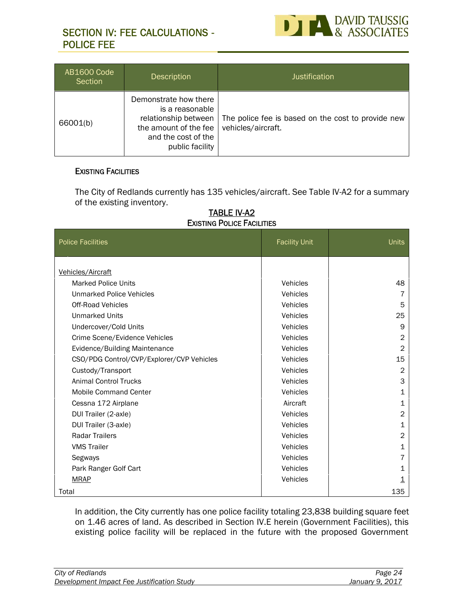# **SECTION IV: FEE CALCULATIONS - POLICE FEE**



| AB1600 Code<br>Section | <b>Description</b>                                                                                                                  | <b>Justification</b>                                                     |
|------------------------|-------------------------------------------------------------------------------------------------------------------------------------|--------------------------------------------------------------------------|
| 66001(b)               | Demonstrate how there<br>is a reasonable<br>relationship between<br>the amount of the fee<br>and the cost of the<br>public facility | The police fee is based on the cost to provide new<br>vehicles/aircraft. |

# **EXISTING FACILITIES**

The City of Redlands currently has 135 vehicles/aircraft. See Table IV-A2 for a summary of the existing inventory.

#### **TABLE IV-A2 EXISTING POLICE FACILITIES**

| <b>Police Facilities</b>                  | <b>Facility Unit</b> | Units          |
|-------------------------------------------|----------------------|----------------|
|                                           |                      |                |
| Vehicles/Aircraft                         |                      |                |
| <b>Marked Police Units</b>                | Vehicles             | 48             |
| Unmarked Police Vehicles                  | Vehicles             | 7              |
| <b>Off-Road Vehicles</b>                  | Vehicles             | 5              |
| <b>Unmarked Units</b>                     | Vehicles             | 25             |
| Undercover/Cold Units                     | Vehicles             | 9              |
| Crime Scene/Evidence Vehicles             | Vehicles             | 2              |
| Evidence/Building Maintenance             | Vehicles             | $\overline{2}$ |
| CSO/PDG Control/CVP/Explorer/CVP Vehicles | Vehicles             | 15             |
| Custody/Transport                         | Vehicles             | $\overline{2}$ |
| <b>Animal Control Trucks</b>              | Vehicles             | 3              |
| <b>Mobile Command Center</b>              | Vehicles             | 1              |
| Cessna 172 Airplane                       | Aircraft             | 1              |
| DUI Trailer (2-axle)                      | Vehicles             | $\overline{2}$ |
| DUI Trailer (3-axle)                      | Vehicles             | 1              |
| <b>Radar Trailers</b>                     | Vehicles             | $\overline{2}$ |
| <b>VMS Trailer</b>                        | Vehicles             | 1              |
| Segways                                   | Vehicles             | 7              |
| Park Ranger Golf Cart                     | Vehicles             | 1              |
| <b>MRAP</b>                               | Vehicles             | 1              |
| Total                                     |                      | 135            |

In addition, the City currently has one police facility totaling 23,838 building square feet on 1.46 acres of land. As described in Section IV.E herein (Government Facilities), this existing police facility will be replaced in the future with the proposed Government

| City of Redlands                           | Page 24         |  |
|--------------------------------------------|-----------------|--|
| Development Impact Fee Justification Study | January 9, 2017 |  |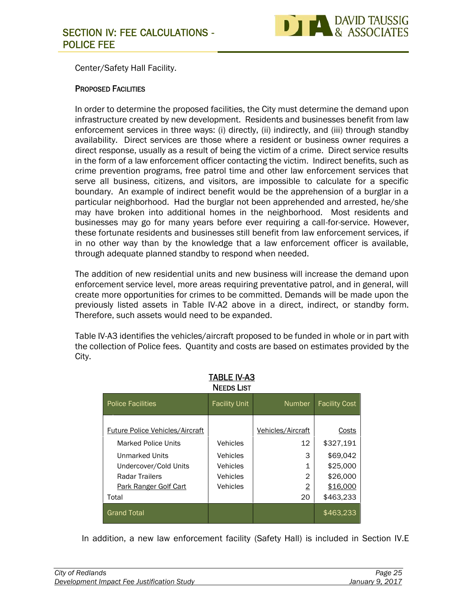

Center/Safety Hall Facility.

# **PROPOSED FACILITIES**

In order to determine the proposed facilities, the City must determine the demand upon infrastructure created by new development. Residents and businesses benefit from law enforcement services in three ways: (i) directly, (ii) indirectly, and (iii) through standby availability. Direct services are those where a resident or business owner requires a direct response, usually as a result of being the victim of a crime. Direct service results in the form of a law enforcement officer contacting the victim. Indirect benefits, such as crime prevention programs, free patrol time and other law enforcement services that serve all business, citizens, and visitors, are impossible to calculate for a specific boundary. An example of indirect benefit would be the apprehension of a burglar in a particular neighborhood. Had the burglar not been apprehended and arrested, he/she may have broken into additional homes in the neighborhood. Most residents and businesses may go for many years before ever requiring a call-for-service. However, these fortunate residents and businesses still benefit from law enforcement services, if in no other way than by the knowledge that a law enforcement officer is available, through adequate planned standby to respond when needed.

The addition of new residential units and new business will increase the demand upon enforcement service level, more areas requiring preventative patrol, and in general, will create more opportunities for crimes to be committed. Demands will be made upon the previously listed assets in Table IV-A2 above in a direct, indirect, or standby form. Therefore, such assets would need to be expanded.

Table IV-A3 identifies the vehicles/aircraft proposed to be funded in whole or in part with the collection of Police fees. Quantity and costs are based on estimates provided by the City.

|                                        | <b>NEEDS LIST</b>    |                   |                      |
|----------------------------------------|----------------------|-------------------|----------------------|
| <b>Police Facilities</b>               | <b>Facility Unit</b> | <b>Number</b>     | <b>Facility Cost</b> |
| <b>Future Police Vehicles/Aircraft</b> |                      | Vehicles/Aircraft | Costs                |
| <b>Marked Police Units</b>             | Vehicles             | 12                | \$327,191            |
| Unmarked Units                         | Vehicles             | 3                 | \$69,042             |
| Undercover/Cold Units                  | Vehicles             | 1                 | \$25,000             |
| Radar Trailers                         | Vehicles             | 2                 | \$26,000             |
| <b>Park Ranger Golf Cart</b>           | Vehicles             | 2                 | \$16,000             |
| Total                                  |                      | 20                | \$463,233            |
| <b>Grand Total</b>                     |                      |                   | \$463,233            |

**TABLE IV-A3**

In addition, a new law enforcement facility (Safety Hall) is included in Section IV.E

| City of Redlands                           | Page 25         |
|--------------------------------------------|-----------------|
| Development Impact Fee Justification Study | January 9, 2017 |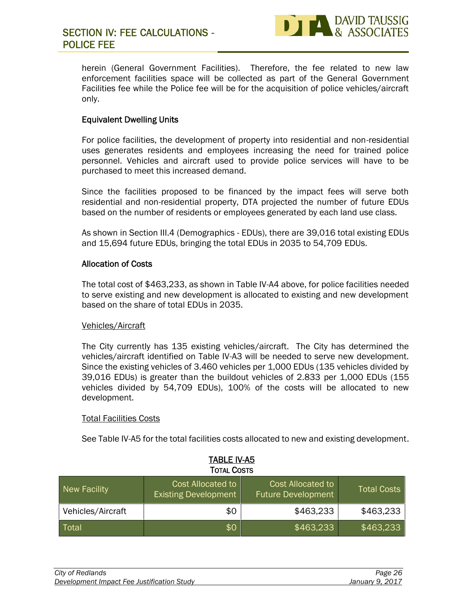

# **SECTION IV: FEE CALCULATIONS - POLICE FEE**

herein (General Government Facilities). Therefore, the fee related to new law enforcement facilities space will be collected as part of the General Government Facilities fee while the Police fee will be for the acquisition of police vehicles/aircraft only.

# **Equivalent Dwelling Units**

For police facilities, the development of property into residential and non-residential uses generates residents and employees increasing the need for trained police personnel. Vehicles and aircraft used to provide police services will have to be purchased to meet this increased demand.

Since the facilities proposed to be financed by the impact fees will serve both residential and non-residential property, DTA projected the number of future EDUs based on the number of residents or employees generated by each land use class.

As shown in Section III.4 (Demographics - EDUs), there are 39,016 total existing EDUs and 15,694 future EDUs, bringing the total EDUs in 2035 to 54,709 EDUs.

#### **Allocation of Costs**

The total cost of \$463,233, as shown in Table IV-A4 above, for police facilities needed to serve existing and new development is allocated to existing and new development based on the share of total EDUs in 2035.

#### Vehicles/Aircraft

The City currently has 135 existing vehicles/aircraft. The City has determined the vehicles/aircraft identified on Table IV-A3 will be needed to serve new development. Since the existing vehicles of 3.460 vehicles per 1,000 EDUs (135 vehicles divided by 39,016 EDUs) is greater than the buildout vehicles of 2.833 per 1,000 EDUs (155 vehicles divided by 54,709 EDUs), 100% of the costs will be allocated to new development.

#### Total Facilities Costs

See Table IV-A5 for the total facilities costs allocated to new and existing development.

| <b>TABLE IV-A5</b><br><b>TOTAL COSTS</b> |                                                         |                                                |                    |  |
|------------------------------------------|---------------------------------------------------------|------------------------------------------------|--------------------|--|
| New Facility                             | <b>Cost Allocated to</b><br><b>Existing Development</b> | Cost Allocated to<br><b>Future Development</b> | <b>Total Costs</b> |  |
| Vehicles/Aircraft                        | \$0                                                     | \$463,233                                      | \$463,233          |  |
| Total                                    | \$0                                                     | \$463,233                                      | \$463,233          |  |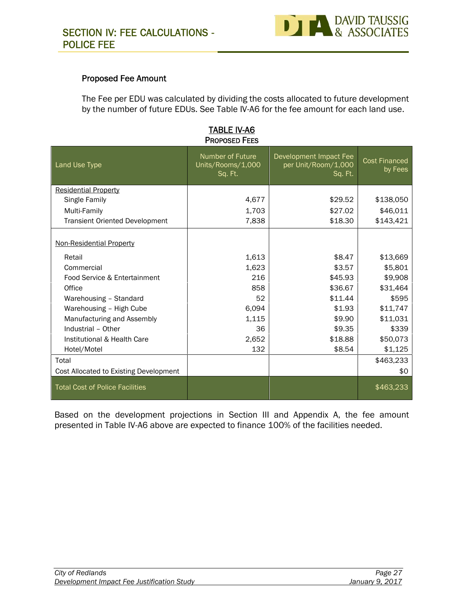

# **Proposed Fee Amount**

The Fee per EDU was calculated by dividing the costs allocated to future development by the number of future EDUs. See Table IV-A6 for the fee amount for each land use.

| <b>PROPOSED FEES</b>                   |                                                         |                                                          |                                 |  |  |
|----------------------------------------|---------------------------------------------------------|----------------------------------------------------------|---------------------------------|--|--|
| Land Use Type                          | <b>Number of Future</b><br>Units/Rooms/1,000<br>Sq. Ft. | Development Impact Fee<br>per Unit/Room/1,000<br>Sq. Ft. | <b>Cost Financed</b><br>by Fees |  |  |
| <b>Residential Property</b>            |                                                         |                                                          |                                 |  |  |
| Single Family                          | 4,677                                                   | \$29.52                                                  | \$138,050                       |  |  |
| Multi-Family                           | 1,703                                                   | \$27.02                                                  | \$46,011                        |  |  |
| <b>Transient Oriented Development</b>  | 7,838                                                   | \$18.30                                                  | \$143,421                       |  |  |
| <b>Non-Residential Property</b>        |                                                         |                                                          |                                 |  |  |
| Retail                                 | 1,613                                                   | \$8.47                                                   | \$13,669                        |  |  |
| Commercial                             | 1,623                                                   | \$3.57                                                   | \$5,801                         |  |  |
| Food Service & Entertainment           | 216                                                     | \$45.93                                                  | \$9,908                         |  |  |
| Office                                 | 858                                                     | \$36.67                                                  | \$31,464                        |  |  |
| Warehousing - Standard                 | 52                                                      | \$11.44                                                  | \$595                           |  |  |
| Warehousing - High Cube                | 6,094                                                   | \$1.93                                                   | \$11,747                        |  |  |
| Manufacturing and Assembly             | 1,115                                                   | \$9.90                                                   | \$11,031                        |  |  |
| Industrial - Other                     | 36                                                      | \$9.35                                                   | \$339                           |  |  |
| Institutional & Health Care            | 2,652                                                   | \$18.88                                                  | \$50,073                        |  |  |
| Hotel/Motel                            | 132                                                     | \$8.54                                                   | \$1,125                         |  |  |
| Total                                  |                                                         |                                                          | \$463,233                       |  |  |
| Cost Allocated to Existing Development |                                                         |                                                          | \$0                             |  |  |
| <b>Total Cost of Police Facilities</b> |                                                         |                                                          | \$463,233                       |  |  |

**TABLE IV-A6**

Based on the development projections in Section III and Appendix A, the fee amount presented in Table IV-A6 above are expected to finance 100% of the facilities needed.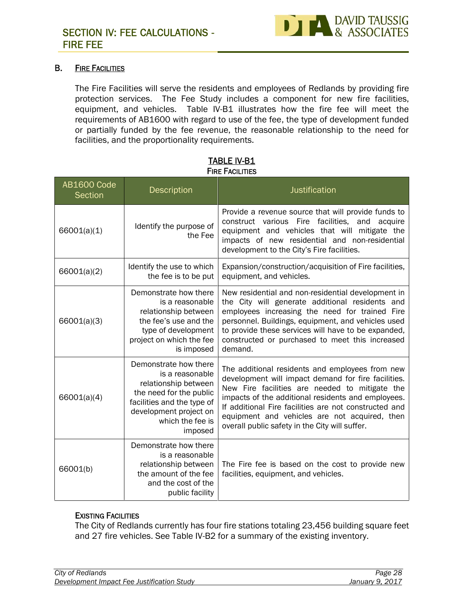

# **B. FIRE FACILITIES**

The Fire Facilities will serve the residents and employees of Redlands by providing fire protection services. The Fee Study includes a component for new fire facilities, equipment, and vehicles. Table IV-B1 illustrates how the fire fee will meet the requirements of AB1600 with regard to use of the fee, the type of development funded or partially funded by the fee revenue, the reasonable relationship to the need for facilities, and the proportionality requirements.

| <b>AB1600 Code</b><br><b>Section</b> | Description                                                                                                                                                                        | Justification                                                                                                                                                                                                                                                                                                                                                              |
|--------------------------------------|------------------------------------------------------------------------------------------------------------------------------------------------------------------------------------|----------------------------------------------------------------------------------------------------------------------------------------------------------------------------------------------------------------------------------------------------------------------------------------------------------------------------------------------------------------------------|
| 66001(a)(1)                          | Identify the purpose of<br>the Fee                                                                                                                                                 | Provide a revenue source that will provide funds to<br>construct various Fire facilities, and acquire<br>equipment and vehicles that will mitigate the<br>impacts of new residential and non-residential<br>development to the City's Fire facilities.                                                                                                                     |
| 66001(a)(2)                          | Identify the use to which<br>the fee is to be put                                                                                                                                  | Expansion/construction/acquisition of Fire facilities,<br>equipment, and vehicles.                                                                                                                                                                                                                                                                                         |
| 66001(a)(3)                          | Demonstrate how there<br>is a reasonable<br>relationship between<br>the fee's use and the<br>type of development<br>project on which the fee<br>is imposed                         | New residential and non-residential development in<br>the City will generate additional residents and<br>employees increasing the need for trained Fire<br>personnel. Buildings, equipment, and vehicles used<br>to provide these services will have to be expanded,<br>constructed or purchased to meet this increased<br>demand.                                         |
| 66001(a)(4)                          | Demonstrate how there<br>is a reasonable<br>relationship between<br>the need for the public<br>facilities and the type of<br>development project on<br>which the fee is<br>imposed | The additional residents and employees from new<br>development will impact demand for fire facilities.<br>New Fire facilities are needed to mitigate the<br>impacts of the additional residents and employees.<br>If additional Fire facilities are not constructed and<br>equipment and vehicles are not acquired, then<br>overall public safety in the City will suffer. |
| 66001(b)                             | Demonstrate how there<br>is a reasonable<br>relationship between<br>the amount of the fee<br>and the cost of the<br>public facility                                                | The Fire fee is based on the cost to provide new<br>facilities, equipment, and vehicles.                                                                                                                                                                                                                                                                                   |

# **TABLE IV-B1 FIRE FACILITIES**

# **EXISTING FACILITIES**

The City of Redlands currently has four fire stations totaling 23,456 building square feet and 27 fire vehicles. See Table IV-B2 for a summary of the existing inventory.

| City of Redlands                           | Page 28         |
|--------------------------------------------|-----------------|
| Development Impact Fee Justification Study | January 9, 2017 |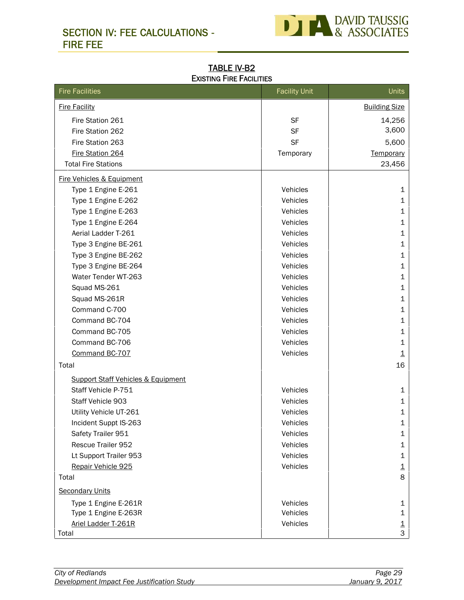# **SECTION IV: FEE CALCULATIONS - FIRE FEE**



**TABLE IV-B2 EXISTING FIRE FACILITIES**

| <b>Fire Facilities</b>                        | <b>Facility Unit</b> | Units                    |
|-----------------------------------------------|----------------------|--------------------------|
| <b>Fire Facility</b>                          |                      | <b>Building Size</b>     |
| Fire Station 261                              | <b>SF</b>            | 14,256                   |
| Fire Station 262                              | <b>SF</b>            | 3,600                    |
| Fire Station 263                              | <b>SF</b>            | 5,600                    |
| Fire Station 264                              | Temporary            | Temporary                |
| <b>Total Fire Stations</b>                    |                      | 23,456                   |
| Fire Vehicles & Equipment                     |                      |                          |
| Type 1 Engine E-261                           | Vehicles             | 1                        |
| Type 1 Engine E-262                           | Vehicles             | 1                        |
| Type 1 Engine E-263                           | Vehicles             | 1                        |
| Type 1 Engine E-264                           | Vehicles             | 1                        |
| Aerial Ladder T-261                           | Vehicles             | 1                        |
| Type 3 Engine BE-261                          | Vehicles             | 1                        |
| Type 3 Engine BE-262                          | Vehicles             | 1                        |
| Type 3 Engine BE-264                          | Vehicles             | 1                        |
| Water Tender WT-263                           | Vehicles             | 1                        |
| Squad MS-261                                  | Vehicles             | 1                        |
| Squad MS-261R                                 | Vehicles             | 1                        |
| Command C-700                                 | Vehicles             | 1                        |
| Command BC-704                                | Vehicles             | 1                        |
| Command BC-705                                | Vehicles             | 1                        |
| Command BC-706                                | Vehicles             | 1                        |
| Command BC-707                                | Vehicles             | $\overline{\mathbf{1}}$  |
| Total                                         |                      | 16                       |
| <b>Support Staff Vehicles &amp; Equipment</b> |                      |                          |
| Staff Vehicle P-751                           | Vehicles             | 1                        |
| Staff Vehicle 903                             | Vehicles             | 1                        |
| Utility Vehicle UT-261                        | Vehicles             | 1                        |
| Incident Suppt IS-263                         | Vehicles             | 1                        |
| Safety Trailer 951                            | Vehicles             | 1                        |
| Rescue Trailer 952                            | Vehicles             | 1                        |
| Lt Support Trailer 953                        | Vehicles             | 1                        |
| Repair Vehicle 925                            | Vehicles             | $\underline{\mathbf{1}}$ |
| Total                                         |                      | 8                        |
| <b>Secondary Units</b>                        |                      |                          |
| Type 1 Engine E-261R                          | Vehicles             | $\mathbf 1$              |
| Type 1 Engine E-263R                          | Vehicles             | 1                        |
| Ariel Ladder T-261R                           | Vehicles             | $\overline{\mathbf{1}}$  |
| Total                                         |                      | 3                        |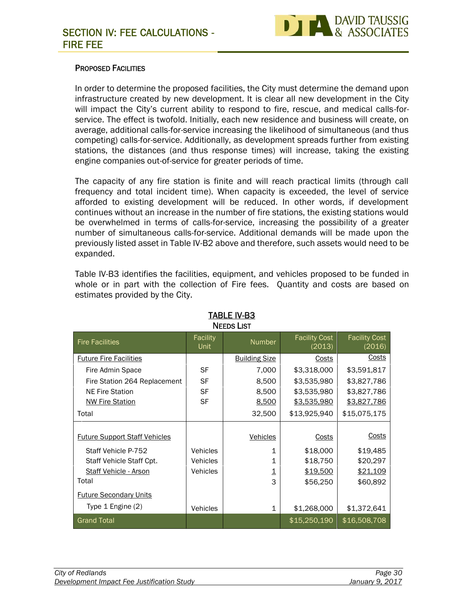

# **PROPOSED FACILITIES**

In order to determine the proposed facilities, the City must determine the demand upon infrastructure created by new development. It is clear all new development in the City will impact the City's current ability to respond to fire, rescue, and medical calls-for service. The effect is twofold. Initially, each new residence and business will create, on average, additional calls-for-service increasing the likelihood of simultaneous (and thus competing) calls-for-service. Additionally, as development spreads further from existing stations, the distances (and thus response times) will increase, taking the existing engine companies out-of-service for greater periods of time.

The capacity of any fire station is finite and will reach practical limits (through call frequency and total incident time). When capacity is exceeded, the level of service afforded to existing development will be reduced. In other words, if development continues without an increase in the number of fire stations, the existing stations would be overwhelmed in terms of calls-for-service, increasing the possibility of a greater number of simultaneous calls-for-service. Additional demands will be made upon the previously listed asset in Table IV-B2 above and therefore, such assets would need to be expanded.

Table IV-B3 identifies the facilities, equipment, and vehicles proposed to be funded in whole or in part with the collection of Fire fees. Quantity and costs are based on estimates provided by the City.

| <b>NEEDS LIST</b>                    |                  |                      |                                |                                |  |
|--------------------------------------|------------------|----------------------|--------------------------------|--------------------------------|--|
| <b>Fire Facilities</b>               | Facility<br>Unit | <b>Number</b>        | <b>Facility Cost</b><br>(2013) | <b>Facility Cost</b><br>(2016) |  |
| <b>Future Fire Facilities</b>        |                  | <b>Building Size</b> | Costs                          | Costs                          |  |
| Fire Admin Space                     | <b>SF</b>        | 7,000                | \$3,318,000                    | \$3,591,817                    |  |
| Fire Station 264 Replacement         | <b>SF</b>        | 8,500                | \$3,535,980                    | \$3,827,786                    |  |
| <b>NE Fire Station</b>               | <b>SF</b>        | 8,500                | \$3,535,980                    | \$3,827,786                    |  |
| <b>NW Fire Station</b>               | <b>SF</b>        | 8,500                | \$3,535,980                    | \$3,827,786                    |  |
| Total                                |                  | 32,500               | \$13,925,940                   | \$15,075,175                   |  |
|                                      |                  |                      |                                |                                |  |
| <b>Future Support Staff Vehicles</b> |                  | Vehicles             | <b>Costs</b>                   | Costs                          |  |
| Staff Vehicle P-752                  | <b>Vehicles</b>  | 1                    | \$18,000                       | \$19,485                       |  |
| Staff Vehicle Staff Cpt.             | <b>Vehicles</b>  | 1                    | \$18,750                       | \$20,297                       |  |
| Staff Vehicle - Arson                | <b>Vehicles</b>  | 1                    | \$19,500                       | \$21,109                       |  |
| Total                                |                  | 3                    | \$56,250                       | \$60,892                       |  |
| <b>Future Secondary Units</b>        |                  |                      |                                |                                |  |
| Type 1 Engine (2)                    | <b>Vehicles</b>  | 1                    | \$1,268,000                    | \$1,372,641                    |  |
| <b>Grand Total</b>                   |                  |                      | \$15,250,190                   | \$16,508,708                   |  |

**TABLE IV-B3**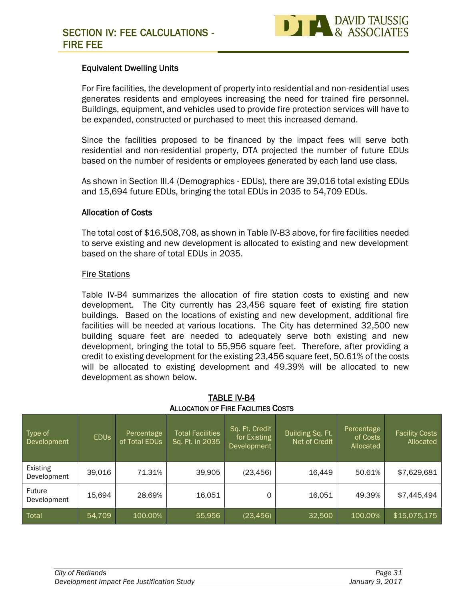

# **Equivalent Dwelling Units**

For Fire facilities, the development of property into residential and non-residential uses generates residents and employees increasing the need for trained fire personnel. Buildings, equipment, and vehicles used to provide fire protection services will have to be expanded, constructed or purchased to meet this increased demand.

Since the facilities proposed to be financed by the impact fees will serve both residential and non-residential property, DTA projected the number of future EDUs based on the number of residents or employees generated by each land use class.

As shown in Section III.4 (Demographics - EDUs), there are 39,016 total existing EDUs and 15,694 future EDUs, bringing the total EDUs in 2035 to 54,709 EDUs.

# **Allocation of Costs**

The total cost of \$16,508,708, as shown in Table IV-B3 above, for fire facilities needed to serve existing and new development is allocated to existing and new development based on the share of total EDUs in 2035.

# Fire Stations

Table IV-B4 summarizes the allocation of fire station costs to existing and new development. The City currently has 23,456 square feet of existing fire station buildings. Based on the locations of existing and new development, additional fire facilities will be needed at various locations. The City has determined 32,500 new building square feet are needed to adequately serve both existing and new development, bringing the total to 55,956 square feet. Therefore, after providing a credit to existing development for the existing 23,456 square feet, 50.61% of the costs will be allocated to existing development and 49.39% will be allocated to new development as shown below.

| Type of<br>Development  | <b>EDUS</b> | Percentage<br>of Total EDUs | <b>Total Facilities</b><br>Sq. Ft. in 2035 | Sq. Ft. Credit<br>for Existing<br><b>Development</b> | Building Sq. Ft.<br>Net of Credit | Percentage<br>of Costs<br>Allocated | <b>Facility Costs</b><br>Allocated |
|-------------------------|-------------|-----------------------------|--------------------------------------------|------------------------------------------------------|-----------------------------------|-------------------------------------|------------------------------------|
| Existing<br>Development | 39,016      | 71.31%                      | 39,905                                     | (23, 456)                                            | 16,449                            | 50.61%                              | \$7,629,681                        |
| Future<br>Development   | 15,694      | 28.69%                      | 16,051                                     | 0                                                    | 16,051                            | 49.39%                              | \$7,445,494                        |
| Total                   | 54,709      | 100.00%                     | 55,956                                     | (23, 456)                                            | 32,500                            | 100.00%                             | \$15,075,175                       |

# **TABLE IV-B4 ALLOCATION OF FIRE FACILITIES COSTS**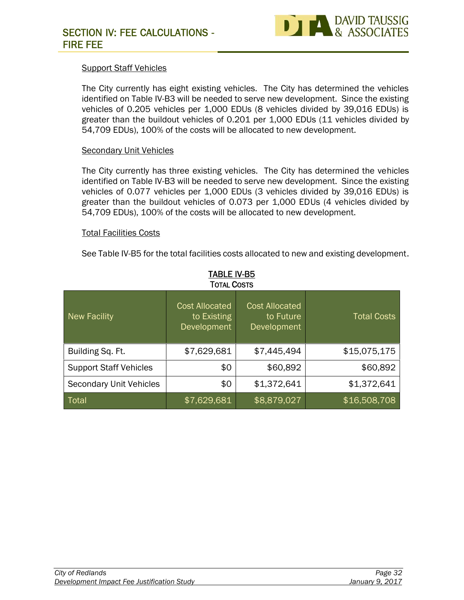

# Support Staff Vehicles

The City currently has eight existing vehicles. The City has determined the vehicles identified on Table IV-B3 will be needed to serve new development. Since the existing vehicles of 0.205 vehicles per 1,000 EDUs (8 vehicles divided by 39,016 EDUs) is greater than the buildout vehicles of 0.201 per 1,000 EDUs (11 vehicles divided by 54,709 EDUs), 100% of the costs will be allocated to new development.

#### Secondary Unit Vehicles

The City currently has three existing vehicles. The City has determined the vehicles identified on Table IV-B3 will be needed to serve new development. Since the existing vehicles of 0.077 vehicles per 1,000 EDUs (3 vehicles divided by 39,016 EDUs) is greater than the buildout vehicles of 0.073 per 1,000 EDUs (4 vehicles divided by 54,709 EDUs), 100% of the costs will be allocated to new development.

# Total Facilities Costs

See Table IV-B5 for the total facilities costs allocated to new and existing development.

| <b>New Facility</b>            | <b>Cost Allocated</b><br>to Existing<br>Development | <b>Cost Allocated</b><br>to Future<br>Development | <b>Total Costs</b> |
|--------------------------------|-----------------------------------------------------|---------------------------------------------------|--------------------|
| Building Sq. Ft.               | \$7,629,681                                         | \$7,445,494                                       | \$15,075,175       |
| <b>Support Staff Vehicles</b>  | \$0                                                 | \$60,892                                          | \$60,892           |
| <b>Secondary Unit Vehicles</b> | \$0                                                 | \$1,372,641                                       | \$1,372,641        |
| Total                          | \$7,629,681                                         | \$8,879,027                                       | \$16,508,708       |

# **TABLE IV-B5**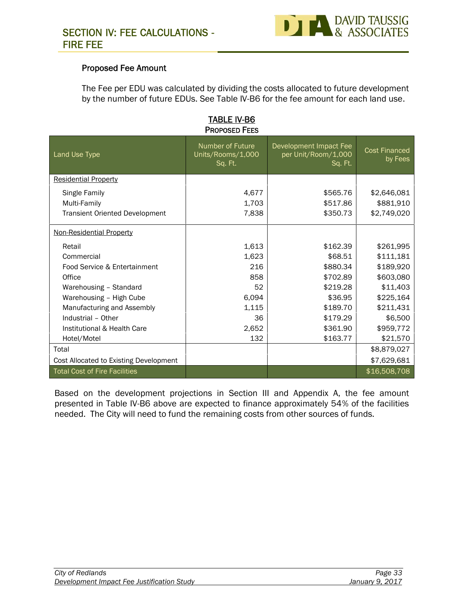

# **Proposed Fee Amount**

The Fee per EDU was calculated by dividing the costs allocated to future development by the number of future EDUs. See Table IV-B6 for the fee amount for each land use.

| <b>PROPOSED FEES</b>                   |                                                  |                                                          |                                 |  |  |
|----------------------------------------|--------------------------------------------------|----------------------------------------------------------|---------------------------------|--|--|
| Land Use Type                          | Number of Future<br>Units/Rooms/1,000<br>Sq. Ft. | Development Impact Fee<br>per Unit/Room/1,000<br>Sq. Ft. | <b>Cost Financed</b><br>by Fees |  |  |
| <b>Residential Property</b>            |                                                  |                                                          |                                 |  |  |
| Single Family                          | 4,677                                            | \$565.76                                                 | \$2,646,081                     |  |  |
| Multi-Family                           | 1,703                                            | \$517.86                                                 | \$881,910                       |  |  |
| <b>Transient Oriented Development</b>  | 7,838                                            | \$350.73                                                 | \$2,749,020                     |  |  |
| Non-Residential Property               |                                                  |                                                          |                                 |  |  |
| Retail                                 | 1,613                                            | \$162.39                                                 | \$261,995                       |  |  |
| Commercial                             | 1,623                                            | \$68.51                                                  | \$111,181                       |  |  |
| Food Service & Entertainment           | 216                                              | \$880.34                                                 | \$189,920                       |  |  |
| Office                                 | 858                                              | \$702.89                                                 | \$603,080                       |  |  |
| Warehousing - Standard                 | 52                                               | \$219.28                                                 | \$11,403                        |  |  |
| Warehousing - High Cube                | 6,094                                            | \$36.95                                                  | \$225,164                       |  |  |
| Manufacturing and Assembly             | 1,115                                            | \$189.70                                                 | \$211,431                       |  |  |
| Industrial - Other                     | 36                                               | \$179.29                                                 | \$6,500                         |  |  |
| Institutional & Health Care            | 2,652                                            | \$361.90                                                 | \$959,772                       |  |  |
| Hotel/Motel                            | 132                                              | \$163.77                                                 | \$21,570                        |  |  |
| Total                                  |                                                  |                                                          | \$8,879,027                     |  |  |
| Cost Allocated to Existing Development |                                                  |                                                          | \$7,629,681                     |  |  |
| <b>Total Cost of Fire Facilities</b>   |                                                  |                                                          | \$16,508,708                    |  |  |

# **TABLE IV-B6**

Based on the development projections in Section III and Appendix A, the fee amount presented in Table IV-B6 above are expected to finance approximately 54% of the facilities needed. The City will need to fund the remaining costs from other sources of funds.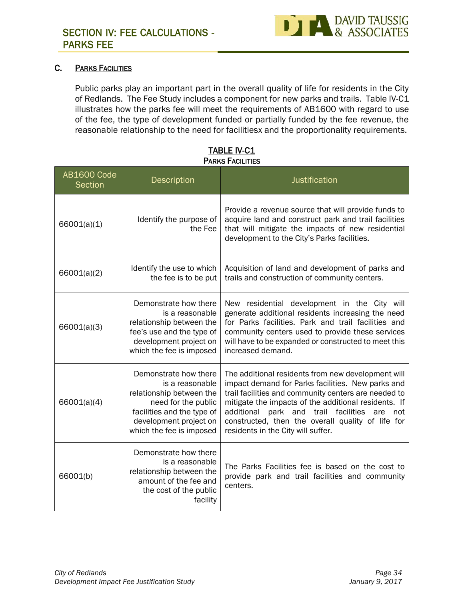

# **C. PARKS FACILITIES**

Public parks play an important part in the overall quality of life for residents in the City of Redlands. The Fee Study includes a component for new parks and trails. Table IV-C1 illustrates how the parks fee will meet the requirements of AB1600 with regard to use of the fee, the type of development funded or partially funded by the fee revenue, the reasonable relationship to the need for facilitiesx and the proportionality requirements.

| <b>AB1600 Code</b><br>Section | <b>Description</b>                                                                                                                                                              | Justification                                                                                                                                                                                                                                                                                                                                                         |
|-------------------------------|---------------------------------------------------------------------------------------------------------------------------------------------------------------------------------|-----------------------------------------------------------------------------------------------------------------------------------------------------------------------------------------------------------------------------------------------------------------------------------------------------------------------------------------------------------------------|
| 66001(a)(1)                   | Identify the purpose of<br>the Fee                                                                                                                                              | Provide a revenue source that will provide funds to<br>acquire land and construct park and trail facilities<br>that will mitigate the impacts of new residential<br>development to the City's Parks facilities.                                                                                                                                                       |
| 66001(a)(2)                   | Identify the use to which<br>the fee is to be put                                                                                                                               | Acquisition of land and development of parks and<br>trails and construction of community centers.                                                                                                                                                                                                                                                                     |
| 66001(a)(3)                   | Demonstrate how there<br>is a reasonable<br>relationship between the<br>fee's use and the type of<br>development project on<br>which the fee is imposed                         | New residential development in the City will<br>generate additional residents increasing the need<br>for Parks facilities. Park and trail facilities and<br>community centers used to provide these services<br>will have to be expanded or constructed to meet this<br>increased demand.                                                                             |
| 66001(a)(4)                   | Demonstrate how there<br>is a reasonable<br>relationship between the<br>need for the public<br>facilities and the type of<br>development project on<br>which the fee is imposed | The additional residents from new development will<br>impact demand for Parks facilities. New parks and<br>trail facilities and community centers are needed to<br>mitigate the impacts of the additional residents. If<br>additional park and trail facilities are<br>not<br>constructed, then the overall quality of life for<br>residents in the City will suffer. |
| 66001(b)                      | Demonstrate how there<br>is a reasonable<br>relationship between the<br>amount of the fee and<br>the cost of the public<br>facility                                             | The Parks Facilities fee is based on the cost to<br>provide park and trail facilities and community<br>centers.                                                                                                                                                                                                                                                       |

# **TABLE IV-C1 PARKS FACILITIES**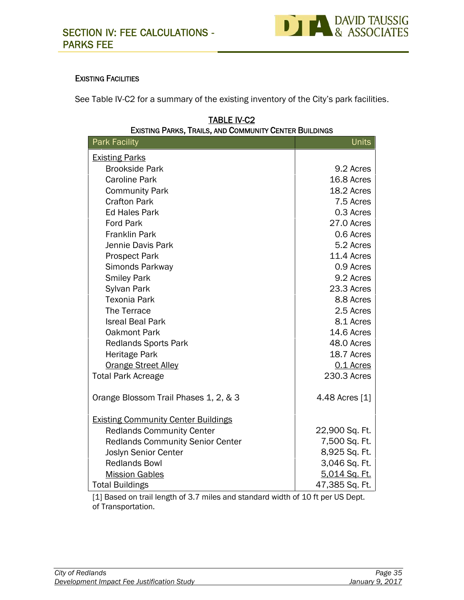

#### **EXISTING FACILITIES**

See Table IV-C2 for a summary of the existing inventory of the City's park facilities.

| LAIJIING I ANNJ, INAILJ, AND OUMMUNITI OENTEN DUILDINGJ |                |
|---------------------------------------------------------|----------------|
| <b>Park Facility</b>                                    | <b>Units</b>   |
| <b>Existing Parks</b>                                   |                |
| <b>Brookside Park</b>                                   | 9.2 Acres      |
| <b>Caroline Park</b>                                    | 16.8 Acres     |
| <b>Community Park</b>                                   | 18.2 Acres     |
| <b>Crafton Park</b>                                     | 7.5 Acres      |
| <b>Ed Hales Park</b>                                    | 0.3 Acres      |
| <b>Ford Park</b>                                        | 27.0 Acres     |
| <b>Franklin Park</b>                                    | 0.6 Acres      |
| Jennie Davis Park                                       | 5.2 Acres      |
| <b>Prospect Park</b>                                    | 11.4 Acres     |
| Simonds Parkway                                         | 0.9 Acres      |
| <b>Smiley Park</b>                                      | 9.2 Acres      |
| Sylvan Park                                             | 23.3 Acres     |
| <b>Texonia Park</b>                                     | 8.8 Acres      |
| The Terrace                                             | 2.5 Acres      |
| <b>Isreal Beal Park</b>                                 | 8.1 Acres      |
| <b>Oakmont Park</b>                                     | 14.6 Acres     |
| <b>Redlands Sports Park</b>                             | 48.0 Acres     |
| Heritage Park                                           | 18.7 Acres     |
| <b>Orange Street Alley</b>                              | 0.1 Acres      |
| <b>Total Park Acreage</b>                               | 230.3 Acres    |
| Orange Blossom Trail Phases 1, 2, & 3                   | 4.48 Acres [1] |
| <b>Existing Community Center Buildings</b>              |                |
| <b>Redlands Community Center</b>                        | 22,900 Sq. Ft. |
| <b>Redlands Community Senior Center</b>                 | 7,500 Sq. Ft.  |
| Joslyn Senior Center                                    | 8,925 Sq. Ft.  |
| <b>Redlands Bowl</b>                                    | 3,046 Sq. Ft.  |
| <b>Mission Gables</b>                                   | 5,014 Sq. Ft.  |
| <b>Total Buildings</b>                                  | 47,385 Sq. Ft. |

#### **TABLE IV-C2 EXISTING PARKS, TRAILS, AND COMMUNITY CENTER BUILDINGS**

[1] Based on trail length of 3.7 miles and standard width of 10 ft per US Dept. of Transportation.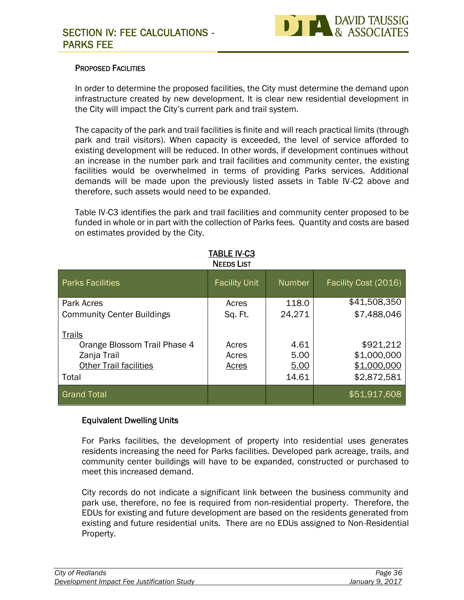

#### **PROPOSED FACILITIES**

In order to determine the proposed facilities, the City must determine the demand upon infrastructure created by new development. It is clear new residential development in the City will impact the City's current park and trail system.

The capacity of the park and trail facilities is finite and will reach practical limits (through park and trail visitors). When capacity is exceeded, the level of service afforded to existing development will be reduced. In other words, if development continues without an increase in the number park and trail facilities and community center, the existing facilities would be overwhelmed in terms of providing Parks services. Additional demands will be made upon the previously listed assets in Table IV-C2 above and therefore, such assets would need to be expanded.

Table IV-C3 identifies the park and trail facilities and community center proposed to be funded in whole or in part with the collection of Parks fees. Quantity and costs are based on estimates provided by the City.

| <b>TABLE IV-C3</b><br><b>NEEDS LIST</b> |                               |                                                        |
|-----------------------------------------|-------------------------------|--------------------------------------------------------|
| <b>Facility Unit</b>                    | <b>Number</b>                 | Facility Cost (2016)                                   |
| Acres                                   | 118.0                         | \$41,508,350                                           |
| Sq. Ft.                                 | 24,271                        | \$7,488,046                                            |
| Acres<br>Acres<br><b>Acres</b>          | 4.61<br>5.00<br>5.00<br>14.61 | \$921,212<br>\$1,000,000<br>\$1,000,000<br>\$2,872,581 |
|                                         |                               | \$51,917,608                                           |
|                                         |                               |                                                        |

#### **Equivalent Dwelling Units**

For Parks facilities, the development of property into residential uses generates residents increasing the need for Parks facilities. Developed park acreage, trails, and community center buildings will have to be expanded, constructed or purchased to meet this increased demand.

City records do not indicate a significant link between the business community and park use, therefore, no fee is required from non-residential property. Therefore, the EDUs for existing and future development are based on the residents generated from existing and future residential units. There are no EDUs assigned to Non-Residential Property.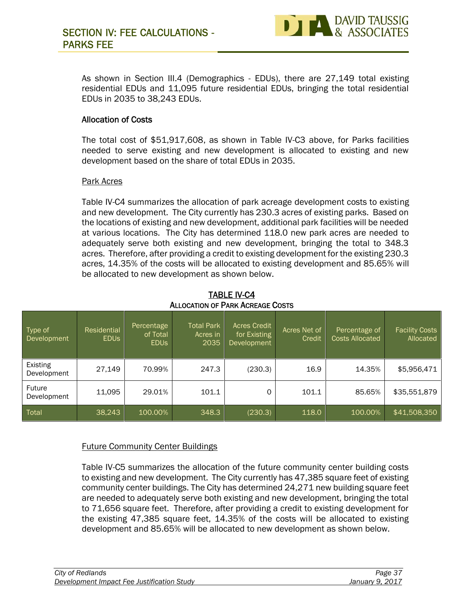

As shown in Section III.4 (Demographics - EDUs), there are 27,149 total existing residential EDUs and 11,095 future residential EDUs, bringing the total residential EDUs in 2035 to 38,243 EDUs.

#### **Allocation of Costs**

The total cost of \$51,917,608, as shown in Table IV-C3 above, for Parks facilities needed to serve existing and new development is allocated to existing and new development based on the share of total EDUs in 2035.

#### Park Acres

Table IV-C4 summarizes the allocation of park acreage development costs to existing and new development. The City currently has 230.3 acres of existing parks. Based on the locations of existing and new development, additional park facilities will be needed at various locations. The City has determined 118.0 new park acres are needed to adequately serve both existing and new development, bringing the total to 348.3 acres. Therefore, after providing a credit to existing development for the existing 230.3 acres, 14.35% of the costs will be allocated to existing development and 85.65% will be allocated to new development as shown below.

| ALLOCATION OF PARK ACREAGE COSTS |                            |                                       |                                       |                                                    |                        |                                         |                                    |
|----------------------------------|----------------------------|---------------------------------------|---------------------------------------|----------------------------------------------------|------------------------|-----------------------------------------|------------------------------------|
| Type of<br>Development           | Residential<br><b>EDUS</b> | Percentage<br>of Total<br><b>EDUS</b> | <b>Total Park</b><br>Acres in<br>2035 | <b>Acres Credit</b><br>for Existing<br>Development | Acres Net of<br>Credit | Percentage of<br><b>Costs Allocated</b> | <b>Facility Costs</b><br>Allocated |
| Existing<br>Development          | 27,149                     | 70.99%                                | 247.3                                 | (230.3)                                            | 16.9                   | 14.35%                                  | \$5,956,471                        |
| Future<br>Development            | 11,095                     | 29.01%                                | 101.1                                 | O                                                  | 101.1                  | 85.65%                                  | \$35,551,879                       |
| Total                            | 38,243                     | 100.00%                               | 348.3                                 | (230.3)                                            | 118.0                  | 100.00%                                 | \$41,508,350                       |

**TABLE IV-C4 ALLOCATION OF PARK ACREAGE COSTS**

#### Future Community Center Buildings

Table IV-C5 summarizes the allocation of the future community center building costs to existing and new development. The City currently has 47,385 square feet of existing community center buildings. The City has determined 24,271 new building square feet are needed to adequately serve both existing and new development, bringing the total to 71,656 square feet. Therefore, after providing a credit to existing development for the existing 47,385 square feet, 14.35% of the costs will be allocated to existing development and 85.65% will be allocated to new development as shown below.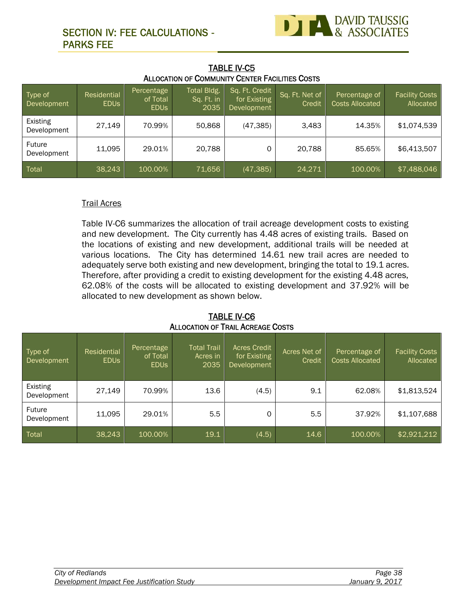# **SECTION IV: FEE CALCULATIONS - PARKS FEE**



| <b>TABLE IV-C5</b>                              |  |
|-------------------------------------------------|--|
| ALLOCATION OF COMMUNITY CENTER FACILITIES COSTS |  |

| Type of<br>Development  | Residential<br><b>EDUS</b> | Percentage<br>of Total<br><b>EDUS</b> | Total Bldg.<br>Sq. Ft. in<br>2035 | Sq. Ft. Credit<br>for Existing<br>Development | Sq. Ft. Net of<br>Credit | Percentage of<br><b>Costs Allocated</b> | <b>Facility Costs</b><br>Allocated |
|-------------------------|----------------------------|---------------------------------------|-----------------------------------|-----------------------------------------------|--------------------------|-----------------------------------------|------------------------------------|
| Existing<br>Development | 27,149                     | 70.99%                                | 50,868                            | (47, 385)                                     | 3,483                    | 14.35%                                  | \$1,074,539                        |
| Future<br>Development   | 11,095                     | 29.01%                                | 20,788                            | 0                                             | 20,788                   | 85.65%                                  | \$6,413,507                        |
| Total                   | 38,243                     | 100.00%                               | 71,656                            | (47, 385)                                     | 24,271                   | 100.00%                                 | \$7,488,046                        |

#### Trail Acres

Table IV-C6 summarizes the allocation of trail acreage development costs to existing and new development. The City currently has 4.48 acres of existing trails. Based on the locations of existing and new development, additional trails will be needed at various locations. The City has determined 14.61 new trail acres are needed to adequately serve both existing and new development, bringing the total to 19.1 acres. Therefore, after providing a credit to existing development for the existing 4.48 acres, 62.08% of the costs will be allocated to existing development and 37.92% will be allocated to new development as shown below.

| Type of<br>Development         | Residential<br><b>EDUS</b> | Percentage<br>of Total<br><b>EDUS</b> | <b>Total Trail</b><br>Acres in<br>2035 | <b>Acres Credit</b><br>for Existing<br>Development | Acres Net of<br>Credit | Percentage of<br><b>Costs Allocated</b> | <b>Facility Costs</b><br>Allocated |
|--------------------------------|----------------------------|---------------------------------------|----------------------------------------|----------------------------------------------------|------------------------|-----------------------------------------|------------------------------------|
| <b>Existing</b><br>Development | 27,149                     | 70.99%                                | 13.6                                   | (4.5)                                              | 9.1                    | 62.08%                                  | \$1,813,524                        |
| Future<br>Development          | 11,095                     | 29.01%                                | 5.5                                    | $\Omega$                                           | 5.5                    | 37.92%                                  | \$1,107,688                        |
| Total                          | 38,243                     | 100.00%                               | 19.1                                   | (4.5)                                              | 14.6                   | 100.00%                                 | \$2,921,212                        |

**TABLE IV-C6 ALLOCATION OF TRAIL ACREAGE COSTS**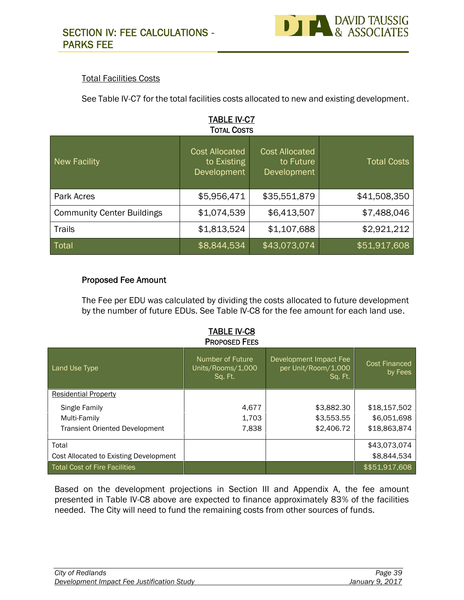

#### Total Facilities Costs

See Table IV-C7 for the total facilities costs allocated to new and existing development.

| <b>New Facility</b>               | <b>Cost Allocated</b><br>to Existing<br>Development | <b>Cost Allocated</b><br>to Future<br>Development | <b>Total Costs</b> |
|-----------------------------------|-----------------------------------------------------|---------------------------------------------------|--------------------|
| Park Acres                        | \$5,956,471                                         | \$35,551,879                                      | \$41,508,350       |
| <b>Community Center Buildings</b> | \$1,074,539                                         | \$6,413,507                                       | \$7,488,046        |
| <b>Trails</b>                     | \$1,813,524                                         | \$1,107,688                                       | \$2,921,212        |
| Total                             | \$8,844,534                                         | \$43,073,074                                      | \$51,917,608       |

#### **Proposed Fee Amount**

The Fee per EDU was calculated by dividing the costs allocated to future development by the number of future EDUs. See Table IV-C8 for the fee amount for each land use.

|                                        | <b>TABLE IV-C8</b><br><b>PROPOSED FEES</b>       |                                                          |                          |
|----------------------------------------|--------------------------------------------------|----------------------------------------------------------|--------------------------|
| Land Use Type                          | Number of Future<br>Units/Rooms/1,000<br>Sq. Ft. | Development Impact Fee<br>per Unit/Room/1,000<br>Sq. Ft. | Cost Financed<br>by Fees |
| <b>Residential Property</b>            |                                                  |                                                          |                          |
| Single Family                          | 4,677                                            | \$3,882.30                                               | \$18,157,502             |
| Multi-Family                           | 1,703                                            | \$3,553.55                                               | \$6,051,698              |
| <b>Transient Oriented Development</b>  | 7,838                                            | \$2,406.72                                               | \$18,863,874             |
| Total                                  |                                                  |                                                          | \$43,073,074             |
| Cost Allocated to Existing Development |                                                  |                                                          | \$8,844,534              |
| <b>Total Cost of Fire Facilities</b>   |                                                  |                                                          | \$\$51,917,608           |

Based on the development projections in Section III and Appendix A, the fee amount presented in Table IV-C8 above are expected to finance approximately 83% of the facilities needed. The City will need to fund the remaining costs from other sources of funds.

| City of Redlands                           | Page 39         |
|--------------------------------------------|-----------------|
| Development Impact Fee Justification Study | January 9, 2017 |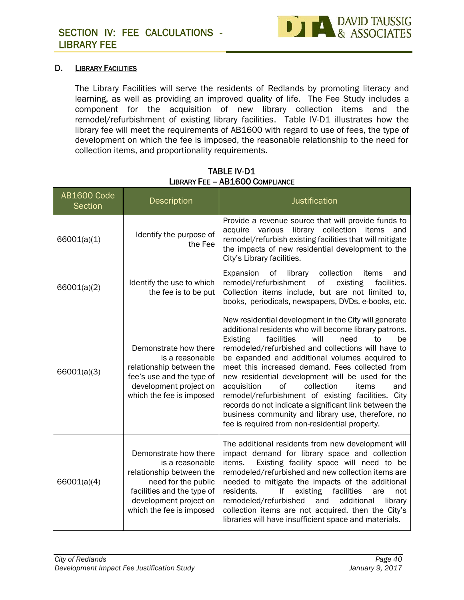

#### **D. LIBRARY FACILITIES**

The Library Facilities will serve the residents of Redlands by promoting literacy and learning, as well as providing an improved quality of life. The Fee Study includes a component for the acquisition of new library collection items and the remodel/refurbishment of existing library facilities. Table IV-D1 illustrates how the library fee will meet the requirements of AB1600 with regard to use of fees, the type of development on which the fee is imposed, the reasonable relationship to the need for collection items, and proportionality requirements.

| AB1600 Code<br>Section | Description                                                                                                                                                                     | <b>Justification</b>                                                                                                                                                                                                                                                                                                                                                                                                                                                                                                                                                                                                                                                 |
|------------------------|---------------------------------------------------------------------------------------------------------------------------------------------------------------------------------|----------------------------------------------------------------------------------------------------------------------------------------------------------------------------------------------------------------------------------------------------------------------------------------------------------------------------------------------------------------------------------------------------------------------------------------------------------------------------------------------------------------------------------------------------------------------------------------------------------------------------------------------------------------------|
| 66001(a)(1)            | Identify the purpose of<br>the Fee                                                                                                                                              | Provide a revenue source that will provide funds to<br>library collection<br>acquire various<br>items and<br>remodel/refurbish existing facilities that will mitigate<br>the impacts of new residential development to the<br>City's Library facilities.                                                                                                                                                                                                                                                                                                                                                                                                             |
| 66001(a)(2)            | Identify the use to which<br>the fee is to be put                                                                                                                               | Expansion<br>of<br>library<br>collection<br>items<br>and<br>remodel/refurbishment<br>оf<br>existing<br>facilities.<br>Collection items include, but are not limited to,<br>books, periodicals, newspapers, DVDs, e-books, etc.                                                                                                                                                                                                                                                                                                                                                                                                                                       |
| 66001(a)(3)            | Demonstrate how there<br>is a reasonable<br>relationship between the<br>fee's use and the type of<br>development project on<br>which the fee is imposed                         | New residential development in the City will generate<br>additional residents who will become library patrons.<br><b>Existing</b><br>facilities<br>will<br>need<br>to<br>be<br>remodeled/refurbished and collections will have to<br>be expanded and additional volumes acquired to<br>meet this increased demand. Fees collected from<br>new residential development will be used for the<br>acquisition<br>of<br>collection<br>items<br>and<br>remodel/refurbishment of existing facilities. City<br>records do not indicate a significant link between the<br>business community and library use, therefore, no<br>fee is required from non-residential property. |
| 66001(a)(4)            | Demonstrate how there<br>is a reasonable<br>relationship between the<br>need for the public<br>facilities and the type of<br>development project on<br>which the fee is imposed | The additional residents from new development will<br>impact demand for library space and collection<br>Existing facility space will need to be<br>items.<br>remodeled/refurbished and new collection items are<br>needed to mitigate the impacts of the additional<br>lf<br>facilities<br>residents.<br>existing<br>are<br>not<br>remodeled/refurbished<br>and<br>additional<br>library<br>collection items are not acquired, then the City's<br>libraries will have insufficient space and materials.                                                                                                                                                              |

#### **TABLE IV-D1 LIBRARY FEE – AB1600 COMPLIANCE**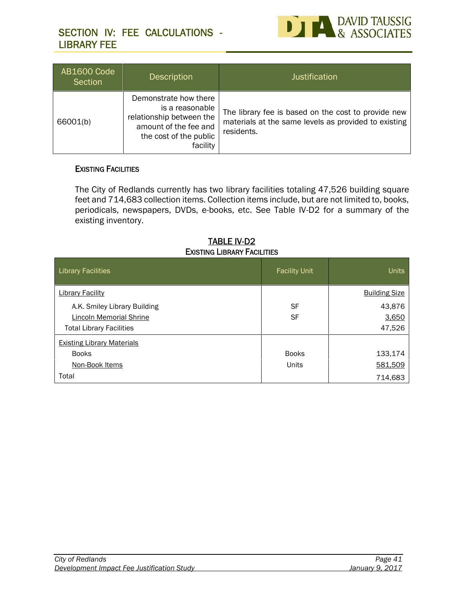# **SECTION IV: FEE CALCULATIONS - LIBRARY FEE**



| <b>AB1600 Code</b><br>Section | <b>Description</b>                                                                                                                  | <b>Justification</b>                                                                                                      |
|-------------------------------|-------------------------------------------------------------------------------------------------------------------------------------|---------------------------------------------------------------------------------------------------------------------------|
| 66001(b)                      | Demonstrate how there<br>is a reasonable<br>relationship between the<br>amount of the fee and<br>the cost of the public<br>facility | The library fee is based on the cost to provide new<br>materials at the same levels as provided to existing<br>residents. |

#### **EXISTING FACILITIES**

The City of Redlands currently has two library facilities totaling 47,526 building square feet and 714,683 collection items. Collection items include, but are not limited to, books, periodicals, newspapers, DVDs, e-books, etc. See Table IV-D2 for a summary of the existing inventory.

#### **TABLE IV-D2 EXISTING LIBRARY FACILITIES**

| <b>Library Facilities</b>         | <b>Facility Unit</b> | <b>Units</b>         |
|-----------------------------------|----------------------|----------------------|
| <b>Library Facility</b>           |                      | <b>Building Size</b> |
| A.K. Smiley Library Building      | <b>SF</b>            | 43,876               |
| Lincoln Memorial Shrine           | <b>SF</b>            | 3,650                |
| <b>Total Library Facilities</b>   |                      | 47,526               |
| <b>Existing Library Materials</b> |                      |                      |
| <b>Books</b>                      | <b>Books</b>         | 133,174              |
| Non-Book Items                    | Units                | 581,509              |
| Total                             |                      | 714,683              |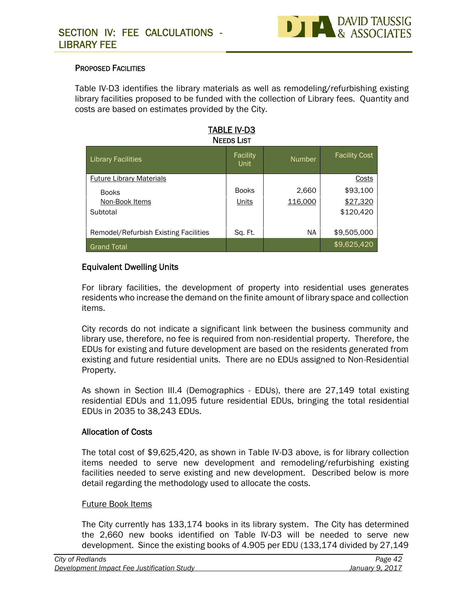

#### **PROPOSED FACILITIES**

Table IV-D3 identifies the library materials as well as remodeling/refurbishing existing library facilities proposed to be funded with the collection of Library fees. Quantity and costs are based on estimates provided by the City.

| IADLE IV-DJ<br><b>NEEDS LIST</b>      |                  |               |                      |  |
|---------------------------------------|------------------|---------------|----------------------|--|
| <b>Library Facilities</b>             | Facility<br>Unit | <b>Number</b> | <b>Facility Cost</b> |  |
| <b>Future Library Materials</b>       |                  |               | <b>Costs</b>         |  |
| <b>Books</b>                          | <b>Books</b>     | 2,660         | \$93,100             |  |
| Non-Book Items                        | Units            | 116,000       | \$27,320             |  |
| Subtotal                              |                  |               | \$120,420            |  |
| Remodel/Refurbish Existing Facilities | Sq. Ft.          | NA            | \$9,505,000          |  |
| <b>Grand Total</b>                    |                  |               | \$9,625,420          |  |

**TABLE IV-D3**

#### **Equivalent Dwelling Units**

For library facilities, the development of property into residential uses generates residents who increase the demand on the finite amount of library space and collection items.

City records do not indicate a significant link between the business community and library use, therefore, no fee is required from non-residential property. Therefore, the EDUs for existing and future development are based on the residents generated from existing and future residential units. There are no EDUs assigned to Non-Residential Property.

As shown in Section III.4 (Demographics - EDUs), there are 27,149 total existing residential EDUs and 11,095 future residential EDUs, bringing the total residential EDUs in 2035 to 38,243 EDUs.

#### **Allocation of Costs**

The total cost of \$9,625,420, as shown in Table IV-D3 above, is for library collection items needed to serve new development and remodeling/refurbishing existing facilities needed to serve existing and new development. Described below is more detail regarding the methodology used to allocate the costs.

#### Future Book Items

The City currently has 133,174 books in its library system. The City has determined the 2,660 new books identified on Table IV-D3 will be needed to serve new development. Since the existing books of 4.905 per EDU (133,174 divided by 27,149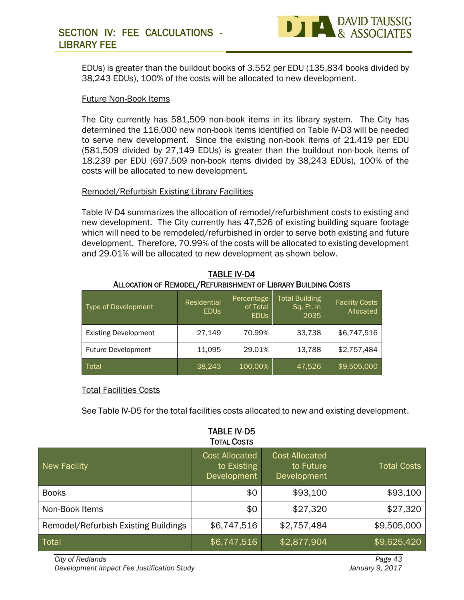# **SECTION IV: FEE CALCULATIONS - LIBRARY FEE**



EDUs) is greater than the buildout books of 3.552 per EDU (135,834 books divided by 38,243 EDUs), 100% of the costs will be allocated to new development.

#### Future Non-Book Items

The City currently has 581,509 non-book items in its library system. The City has determined the 116,000 new non-book items identified on Table IV-D3 will be needed to serve new development. Since the existing non-book items of 21.419 per EDU (581,509 divided by 27,149 EDUs) is greater than the buildout non-book items of 18.239 per EDU (697,509 non-book items divided by 38,243 EDUs), 100% of the costs will be allocated to new development.

#### Remodel/Refurbish Existing Library Facilities

Table IV-D4 summarizes the allocation of remodel/refurbishment costs to existing and new development. The City currently has 47,526 of existing building square footage which will need to be remodeled/refurbished in order to serve both existing and future development. Therefore, 70.99% of the costs will be allocated to existing development and 29.01% will be allocated to new development as shown below.

| Type of Development         | Residential<br><b>EDUS</b> | Percentage<br>of Total<br><b>EDUS</b> | <b>Total Building</b><br>Sq. Ft. in<br>2035 | <b>Facility Costs</b><br>Allocated |
|-----------------------------|----------------------------|---------------------------------------|---------------------------------------------|------------------------------------|
| <b>Existing Development</b> | 27,149                     | 70.99%                                | 33,738                                      | \$6,747,516                        |
| <b>Future Development</b>   | 11,095                     | 29.01%                                | 13,788                                      | \$2,757,484                        |
| Total                       | 38,243                     | 100.00%                               | 47,526                                      | \$9,505,000                        |

**TABLE IV-D4 ALLOCATION OF REMODEL/REFURBISHMENT OF LIBRARY BUILDING COSTS**

#### Total Facilities Costs

See Table IV-D5 for the total facilities costs allocated to new and existing development.

|                                                                | <b>TOTAL COSTS</b>                                  |                                                   |                            |
|----------------------------------------------------------------|-----------------------------------------------------|---------------------------------------------------|----------------------------|
| <b>New Facility</b>                                            | <b>Cost Allocated</b><br>to Existing<br>Development | <b>Cost Allocated</b><br>to Future<br>Development | <b>Total Costs</b>         |
| <b>Books</b>                                                   | \$0                                                 | \$93,100                                          | \$93,100                   |
| Non-Book Items                                                 | \$0                                                 | \$27,320                                          | \$27,320                   |
| Remodel/Refurbish Existing Buildings                           | \$6,747,516                                         | \$2,757,484                                       | \$9,505,000                |
| Total                                                          | \$6,747,516                                         | \$2,877,904                                       | \$9,625,420                |
| City of Redlands<br>Development Impact Fee Justification Study |                                                     |                                                   | Page 43<br>January 9, 2017 |

# **TABLE IV-D5**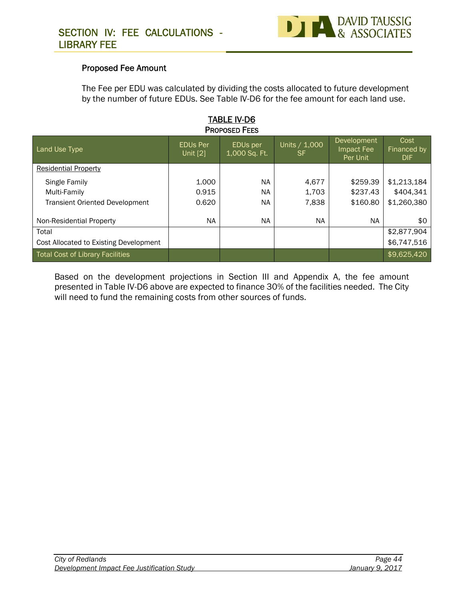

#### **Proposed Fee Amount**

The Fee per EDU was calculated by dividing the costs allocated to future development by the number of future EDUs. See Table IV-D6 for the fee amount for each land use.

| <b>PROPOSED FEES</b>                    |                               |                                       |                     |                                       |                             |
|-----------------------------------------|-------------------------------|---------------------------------------|---------------------|---------------------------------------|-----------------------------|
| Land Use Type                           | <b>EDUs Per</b><br>Unit $[2]$ | EDU <sub>s</sub> per<br>1,000 Sq. Ft. | Units / 1,000<br>SF | Development<br>Impact Fee<br>Per Unit | Cost<br>Financed by<br>DIF. |
| <b>Residential Property</b>             |                               |                                       |                     |                                       |                             |
| Single Family                           | 1.000                         | <b>NA</b>                             | 4,677               | \$259.39                              | \$1,213,184                 |
| Multi-Family                            | 0.915                         | <b>NA</b>                             | 1.703               | \$237.43                              | \$404,341                   |
| <b>Transient Oriented Development</b>   | 0.620                         | <b>NA</b>                             | 7,838               | \$160.80                              | \$1,260,380                 |
| Non-Residential Property                | <b>NA</b>                     | <b>NA</b>                             | <b>NA</b>           | NA.                                   | \$0                         |
| Total                                   |                               |                                       |                     |                                       | \$2,877,904                 |
| Cost Allocated to Existing Development  |                               |                                       |                     |                                       | \$6,747,516                 |
| <b>Total Cost of Library Facilities</b> |                               |                                       |                     |                                       | \$9,625,420                 |

**TABLE IV-D6**

Based on the development projections in Section III and Appendix A, the fee amount presented in Table IV-D6 above are expected to finance 30% of the facilities needed. The City will need to fund the remaining costs from other sources of funds.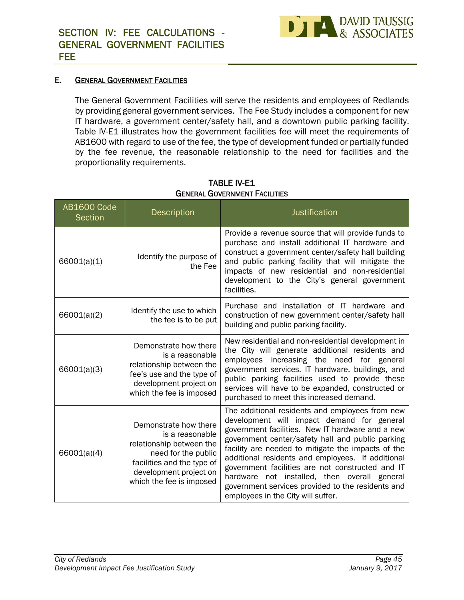

#### **E. GENERAL GOVERNMENT FACILITIES**

The General Government Facilities will serve the residents and employees of Redlands by providing general government services. The Fee Study includes a component for new IT hardware, a government center/safety hall, and a downtown public parking facility. Table IV-E1 illustrates how the government facilities fee will meet the requirements of AB1600 with regard to use of the fee, the type of development funded or partially funded by the fee revenue, the reasonable relationship to the need for facilities and the proportionality requirements.

| <b>AB1600 Code</b><br><b>Section</b> | Description                                                                                                                                                                     | <b>Justification</b>                                                                                                                                                                                                                                                                                                                                                                                                                                                                                            |
|--------------------------------------|---------------------------------------------------------------------------------------------------------------------------------------------------------------------------------|-----------------------------------------------------------------------------------------------------------------------------------------------------------------------------------------------------------------------------------------------------------------------------------------------------------------------------------------------------------------------------------------------------------------------------------------------------------------------------------------------------------------|
| 66001(a)(1)                          | Identify the purpose of<br>the Fee                                                                                                                                              | Provide a revenue source that will provide funds to<br>purchase and install additional IT hardware and<br>construct a government center/safety hall building<br>and public parking facility that will mitigate the<br>impacts of new residential and non-residential<br>development to the City's general government<br>facilities.                                                                                                                                                                             |
| 66001(a)(2)                          | Identify the use to which<br>the fee is to be put                                                                                                                               | Purchase and installation of IT hardware and<br>construction of new government center/safety hall<br>building and public parking facility.                                                                                                                                                                                                                                                                                                                                                                      |
| 66001(a)(3)                          | Demonstrate how there<br>is a reasonable<br>relationship between the<br>fee's use and the type of<br>development project on<br>which the fee is imposed                         | New residential and non-residential development in<br>the City will generate additional residents and<br>employees increasing the need for general<br>government services. IT hardware, buildings, and<br>public parking facilities used to provide these<br>services will have to be expanded, constructed or<br>purchased to meet this increased demand.                                                                                                                                                      |
| 66001(a)(4)                          | Demonstrate how there<br>is a reasonable<br>relationship between the<br>need for the public<br>facilities and the type of<br>development project on<br>which the fee is imposed | The additional residents and employees from new<br>development will impact demand for general<br>government facilities. New IT hardware and a new<br>government center/safety hall and public parking<br>facility are needed to mitigate the impacts of the<br>additional residents and employees. If additional<br>government facilities are not constructed and IT<br>hardware not installed, then overall general<br>government services provided to the residents and<br>employees in the City will suffer. |

#### **TABLE IV-E1 GENERAL GOVERNMENT FACILITIES**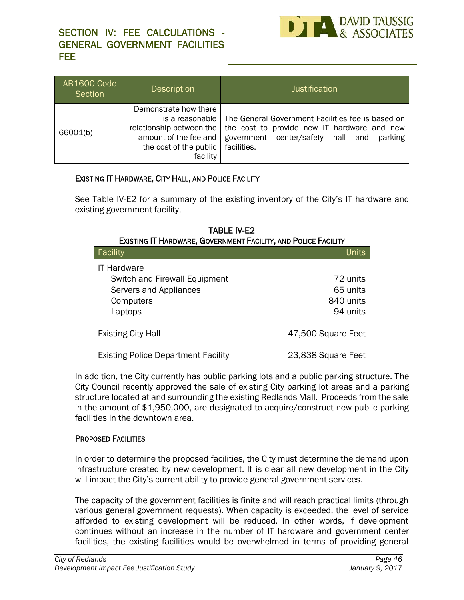

| AB1600 Code<br>Section | <b>Description</b>                                                                                                                    | <b>Justification</b>                                                                                                                                            |
|------------------------|---------------------------------------------------------------------------------------------------------------------------------------|-----------------------------------------------------------------------------------------------------------------------------------------------------------------|
| 66001(b)               | Demonstrate how there<br>is a reasonable  <br>relationship between the<br>amount of the fee and<br>the cost of the public<br>facility | The General Government Facilities fee is based on<br>the cost to provide new IT hardware and new<br>government center/safety hall and<br>parking<br>facilities. |

#### **EXISTING IT HARDWARE, CITY HALL, AND POLICE FACILITY**

See Table IV-E2 for a summary of the existing inventory of the City's IT hardware and existing government facility.

| EXISTING IT HARDWARE, GOVERNMENT FACILITY, AND POLICE FACILITY |                    |  |  |
|----------------------------------------------------------------|--------------------|--|--|
| Facility                                                       | <b>Units</b>       |  |  |
| <b>IT Hardware</b>                                             |                    |  |  |
| Switch and Firewall Equipment                                  | 72 units           |  |  |
| Servers and Appliances                                         | 65 units           |  |  |
| Computers                                                      | 840 units          |  |  |
| Laptops                                                        | 94 units           |  |  |
| <b>Existing City Hall</b>                                      | 47,500 Square Feet |  |  |
| <b>Existing Police Department Facility</b>                     | 23,838 Square Feet |  |  |

**TABLE IV-E2**

In addition, the City currently has public parking lots and a public parking structure. The City Council recently approved the sale of existing City parking lot areas and a parking structure located at and surrounding the existing Redlands Mall. Proceeds from the sale in the amount of \$1,950,000, are designated to acquire/construct new public parking facilities in the downtown area.

#### **PROPOSED FACILITIES**

In order to determine the proposed facilities, the City must determine the demand upon infrastructure created by new development. It is clear all new development in the City will impact the City's current ability to provide general government services.

The capacity of the government facilities is finite and will reach practical limits (through various general government requests). When capacity is exceeded, the level of service afforded to existing development will be reduced. In other words, if development continues without an increase in the number of IT hardware and government center facilities, the existing facilities would be overwhelmed in terms of providing general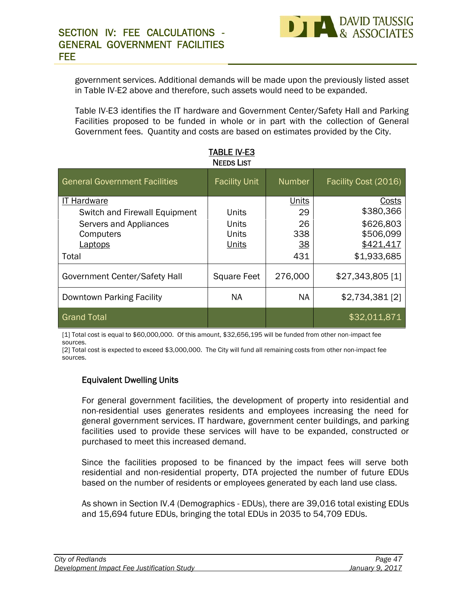government services. Additional demands will be made upon the previously listed asset in Table IV-E2 above and therefore, such assets would need to be expanded.

Table IV-E3 identifies the IT hardware and Government Center/Safety Hall and Parking Facilities proposed to be funded in whole or in part with the collection of General Government fees. Quantity and costs are based on estimates provided by the City.

| <b>General Government Facilities</b> | <b>Facility Unit</b> | <b>Number</b>    | Facility Cost (2016) |
|--------------------------------------|----------------------|------------------|----------------------|
| <b>IT Hardware</b>                   |                      | <b>Units</b>     | <b>Costs</b>         |
| Switch and Firewall Equipment        | Units                | 29               | \$380,366            |
| Servers and Appliances               | Units                | 26               | \$626,803            |
| Computers                            | Units                | 338              | \$506,099            |
| <u>Laptops</u>                       | <b>Units</b>         | $\underline{38}$ | \$421,417            |
| Total                                |                      | 431              | \$1,933,685          |
| Government Center/Safety Hall        | <b>Square Feet</b>   | 276,000          | $$27,343,805$ [1]    |
| Downtown Parking Facility            | <b>NA</b>            | <b>NA</b>        | $$2,734,381$ [2]     |
| <b>Grand Total</b>                   |                      |                  | \$32,011,871         |

**TABLE IV-E3**

[1] Total cost is equal to \$60,000,000. Of this amount, \$32,656,195 will be funded from other non-impact fee sources.

[2] Total cost is expected to exceed \$3,000,000. The City will fund all remaining costs from other non-impact fee sources.

#### **Equivalent Dwelling Units**

For general government facilities, the development of property into residential and non-residential uses generates residents and employees increasing the need for general government services. IT hardware, government center buildings, and parking facilities used to provide these services will have to be expanded, constructed or purchased to meet this increased demand.

Since the facilities proposed to be financed by the impact fees will serve both residential and non-residential property, DTA projected the number of future EDUs based on the number of residents or employees generated by each land use class.

As shown in Section IV.4 (Demographics - EDUs), there are 39,016 total existing EDUs and 15,694 future EDUs, bringing the total EDUs in 2035 to 54,709 EDUs.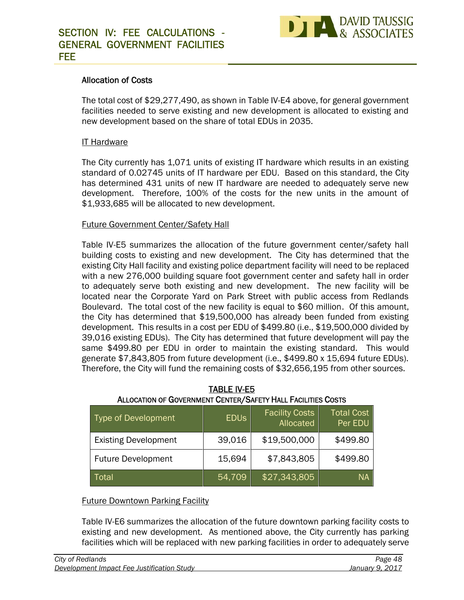

#### **Allocation of Costs**

The total cost of \$29,277,490, as shown in Table IV-E4 above, for general government facilities needed to serve existing and new development is allocated to existing and new development based on the share of total EDUs in 2035.

#### IT Hardware

The City currently has 1,071 units of existing IT hardware which results in an existing standard of 0.02745 units of IT hardware per EDU. Based on this standard, the City has determined 431 units of new IT hardware are needed to adequately serve new development. Therefore, 100% of the costs for the new units in the amount of \$1,933,685 will be allocated to new development.

#### Future Government Center/Safety Hall

Table IV-E5 summarizes the allocation of the future government center/safety hall building costs to existing and new development. The City has determined that the existing City Hall facility and existing police department facility will need to be replaced with a new 276,000 building square foot government center and safety hall in order to adequately serve both existing and new development. The new facility will be located near the Corporate Yard on Park Street with public access from Redlands Boulevard. The total cost of the new facility is equal to \$60 million. Of this amount, the City has determined that \$19,500,000 has already been funded from existing development. This results in a cost per EDU of \$499.80 (i.e., \$19,500,000 divided by 39,016 existing EDUs). The City has determined that future development will pay the same \$499.80 per EDU in order to maintain the existing standard. This would generate \$7,843,805 from future development (i.e., \$499.80 x 15,694 future EDUs). Therefore, the City will fund the remaining costs of \$32,656,195 from other sources.

| Type of Development         | <b>EDUS</b> | <b>Facility Costs</b><br>Allocated | <b>Total Cost</b><br>Per EDU |
|-----------------------------|-------------|------------------------------------|------------------------------|
| <b>Existing Development</b> | 39,016      | \$19,500,000                       | \$499.80                     |
| <b>Future Development</b>   | 15,694      | \$7,843,805                        | \$499.80                     |
| Total                       | 54,709      | \$27,343,805                       | <b>NA</b>                    |

#### **TABLE IV-E5 ALLOCATION OF GOVERNMENT CENTER/SAFETY HALL FACILITIES COSTS**

#### Future Downtown Parking Facility

Table IV-E6 summarizes the allocation of the future downtown parking facility costs to existing and new development. As mentioned above, the City currently has parking facilities which will be replaced with new parking facilities in order to adequately serve

| City of Redlands                           | Page 48         |  |
|--------------------------------------------|-----------------|--|
| Development Impact Fee Justification Study | January 9, 2017 |  |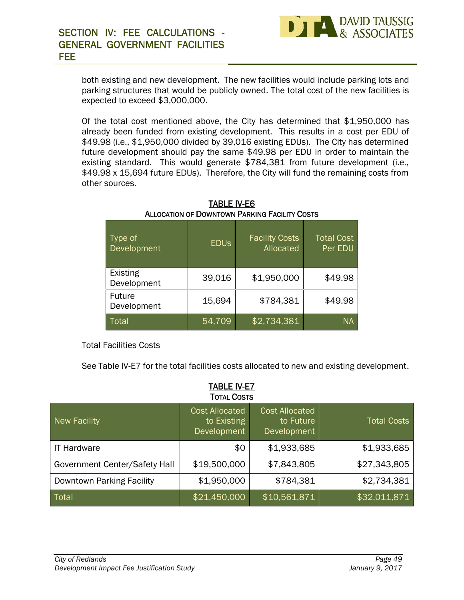

both existing and new development. The new facilities would include parking lots and parking structures that would be publicly owned. The total cost of the new facilities is expected to exceed \$3,000,000.

Of the total cost mentioned above, the City has determined that \$1,950,000 has already been funded from existing development. This results in a cost per EDU of \$49.98 (i.e., \$1,950,000 divided by 39,016 existing EDUs). The City has determined future development should pay the same \$49.98 per EDU in order to maintain the existing standard. This would generate \$784,381 from future development (i.e., \$49.98 x 15,694 future EDUs). Therefore, the City will fund the remaining costs from other sources.

| Type of<br>Development       | <b>EDUS</b> | <b>Facility Costs</b><br>Allocated | <b>Total Cost</b><br>Per EDU |
|------------------------------|-------------|------------------------------------|------------------------------|
| Existing<br>Development      | 39,016      | \$1,950,000                        | \$49.98                      |
| <b>Future</b><br>Development | 15,694      | \$784,381                          | \$49.98                      |
| <b>Total</b>                 | 54,709      | \$2,734,381                        | <b>NA</b>                    |

**TABLE IV-E6 ALLOCATION OF DOWNTOWN PARKING FACILITY COSTS**

#### Total Facilities Costs

See Table IV-E7 for the total facilities costs allocated to new and existing development.

| <b>TOTAL COSTS</b>            |                                                     |                                                   |                    |  |  |
|-------------------------------|-----------------------------------------------------|---------------------------------------------------|--------------------|--|--|
| <b>New Facility</b>           | <b>Cost Allocated</b><br>to Existing<br>Development | <b>Cost Allocated</b><br>to Future<br>Development | <b>Total Costs</b> |  |  |
| <b>IT Hardware</b>            | \$0                                                 | \$1,933,685                                       | \$1,933,685        |  |  |
| Government Center/Safety Hall | \$19,500,000                                        | \$7,843,805                                       | \$27,343,805       |  |  |
| Downtown Parking Facility     | \$1,950,000                                         | \$784,381                                         | \$2,734,381        |  |  |
| Total                         | \$21,450,000                                        | \$10,561,871                                      | \$32,011,871       |  |  |

**TABLE IV-E7**

| City of Redlands                           | Page 49         |  |
|--------------------------------------------|-----------------|--|
| Development Impact Fee Justification Study | January 9, 2017 |  |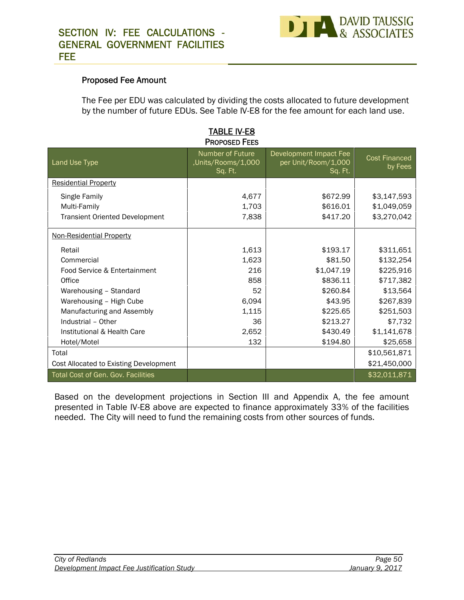

#### **Proposed Fee Amount**

The Fee per EDU was calculated by dividing the costs allocated to future development by the number of future EDUs. See Table IV-E8 for the fee amount for each land use.

| <b>PROPOSED FEES</b>                   |                                                   |                                                          |                                 |  |  |  |  |  |
|----------------------------------------|---------------------------------------------------|----------------------------------------------------------|---------------------------------|--|--|--|--|--|
| Land Use Type                          | Number of Future<br>,Units/Rooms/1,000<br>Sq. Ft. | Development Impact Fee<br>per Unit/Room/1,000<br>Sq. Ft. | <b>Cost Financed</b><br>by Fees |  |  |  |  |  |
| <b>Residential Property</b>            |                                                   |                                                          |                                 |  |  |  |  |  |
| Single Family                          | 4,677                                             | \$672.99                                                 | \$3,147,593                     |  |  |  |  |  |
| Multi-Family                           | 1,703                                             | \$616.01                                                 | \$1,049,059                     |  |  |  |  |  |
| <b>Transient Oriented Development</b>  | 7,838                                             | \$417.20                                                 | \$3,270,042                     |  |  |  |  |  |
| Non-Residential Property               |                                                   |                                                          |                                 |  |  |  |  |  |
| Retail                                 | 1,613                                             | \$193.17                                                 | \$311,651                       |  |  |  |  |  |
| Commercial                             | 1,623                                             | \$81.50                                                  | \$132,254                       |  |  |  |  |  |
| Food Service & Entertainment           | 216                                               | \$1,047.19                                               | \$225,916                       |  |  |  |  |  |
| Office                                 | 858                                               | \$836.11                                                 | \$717,382                       |  |  |  |  |  |
| Warehousing - Standard                 | 52                                                | \$260.84                                                 | \$13,564                        |  |  |  |  |  |
| Warehousing - High Cube                | 6,094                                             | \$43.95                                                  | \$267,839                       |  |  |  |  |  |
| Manufacturing and Assembly             | 1,115                                             | \$225.65                                                 | \$251,503                       |  |  |  |  |  |
| Industrial - Other                     | 36                                                | \$213.27                                                 | \$7,732                         |  |  |  |  |  |
| Institutional & Health Care            | 2,652                                             | \$430.49                                                 | \$1,141,678                     |  |  |  |  |  |
| Hotel/Motel                            | 132                                               | \$194.80                                                 | \$25,658                        |  |  |  |  |  |
| Total                                  |                                                   |                                                          | \$10,561,871                    |  |  |  |  |  |
| Cost Allocated to Existing Development |                                                   |                                                          | \$21,450,000                    |  |  |  |  |  |
| Total Cost of Gen. Gov. Facilities     |                                                   |                                                          | \$32,011,871                    |  |  |  |  |  |

# **TABLE IV-E8**

Based on the development projections in Section III and Appendix A, the fee amount presented in Table IV-E8 above are expected to finance approximately 33% of the facilities needed. The City will need to fund the remaining costs from other sources of funds.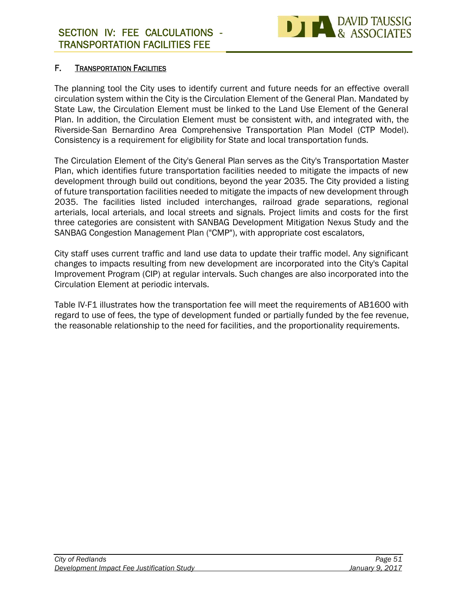

#### **F. TRANSPORTATION FACILITIES**

The planning tool the City uses to identify current and future needs for an effective overall circulation system within the City is the Circulation Element of the General Plan. Mandated by State Law, the Circulation Element must be linked to the Land Use Element of the General Plan. In addition, the Circulation Element must be consistent with, and integrated with, the Riverside-San Bernardino Area Comprehensive Transportation Plan Model (CTP Model). Consistency is a requirement for eligibility for State and local transportation funds.

The Circulation Element of the City's General Plan serves as the City's Transportation Master Plan, which identifies future transportation facilities needed to mitigate the impacts of new development through build out conditions, beyond the year 2035. The City provided a listing of future transportation facilities needed to mitigate the impacts of new development through 2035. The facilities listed included interchanges, railroad grade separations, regional arterials, local arterials, and local streets and signals. Project limits and costs for the first three categories are consistent with SANBAG Development Mitigation Nexus Study and the SANBAG Congestion Management Plan ("CMP"), with appropriate cost escalators,

City staff uses current traffic and land use data to update their traffic model. Any significant changes to impacts resulting from new development are incorporated into the City's Capital Improvement Program (CIP) at regular intervals. Such changes are also incorporated into the Circulation Element at periodic intervals.

Table IV-F1 illustrates how the transportation fee will meet the requirements of AB1600 with regard to use of fees, the type of development funded or partially funded by the fee revenue, the reasonable relationship to the need for facilities, and the proportionality requirements.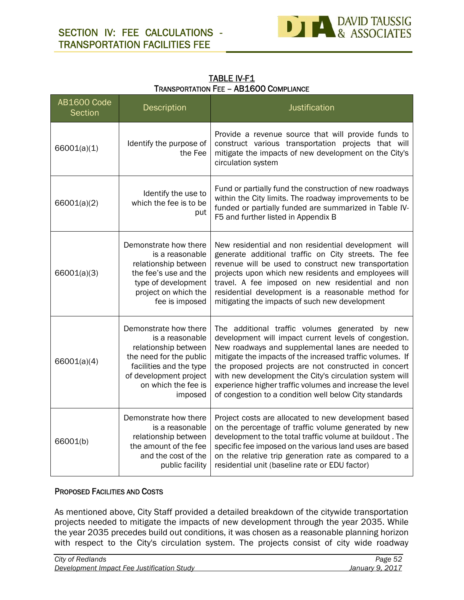

**TABLE IV-F1 TRANSPORTATION FEE – AB1600 COMPLIANCE**

| <b>AB1600 Code</b><br>Section | <b>Description</b>                                                                                                                                                                 | Justification                                                                                                                                                                                                                                                                                                                                                                                                                                                       |
|-------------------------------|------------------------------------------------------------------------------------------------------------------------------------------------------------------------------------|---------------------------------------------------------------------------------------------------------------------------------------------------------------------------------------------------------------------------------------------------------------------------------------------------------------------------------------------------------------------------------------------------------------------------------------------------------------------|
| 66001(a)(1)                   | Identify the purpose of<br>the Fee                                                                                                                                                 | Provide a revenue source that will provide funds to<br>construct various transportation projects that will<br>mitigate the impacts of new development on the City's<br>circulation system                                                                                                                                                                                                                                                                           |
| 66001(a)(2)                   | Identify the use to<br>which the fee is to be<br>put                                                                                                                               | Fund or partially fund the construction of new roadways<br>within the City limits. The roadway improvements to be<br>funded or partially funded are summarized in Table IV-<br>F5 and further listed in Appendix B                                                                                                                                                                                                                                                  |
| 66001(a)(3)                   | Demonstrate how there<br>is a reasonable<br>relationship between<br>the fee's use and the<br>type of development<br>project on which the<br>fee is imposed                         | New residential and non residential development will<br>generate additional traffic on City streets. The fee<br>revenue will be used to construct new transportation<br>projects upon which new residents and employees will<br>travel. A fee imposed on new residential and non<br>residential development is a reasonable method for<br>mitigating the impacts of such new development                                                                            |
| 66001(a)(4)                   | Demonstrate how there<br>is a reasonable<br>relationship between<br>the need for the public<br>facilities and the type<br>of development project<br>on which the fee is<br>imposed | The additional traffic volumes generated by new<br>development will impact current levels of congestion.<br>New roadways and supplemental lanes are needed to<br>mitigate the impacts of the increased traffic volumes. If<br>the proposed projects are not constructed in concert<br>with new development the City's circulation system will<br>experience higher traffic volumes and increase the level<br>of congestion to a condition well below City standards |
| 66001(b)                      | Demonstrate how there<br>is a reasonable<br>relationship between<br>the amount of the fee<br>and the cost of the<br>public facility                                                | Project costs are allocated to new development based<br>on the percentage of traffic volume generated by new<br>development to the total traffic volume at buildout. The<br>specific fee imposed on the various land uses are based<br>on the relative trip generation rate as compared to a<br>residential unit (baseline rate or EDU factor)                                                                                                                      |

#### **PROPOSED FACILITIES AND COSTS**

As mentioned above, City Staff provided a detailed breakdown of the citywide transportation projects needed to mitigate the impacts of new development through the year 2035. While the year 2035 precedes build out conditions, it was chosen as a reasonable planning horizon with respect to the City's circulation system. The projects consist of city wide roadway

| City of Redlands                           | Page 52         |  |
|--------------------------------------------|-----------------|--|
| Development Impact Fee Justification Study | January 9, 2017 |  |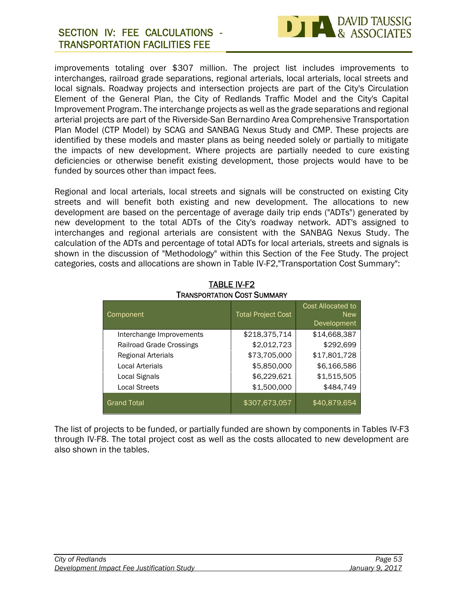# **SECTION IV: FEE CALCULATIONS - TRANSPORTATION FACILITIES FEE**



improvements totaling over \$307 million. The project list includes improvements to interchanges, railroad grade separations, regional arterials, local arterials, local streets and local signals. Roadway projects and intersection projects are part of the City's Circulation Element of the General Plan, the City of Redlands Traffic Model and the City's Capital Improvement Program. The interchange projects as well as the grade separations and regional arterial projects are part of the Riverside-San Bernardino Area Comprehensive Transportation Plan Model (CTP Model) by SCAG and SANBAG Nexus Study and CMP. These projects are identified by these models and master plans as being needed solely or partially to mitigate the impacts of new development. Where projects are partially needed to cure existing deficiencies or otherwise benefit existing development, those projects would have to be funded by sources other than impact fees.

Regional and local arterials, local streets and signals will be constructed on existing City streets and will benefit both existing and new development. The allocations to new development are based on the percentage of average daily trip ends ("ADTs") generated by new development to the total ADTs of the City's roadway network. ADT's assigned to interchanges and regional arterials are consistent with the SANBAG Nexus Study. The calculation of the ADTs and percentage of total ADTs for local arterials, streets and signals is shown in the discussion of "Methodology" within this Section of the Fee Study. The project categories, costs and allocations are shown in Table IV-F2,"Transportation Cost Summary":

| Component                 | <b>Total Project Cost</b> | Cost Allocated to<br><b>New</b><br>Development |
|---------------------------|---------------------------|------------------------------------------------|
| Interchange Improvements  | \$218,375,714             | \$14,668,387                                   |
| Railroad Grade Crossings  | \$2,012,723               | \$292,699                                      |
| <b>Regional Arterials</b> | \$73,705,000              | \$17,801,728                                   |
| <b>Local Arterials</b>    | \$5,850,000               | \$6,166,586                                    |
| Local Signals             | \$6,229,621               | \$1,515,505                                    |
| <b>Local Streets</b>      | \$1,500,000               | \$484,749                                      |
| <b>Grand Total</b>        | \$307,673,057             | \$40,879,654                                   |

#### **TABLE IV-F2 TRANSPORTATION COST SUMMARY**

The list of projects to be funded, or partially funded are shown by components in Tables IV-F3 through IV-F8. The total project cost as well as the costs allocated to new development are also shown in the tables.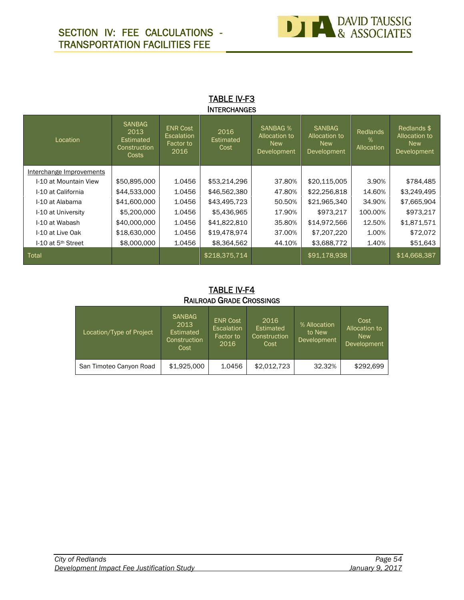

#### **TABLE IV-F3 INTERCHANGES**

| Location                       | <b>SANBAG</b><br>2013<br><b>Estimated</b><br>Construction<br>Costs | <b>ENR Cost</b><br>Escalation<br>Factor to<br>2016 | 2016<br>Estimated<br>Cost | <b>SANBAG %</b><br>Allocation to<br><b>New</b><br>Development | <b>SANBAG</b><br>Allocation to<br><b>New</b><br>Development | <b>Redlands</b><br>℅<br>Allocation | Redlands \$<br>Allocation to<br><b>New</b><br>Development |  |
|--------------------------------|--------------------------------------------------------------------|----------------------------------------------------|---------------------------|---------------------------------------------------------------|-------------------------------------------------------------|------------------------------------|-----------------------------------------------------------|--|
| Interchange Improvements       |                                                                    |                                                    |                           |                                                               |                                                             |                                    |                                                           |  |
| I-10 at Mountain View          | \$50,895,000                                                       | 1.0456                                             | \$53,214,296              | 37.80%                                                        | \$20,115,005                                                | 3.90%                              | \$784,485                                                 |  |
| I-10 at California             | \$44,533,000                                                       | 1.0456                                             | \$46,562,380              | 47.80%                                                        | \$22,256,818                                                | 14.60%                             | \$3,249,495                                               |  |
| I-10 at Alabama                | \$41,600,000                                                       | 1.0456                                             | \$43,495,723              | 50.50%                                                        | \$21,965,340                                                | 34.90%                             | \$7,665,904                                               |  |
| I-10 at University             | \$5,200,000                                                        | 1.0456                                             | \$5,436,965               | 17.90%                                                        | \$973,217                                                   | 100.00%                            | \$973,217                                                 |  |
| I-10 at Wabash                 | \$40,000,000                                                       | 1.0456                                             | \$41,822,810              | 35.80%                                                        | \$14,972,566                                                | 12.50%                             | \$1,871,571                                               |  |
| I-10 at Live Oak               | \$18,630,000                                                       | 1.0456                                             | \$19,478,974              | 37.00%                                                        | \$7,207,220                                                 | 1.00%                              | \$72,072                                                  |  |
| I-10 at 5 <sup>th</sup> Street | \$8,000,000                                                        | 1.0456                                             | \$8,364,562               | 44.10%                                                        | \$3,688,772                                                 | 1.40%                              | \$51,643                                                  |  |
| Total                          |                                                                    |                                                    | \$218,375,714             |                                                               | \$91,178,938                                                |                                    | \$14,668,387                                              |  |

#### **TABLE IV-F4 RAILROAD GRADE CROSSINGS**

| Location/Type of Project | <b>SANBAG</b><br>2013<br>Estimated<br>Construction<br>Cost | <b>ENR Cost</b><br>Escalation<br>Factor to<br>2016 | 2016<br>Estimated<br>Construction<br>Cost | % Allocation<br>to New<br>Development | Cost<br>Allocation to<br><b>New</b><br>Development |
|--------------------------|------------------------------------------------------------|----------------------------------------------------|-------------------------------------------|---------------------------------------|----------------------------------------------------|
| San Timoteo Canyon Road  | \$1,925,000                                                | 1.0456                                             | \$2,012,723                               | 32.32%                                | \$292.699                                          |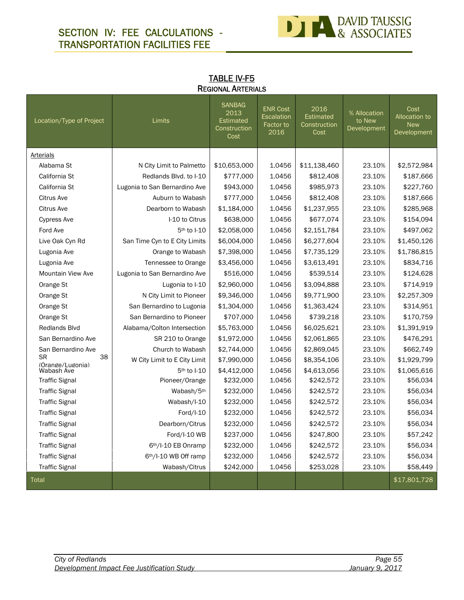# **SECTION IV: FEE CALCULATIONS - TRANSPORTATION FACILITIES FEE**



| Location/Type of Project            | <b>Limits</b>                 | <b>SANBAG</b><br>2013<br><b>Estimated</b><br>Construction<br>Cost | <b>ENR Cost</b><br>Escalation<br>Factor to<br>2016 | 2016<br>Estimated<br>Construction<br>Cost | % Allocation<br>to New<br>Development | Cost<br>Allocation to<br><b>New</b><br>Development |
|-------------------------------------|-------------------------------|-------------------------------------------------------------------|----------------------------------------------------|-------------------------------------------|---------------------------------------|----------------------------------------------------|
| Arterials                           |                               |                                                                   |                                                    |                                           |                                       |                                                    |
| Alabama St                          | N City Limit to Palmetto      | \$10,653,000                                                      | 1.0456                                             | \$11,138,460                              | 23.10%                                | \$2,572,984                                        |
| California St                       | Redlands Blvd. to I-10        | \$777,000                                                         | 1.0456                                             | \$812,408                                 | 23.10%                                | \$187,666                                          |
| California St                       | Lugonia to San Bernardino Ave | \$943,000                                                         | 1.0456                                             | \$985,973                                 | 23.10%                                | \$227,760                                          |
| <b>Citrus Ave</b>                   | Auburn to Wabash              | \$777,000                                                         | 1.0456                                             | \$812,408                                 | 23.10%                                | \$187,666                                          |
| <b>Citrus Ave</b>                   | Dearborn to Wabash            | \$1,184,000                                                       | 1.0456                                             | \$1,237,955                               | 23.10%                                | \$285,968                                          |
| <b>Cypress Ave</b>                  | I-10 to Citrus                | \$638,000                                                         | 1.0456                                             | \$677,074                                 | 23.10%                                | \$154,094                                          |
| Ford Ave                            | 5 <sup>th</sup> to I-10       | \$2,058,000                                                       | 1.0456                                             | \$2,151,784                               | 23.10%                                | \$497,062                                          |
| Live Oak Cyn Rd                     | San Time Cyn to E City Limits | \$6,004,000                                                       | 1.0456                                             | \$6,277,604                               | 23.10%                                | \$1,450,126                                        |
| Lugonia Ave                         | Orange to Wabash              | \$7,398,000                                                       | 1.0456                                             | \$7,735,129                               | 23.10%                                | \$1,786,815                                        |
| Lugonia Ave                         | Tennessee to Orange           | \$3,456,000                                                       | 1.0456                                             | \$3,613,491                               | 23.10%                                | \$834,716                                          |
| <b>Mountain View Ave</b>            | Lugonia to San Bernardino Ave | \$516,000                                                         | 1.0456                                             | \$539,514                                 | 23.10%                                | \$124,628                                          |
| Orange St                           | Lugonia to I-10               | \$2,960,000                                                       | 1.0456                                             | \$3,094,888                               | 23.10%                                | \$714,919                                          |
| Orange St                           | N City Limit to Pioneer       | \$9,346,000                                                       | 1.0456                                             | \$9,771,900                               | 23.10%                                | \$2,257,309                                        |
| Orange St                           | San Bernardino to Lugonia     | \$1,304,000                                                       | 1.0456                                             | \$1,363,424                               | 23.10%                                | \$314,951                                          |
| Orange St                           | San Bernardino to Pioneer     | \$707,000                                                         | 1.0456                                             | \$739,218                                 | 23.10%                                | \$170,759                                          |
| <b>Redlands Blvd</b>                | Alabama/Colton Intersection   | \$5,763,000                                                       | 1.0456                                             | \$6,025,621                               | 23.10%                                | \$1,391,919                                        |
| San Bernardino Ave                  | SR 210 to Orange              | \$1,972,000                                                       | 1.0456                                             | \$2,061,865                               | 23.10%                                | \$476,291                                          |
| San Bernardino Ave                  | Church to Wabash              | \$2,744,000                                                       | 1.0456                                             | \$2,869,045                               | 23.10%                                | \$662,749                                          |
| <b>SR</b><br>38<br>(Orange/Lugonia) | W City Limit to E City Limit  | \$7,990,000                                                       | 1.0456                                             | \$8,354,106                               | 23.10%                                | \$1,929,799                                        |
| Wabash Ave                          | 5th to I-10                   | \$4,412,000                                                       | 1.0456                                             | \$4,613,056                               | 23.10%                                | \$1,065,616                                        |
| <b>Traffic Signal</b>               | Pioneer/Orange                | \$232,000                                                         | 1.0456                                             | \$242,572                                 | 23.10%                                | \$56,034                                           |
| <b>Traffic Signal</b>               | Wabash/5th                    | \$232,000                                                         | 1.0456                                             | \$242,572                                 | 23.10%                                | \$56,034                                           |
| <b>Traffic Signal</b>               | Wabash/I-10                   | \$232,000                                                         | 1.0456                                             | \$242,572                                 | 23.10%                                | \$56,034                                           |
| <b>Traffic Signal</b>               | Ford/I-10                     | \$232,000                                                         | 1.0456                                             | \$242,572                                 | 23.10%                                | \$56,034                                           |
| <b>Traffic Signal</b>               | Dearborn/Citrus               | \$232,000                                                         | 1.0456                                             | \$242,572                                 | 23.10%                                | \$56,034                                           |
| <b>Traffic Signal</b>               | Ford/I-10 WB                  | \$237,000                                                         | 1.0456                                             | \$247,800                                 | 23.10%                                | \$57,242                                           |
| <b>Traffic Signal</b>               | 6th/I-10 EB Onramp            | \$232,000                                                         | 1.0456                                             | \$242,572                                 | 23.10%                                | \$56,034                                           |
| <b>Traffic Signal</b>               | 6th/I-10 WB Off ramp          | \$232,000                                                         | 1.0456                                             | \$242,572                                 | 23.10%                                | \$56,034                                           |
| <b>Traffic Signal</b>               | Wabash/Citrus                 | \$242,000                                                         | 1.0456                                             | \$253,028                                 | 23.10%                                | \$58,449                                           |
| Total                               |                               |                                                                   |                                                    |                                           |                                       | \$17,801,728                                       |

| <b>TABLE IV-F5</b>        |  |
|---------------------------|--|
| <b>REGIONAL ARTERIALS</b> |  |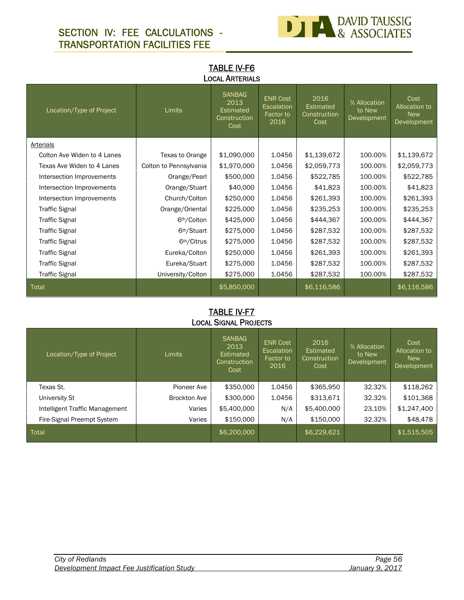# **SECTION IV: FEE CALCULATIONS - TRANSPORTATION FACILITIES FEE**



### **TABLE IV-F6 LOCAL ARTERIALS**

| Location/Type of Project    | <b>Limits</b>           | <b>SANBAG</b><br>2013<br><b>Estimated</b><br>Construction<br>Cost | <b>ENR Cost</b><br>Escalation<br>Factor to<br>2016 | 2016<br>Estimated<br>Construction<br>Cost | % Allocation<br>to New<br>Development | Cost<br>Allocation to<br><b>New</b><br><b>Development</b> |
|-----------------------------|-------------------------|-------------------------------------------------------------------|----------------------------------------------------|-------------------------------------------|---------------------------------------|-----------------------------------------------------------|
| Arterials                   |                         |                                                                   |                                                    |                                           |                                       |                                                           |
| Colton Ave Widen to 4 Lanes | Texas to Orange         | \$1,090,000                                                       | 1.0456                                             | \$1,139,672                               | 100.00%                               | \$1,139,672                                               |
| Texas Ave Widen to 4 Lanes  | Colton to Pennsylvania  | \$1,970,000                                                       | 1.0456                                             | \$2,059,773                               | 100.00%                               | \$2,059,773                                               |
| Intersection Improvements   | Orange/Pearl            | \$500,000                                                         | 1.0456                                             | \$522,785                                 | 100.00%                               | \$522,785                                                 |
| Intersection Improvements   | Orange/Stuart           | \$40,000                                                          | 1.0456                                             | \$41,823                                  | 100.00%                               | \$41,823                                                  |
| Intersection Improvements   | Church/Colton           | \$250,000                                                         | 1.0456                                             | \$261,393                                 | 100.00%                               | \$261,393                                                 |
| <b>Traffic Signal</b>       | Orange/Oriental         | \$225,000                                                         | 1.0456                                             | \$235,253                                 | 100.00%                               | \$235,253                                                 |
| <b>Traffic Signal</b>       | 6 <sup>th</sup> /Colton | \$425,000                                                         | 1.0456                                             | \$444,367                                 | 100.00%                               | \$444,367                                                 |
| <b>Traffic Signal</b>       | 6 <sup>th</sup> /Stuart | \$275,000                                                         | 1.0456                                             | \$287,532                                 | 100.00%                               | \$287,532                                                 |
| <b>Traffic Signal</b>       | 6 <sup>th</sup> /Citrus | \$275,000                                                         | 1.0456                                             | \$287,532                                 | 100.00%                               | \$287,532                                                 |
| <b>Traffic Signal</b>       | Eureka/Colton           | \$250,000                                                         | 1.0456                                             | \$261,393                                 | 100.00%                               | \$261,393                                                 |
| <b>Traffic Signal</b>       | Eureka/Stuart           | \$275,000                                                         | 1.0456                                             | \$287,532                                 | 100.00%                               | \$287,532                                                 |
| <b>Traffic Signal</b>       | University/Colton       | \$275,000                                                         | 1.0456                                             | \$287,532                                 | 100.00%                               | \$287,532                                                 |
| Total                       |                         | \$5,850,000                                                       |                                                    | \$6,116,586                               |                                       | \$6,116,586                                               |

#### **TABLE IV-F7 LOCAL SIGNAL PROJECTS**

| Location/Type of Project       | <b>Limits</b>       | <b>SANBAG</b><br>2013<br>Estimated<br>Construction<br>Cost | <b>ENR Cost</b><br>Escalation<br>Factor to<br>2016 | 2016<br>Estimated<br>Construction<br>Cost | % Allocation<br>to New<br>Development | Cost<br>Allocation to<br><b>New</b><br>Development |
|--------------------------------|---------------------|------------------------------------------------------------|----------------------------------------------------|-------------------------------------------|---------------------------------------|----------------------------------------------------|
| Texas St.                      | Pioneer Ave         | \$350,000                                                  | 1.0456                                             | \$365,950                                 | 32.32%                                | \$118,262                                          |
| University St                  | <b>Brockton Ave</b> | \$300,000                                                  | 1.0456                                             | \$313,671                                 | 32.32%                                | \$101,368                                          |
| Intelligent Traffic Management | Varies              | \$5,400,000                                                | N/A                                                | \$5,400,000                               | 23.10%                                | \$1,247,400                                        |
| Fire-Signal Preempt System     | Varies              | \$150,000                                                  | N/A                                                | \$150,000                                 | 32.32%                                | \$48,478                                           |
| Total                          |                     | \$6,200,000                                                |                                                    | \$6,229,621                               |                                       | \$1,515,505                                        |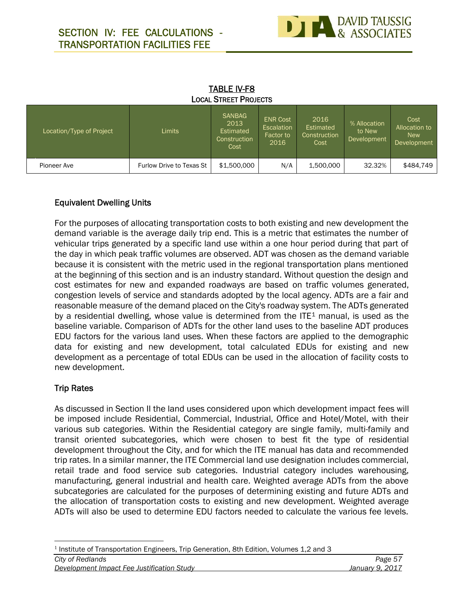

| <b>LOCAL STREET PROJECTS</b> |                          |                                                            |                                                                  |                                           |                                       |                                                           |  |
|------------------------------|--------------------------|------------------------------------------------------------|------------------------------------------------------------------|-------------------------------------------|---------------------------------------|-----------------------------------------------------------|--|
| Location/Type of Project     | Limits                   | <b>SANBAG</b><br>2013<br>Estimated<br>Construction<br>Cost | <b>ENR Cost</b><br><b>Escalation</b><br><b>Factor to</b><br>2016 | 2016<br>Estimated<br>Construction<br>Cost | % Allocation<br>to New<br>Development | Cost<br>Allocation to<br><b>New</b><br><b>Development</b> |  |
| Pioneer Ave                  | Furlow Drive to Texas St | \$1,500,000                                                | N/A                                                              | 1,500,000                                 | 32.32%                                | \$484,749                                                 |  |

# **TABLE IV-F8**

#### **Equivalent Dwelling Units**

For the purposes of allocating transportation costs to both existing and new development the demand variable is the average daily trip end. This is a metric that estimates the number of vehicular trips generated by a specific land use within a one hour period during that part of the day in which peak traffic volumes are observed. ADT was chosen as the demand variable because it is consistent with the metric used in the regional transportation plans mentioned at the beginning of this section and is an industry standard. Without question the design and cost estimates for new and expanded roadways are based on traffic volumes generated, congestion levels of service and standards adopted by the local agency. ADTs are a fair and reasonable measure of the demand placed on the City's roadway system. The ADTs generated by a residential dwelling, whose value is determined from the  $ITE<sup>1</sup>$  manual, is used as the baseline variable. Comparison of ADTs for the other land uses to the baseline ADT produces EDU factors for the various land uses. When these factors are applied to the demographic data for existing and new development, total calculated EDUs for existing and new development as a percentage of total EDUs can be used in the allocation of facility costs to new development.

#### **Trip Rates**

As discussed in Section II the land uses considered upon which development impact fees will be imposed include Residential, Commercial, Industrial, Office and Hotel/Motel, with their various sub categories. Within the Residential category are single family, multi-family and transit oriented subcategories, which were chosen to best fit the type of residential development throughout the City, and for which the ITE manual has data and recommended trip rates. In a similar manner, the ITE Commercial land use designation includes commercial, retail trade and food service sub categories. Industrial category includes warehousing, manufacturing, general industrial and health care. Weighted average ADTs from the above subcategories are calculated for the purposes of determining existing and future ADTs and the allocation of transportation costs to existing and new development. Weighted average ADTs will also be used to determine EDU factors needed to calculate the various fee levels.

 $<sup>1</sup>$  Institute of Transportation Engineers, Trip Generation, 8th Edition, Volumes 1,2 and 3</sup>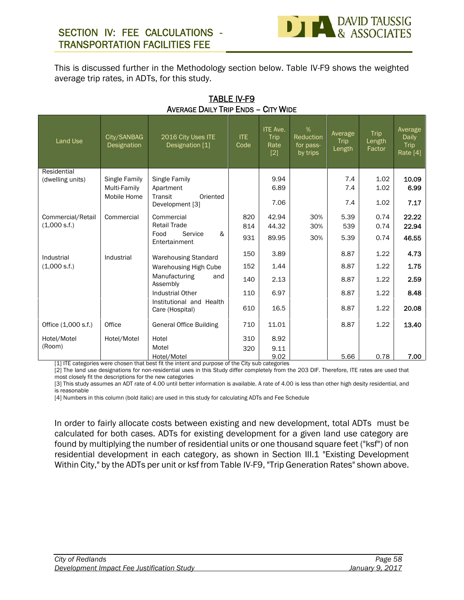This is discussed further in the Methodology section below. Table IV-F9 shows the weighted average trip rates, in ADTs, for this study.

| Land Use                                     | City/SANBAG<br>Designation                          | 2016 City Uses ITE<br>Designation [1]                                                                                                                       | <b>ITE</b><br>Code              | <b>ITE Ave.</b><br><b>Trip</b><br>Rate<br>$[2]$ | $\%$<br>Reduction<br>for pass-<br>by trips | Average<br>Trip<br>Length            | Trip<br>Length<br>Factor             | Average<br>Daily<br>Trip<br>Rate [4]  |
|----------------------------------------------|-----------------------------------------------------|-------------------------------------------------------------------------------------------------------------------------------------------------------------|---------------------------------|-------------------------------------------------|--------------------------------------------|--------------------------------------|--------------------------------------|---------------------------------------|
| Residential<br>(dwelling units)              | <b>Single Family</b><br>Multi-Family<br>Mobile Home | Single Family<br>Apartment<br>Transit<br>Oriented<br>Development [3]                                                                                        |                                 | 9.94<br>6.89<br>7.06                            |                                            | 7.4<br>7.4<br>7.4                    | 1.02<br>1.02<br>1.02                 | 10.09<br>6.99<br>7.17                 |
| Commercial/Retail<br>(1,000 s.f.)            | Commercial                                          | Commercial<br><b>Retail Trade</b><br>&<br>Food<br>Service<br>Entertainment                                                                                  | 820<br>814<br>931               | 42.94<br>44.32<br>89.95                         | 30%<br>30%<br>30%                          | 5.39<br>539<br>5.39                  | 0.74<br>0.74<br>0.74                 | 22.22<br>22.94<br>46.55               |
| Industrial<br>(1,000 s.f.)                   | Industrial                                          | <b>Warehousing Standard</b><br>Warehousing High Cube<br>Manufacturing<br>and<br>Assembly<br>Industrial Other<br>Institutional and Health<br>Care (Hospital) | 150<br>152<br>140<br>110<br>610 | 3.89<br>1.44<br>2.13<br>6.97<br>16.5            |                                            | 8.87<br>8.87<br>8.87<br>8.87<br>8.87 | 1.22<br>1.22<br>1.22<br>1.22<br>1.22 | 4.73<br>1.75<br>2.59<br>8.48<br>20.08 |
| Office (1,000 s.f.)<br>Hotel/Motel<br>(Room) | Office<br>Hotel/Motel                               | <b>General Office Building</b><br>Hotel<br>Motel<br>Hotel/Motel                                                                                             | 710<br>310<br>320               | 11.01<br>8.92<br>9.11<br>9.02                   |                                            | 8.87<br>5.66                         | 1.22<br>0.78                         | 13.40<br>7.00                         |

#### **TABLE IV-F9 AVERAGE DAILY TRIP ENDS – CITY WIDE**

[1] ITE categories were chosen that best fit the intent and purpose of the City sub categories

[2] The land use designations for non-residential uses in this Study differ completely from the 203 DIF. Therefore, ITE rates are used that most closely fit the descriptions for the new categories

[3] This study assumes an ADT rate of 4.00 until better information is available. A rate of 4.00 is less than other high desity residential, and is reasonable

[4] Numbers in this column (bold italic) are used in this study for calculating ADTs and Fee Schedule

In order to fairly allocate costs between existing and new development, total ADTs must be calculated for both cases. ADTs for existing development for a given land use category are found by multiplying the number of residential units or one thousand square feet ("ksf") of non residential development in each category, as shown in Section III.1 "Existing Development Within City," by the ADTs per unit or ksf from Table IV-F9, "Trip Generation Rates" shown above.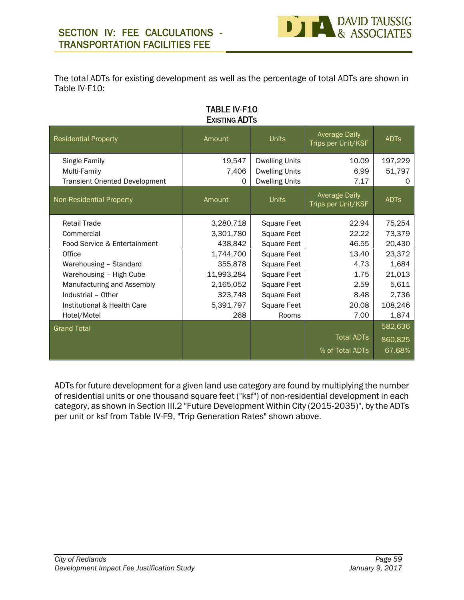The total ADTs for existing development as well as the percentage of total ADTs are shown in Table IV-F10:

#### **TABLE IV-F10 EXISTING ADTS**

| <b>Residential Property</b>           | Amount     | <b>Units</b>          | <b>Average Daily</b><br>Trips per Unit/KSF | <b>ADTs</b> |
|---------------------------------------|------------|-----------------------|--------------------------------------------|-------------|
| Single Family                         | 19,547     | <b>Dwelling Units</b> | 10.09                                      | 197,229     |
| Multi-Family                          | 7,406      | <b>Dwelling Units</b> | 6.99                                       | 51,797      |
| <b>Transient Oriented Development</b> | $\Omega$   | <b>Dwelling Units</b> | 7.17                                       | 0           |
| Non-Residential Property              | Amount     | <b>Units</b>          | <b>Average Daily</b><br>Trips per Unit/KSF | <b>ADTs</b> |
| <b>Retail Trade</b>                   | 3,280,718  | Square Feet           | 22.94                                      | 75,254      |
| Commercial                            | 3,301,780  | Square Feet           | 22.22                                      | 73,379      |
| Food Service & Entertainment          | 438,842    | Square Feet           | 46.55                                      | 20,430      |
| Office                                | 1,744,700  | Square Feet           | 13.40                                      | 23,372      |
| Warehousing - Standard                | 355,878    | Square Feet           | 4.73                                       | 1,684       |
| Warehousing - High Cube               | 11,993,284 | Square Feet           | 1.75                                       | 21,013      |
| Manufacturing and Assembly            | 2,165,052  | Square Feet           | 2.59                                       | 5,611       |
| Industrial - Other                    | 323,748    | Square Feet           | 8.48                                       | 2,736       |
| Institutional & Health Care           | 5,391,797  | Square Feet           | 20.08                                      | 108,246     |
| Hotel/Motel                           | 268        | Rooms                 | 7.00                                       | 1,874       |
| <b>Grand Total</b>                    |            |                       |                                            | 582,636     |
|                                       |            |                       | <b>Total ADTs</b>                          | 860,825     |
|                                       |            |                       | % of Total ADTs                            | 67.68%      |

ADTs for future development for a given land use category are found by multiplying the number of residential units or one thousand square feet ("ksf") of non-residential development in each category, as shown in Section III.2 "Future Development Within City (2015-2035)", by the ADTs per unit or ksf from Table IV-F9, "Trip Generation Rates" shown above.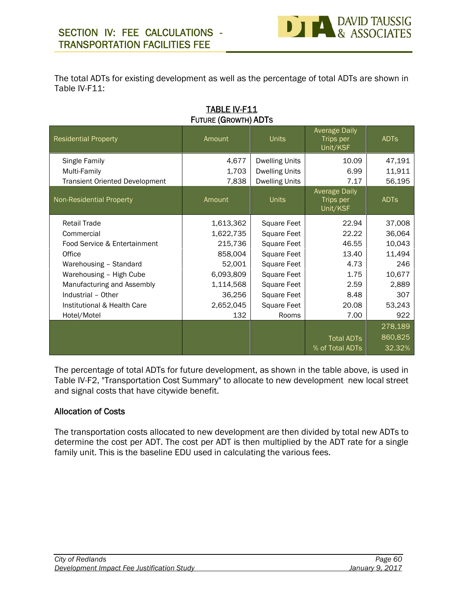The total ADTs for existing development as well as the percentage of total ADTs are shown in Table IV-F11:

| <b>TABLE IV-F11</b>  |  |
|----------------------|--|
| FUTURE (GROWTH) ADTS |  |

| <b>Residential Property</b>           | Amount    | <b>Units</b>          | <b>Average Daily</b><br>Trips per<br>Unit/KSF | <b>ADTS</b> |
|---------------------------------------|-----------|-----------------------|-----------------------------------------------|-------------|
| Single Family                         | 4,677     | <b>Dwelling Units</b> | 10.09                                         | 47,191      |
| Multi-Family                          | 1,703     | <b>Dwelling Units</b> | 6.99                                          | 11,911      |
| <b>Transient Oriented Development</b> | 7,838     | <b>Dwelling Units</b> | 7.17                                          | 56,195      |
| Non-Residential Property              | Amount    | <b>Units</b>          | <b>Average Daily</b><br>Trips per<br>Unit/KSF | <b>ADTS</b> |
| <b>Retail Trade</b>                   | 1,613,362 | Square Feet           | 22.94                                         | 37,008      |
| Commercial                            | 1,622,735 | Square Feet           | 22.22                                         | 36,064      |
| Food Service & Entertainment          | 215,736   | Square Feet           | 46.55                                         | 10,043      |
| Office                                | 858,004   | Square Feet           | 13.40                                         | 11,494      |
| Warehousing - Standard                | 52,001    | Square Feet           | 4.73                                          | 246         |
| Warehousing - High Cube               | 6,093,809 | Square Feet           | 1.75                                          | 10,677      |
| Manufacturing and Assembly            | 1,114,568 | Square Feet           | 2.59                                          | 2,889       |
| Industrial - Other                    | 36,256    | Square Feet           | 8.48                                          | 307         |
| Institutional & Health Care           | 2,652,045 | Square Feet           | 20.08                                         | 53,243      |
| Hotel/Motel                           | 132       | Rooms                 | 7.00                                          | 922         |
|                                       |           |                       |                                               | 278,189     |
|                                       |           |                       | <b>Total ADTs</b>                             | 860,825     |
|                                       |           |                       | % of Total ADTs                               | 32.32%      |

The percentage of total ADTs for future development, as shown in the table above, is used in Table IV-F2, "Transportation Cost Summary" to allocate to new development new local street and signal costs that have citywide benefit.

#### **Allocation of Costs**

The transportation costs allocated to new development are then divided by total new ADTs to determine the cost per ADT. The cost per ADT is then multiplied by the ADT rate for a single family unit. This is the baseline EDU used in calculating the various fees.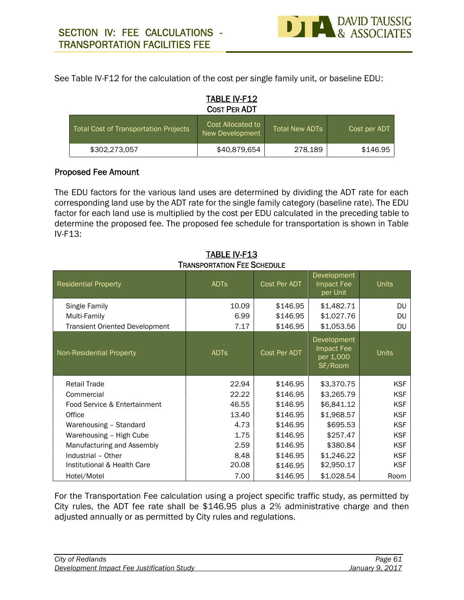See Table IV-F12 for the calculation of the cost per single family unit, or baseline EDU:

# **TABLE IV-F12 COST PER ADT** Total Cost of Transportation Projects Cost Allocated to Total New ADTs New Development Total New ADTs Cost per ADT \$302,273,057 \$40,879,654 278,189 \$146.95

#### **Proposed Fee Amount**

The EDU factors for the various land uses are determined by dividing the ADT rate for each corresponding land use by the ADT rate for the single family category (baseline rate). The EDU factor for each land use is multiplied by the cost per EDU calculated in the preceding table to determine the proposed fee. The proposed fee schedule for transportation is shown in Table IV-F13:

| <b>Residential Property</b>           | <b>ADTS</b> | Cost Per ADT | Development<br>Impact Fee<br>per Unit             | <b>Units</b> |  |  |
|---------------------------------------|-------------|--------------|---------------------------------------------------|--------------|--|--|
| Single Family                         | 10.09       | \$146.95     | \$1,482.71                                        | DU.          |  |  |
| Multi-Family                          | 6.99        | \$146.95     | \$1,027.76                                        | <b>DU</b>    |  |  |
| <b>Transient Oriented Development</b> | 7.17        | \$146.95     | \$1,053.56                                        | <b>DU</b>    |  |  |
| <b>Non-Residential Property</b>       | <b>ADTS</b> | Cost Per ADT | Development<br>Impact Fee<br>per 1,000<br>SF/Room | <b>Units</b> |  |  |
| <b>Retail Trade</b>                   | 22.94       | \$146.95     | \$3,370.75                                        | <b>KSF</b>   |  |  |
| Commercial                            | 22.22       | \$146.95     | \$3,265.79                                        | <b>KSF</b>   |  |  |
| Food Service & Entertainment          | 46.55       | \$146.95     | \$6,841.12                                        | <b>KSF</b>   |  |  |
| Office                                | 13.40       | \$146.95     | \$1,968.57                                        | <b>KSF</b>   |  |  |
| Warehousing - Standard                | 4.73        | \$146.95     | \$695.53                                          | <b>KSF</b>   |  |  |
| Warehousing - High Cube               |             | \$146.95     | \$257.47                                          | <b>KSF</b>   |  |  |
|                                       | 1.75        |              |                                                   |              |  |  |
| Manufacturing and Assembly            | 2.59        | \$146.95     | \$380.84                                          | <b>KSF</b>   |  |  |
| Industrial - Other                    | 8.48        | \$146.95     | \$1,246.22                                        | <b>KSF</b>   |  |  |
| Institutional & Health Care           | 20.08       | \$146.95     | \$2,950.17                                        | <b>KSF</b>   |  |  |

#### **TABLE IV-F13 TRANSPORTATION FEE SCHEDULE**

For the Transportation Fee calculation using a project specific traffic study, as permitted by City rules, the ADT fee rate shall be \$146.95 plus a 2% administrative charge and then adjusted annually or as permitted by City rules and regulations.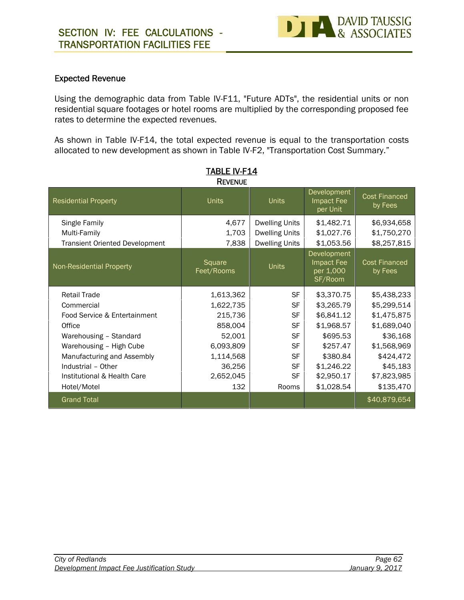

#### **Expected Revenue**

Using the demographic data from Table IV-F11, "Future ADTs", the residential units or non residential square footages or hotel rooms are multiplied by the corresponding proposed fee rates to determine the expected revenues.

As shown in Table IV-F14, the total expected revenue is equal to the transportation costs allocated to new development as shown in Table IV-F2, "Transportation Cost Summary."

| <b>REVENUE</b>                                                         |                         |                                                                         |                                                   |                                           |  |  |  |  |
|------------------------------------------------------------------------|-------------------------|-------------------------------------------------------------------------|---------------------------------------------------|-------------------------------------------|--|--|--|--|
| <b>Residential Property</b>                                            | <b>Units</b>            | <b>Units</b>                                                            | Development<br>Impact Fee<br>per Unit             | <b>Cost Financed</b><br>by Fees           |  |  |  |  |
| Single Family<br>Multi-Family<br><b>Transient Oriented Development</b> | 4,677<br>1,703<br>7,838 | <b>Dwelling Units</b><br><b>Dwelling Units</b><br><b>Dwelling Units</b> | \$1,482.71<br>\$1,027.76<br>\$1,053.56            | \$6,934,658<br>\$1,750,270<br>\$8,257,815 |  |  |  |  |
| Non-Residential Property                                               | Square<br>Feet/Rooms    | <b>Units</b>                                                            | Development<br>Impact Fee<br>per 1,000<br>SF/Room | <b>Cost Financed</b><br>by Fees           |  |  |  |  |
| <b>Retail Trade</b>                                                    | 1,613,362               | <b>SF</b>                                                               | \$3,370.75                                        | \$5,438,233                               |  |  |  |  |
| Commercial                                                             | 1,622,735               | <b>SF</b>                                                               | \$3,265.79                                        | \$5,299,514                               |  |  |  |  |
| Food Service & Entertainment                                           | 215,736                 | <b>SF</b>                                                               | \$6,841.12                                        | \$1,475,875                               |  |  |  |  |
| Office                                                                 | 858,004                 | <b>SF</b>                                                               | \$1,968.57                                        | \$1,689,040                               |  |  |  |  |
| Warehousing - Standard                                                 | 52,001                  | <b>SF</b>                                                               | \$695.53                                          | \$36,168                                  |  |  |  |  |
| Warehousing - High Cube                                                | 6,093,809               | <b>SF</b>                                                               | \$257.47                                          | \$1,568,969                               |  |  |  |  |
| Manufacturing and Assembly                                             | 1,114,568               | <b>SF</b>                                                               | \$380.84                                          | \$424,472                                 |  |  |  |  |
| Industrial - Other                                                     | 36,256                  | <b>SF</b>                                                               | \$1,246.22                                        | \$45,183                                  |  |  |  |  |
| Institutional & Health Care                                            | 2,652,045               | SF                                                                      | \$2,950.17                                        | \$7,823,985                               |  |  |  |  |
| Hotel/Motel                                                            | 132                     | Rooms                                                                   | \$1,028.54                                        | \$135,470                                 |  |  |  |  |
| <b>Grand Total</b>                                                     |                         |                                                                         |                                                   | \$40,879,654                              |  |  |  |  |

| <b>TABLE IV-F14</b> |  |  |
|---------------------|--|--|
| <b>Dove</b> we      |  |  |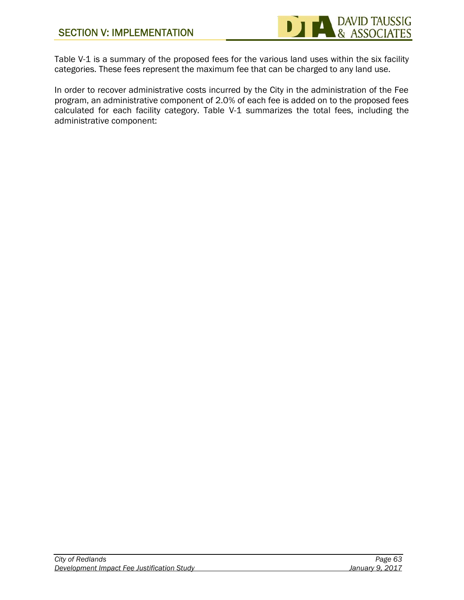

Table V-1 is a summary of the proposed fees for the various land uses within the six facility categories. These fees represent the maximum fee that can be charged to any land use.

In order to recover administrative costs incurred by the City in the administration of the Fee program, an administrative component of 2.0% of each fee is added on to the proposed fees calculated for each facility category. Table V-1 summarizes the total fees, including the administrative component: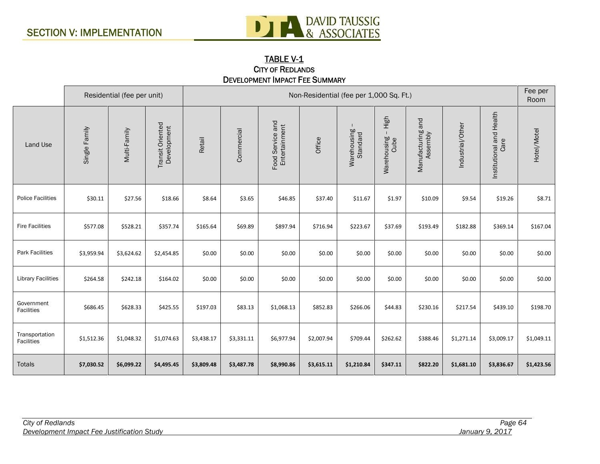

#### **TABLE V-1 CITY OF REDLANDS DEVELOPMENT IMPACT FEE SUMMARY**

|                              |               | Residential (fee per unit) |                                 |            | Non-Residential (fee per 1,000 Sq. Ft.) |                                   |            |                         |                               |                                  | Fee per<br>Room  |                                  |             |
|------------------------------|---------------|----------------------------|---------------------------------|------------|-----------------------------------------|-----------------------------------|------------|-------------------------|-------------------------------|----------------------------------|------------------|----------------------------------|-------------|
| Land Use                     | Single Family | Multi-Family               | Transit Oriented<br>Development | Retail     | Commercial                              | Food Service and<br>Entertainment | Office     | Warehousing<br>Standard | High<br>Warehousing -<br>Cube | and<br>Manufacturing<br>Assembly | Industrial/Other | Institutional and Health<br>Care | Hotel/Motel |
| <b>Police Facilities</b>     | \$30.11       | \$27.56                    | \$18.66                         | \$8.64     | \$3.65                                  | \$46.85                           | \$37.40    | \$11.67                 | \$1.97                        | \$10.09                          | \$9.54           | \$19.26                          | \$8.71      |
| <b>Fire Facilities</b>       | \$577.08      | \$528.21                   | \$357.74                        | \$165.64   | \$69.89                                 | \$897.94                          | \$716.94   | \$223.67                | \$37.69                       | \$193.49                         | \$182.88         | \$369.14                         | \$167.04    |
| <b>Park Facilities</b>       | \$3,959.94    | \$3,624.62                 | \$2,454.85                      | \$0.00     | \$0.00                                  | \$0.00                            | \$0.00     | \$0.00                  | \$0.00                        | \$0.00                           | \$0.00           | \$0.00                           | \$0.00      |
| <b>Library Facilities</b>    | \$264.58      | \$242.18                   | \$164.02                        | \$0.00     | \$0.00                                  | \$0.00                            | \$0.00     | \$0.00                  | \$0.00                        | \$0.00                           | \$0.00           | \$0.00                           | \$0.00      |
| Government<br>Facilities     | \$686.45      | \$628.33                   | \$425.55                        | \$197.03   | \$83.13                                 | \$1,068.13                        | \$852.83   | \$266.06                | \$44.83                       | \$230.16                         | \$217.54         | \$439.10                         | \$198.70    |
| Transportation<br>Facilities | \$1,512.36    | \$1,048.32                 | \$1,074.63                      | \$3,438.17 | \$3,331.11                              | \$6,977.94                        | \$2,007.94 | \$709.44                | \$262.62                      | \$388.46                         | \$1,271.14       | \$3,009.17                       | \$1,049.11  |
| <b>Totals</b>                | \$7,030.52    | \$6,099.22                 | \$4,495.45                      | \$3,809.48 | \$3,487.78                              | \$8,990.86                        | \$3,615.11 | \$1,210.84              | \$347.11                      | \$822.20                         | \$1,681.10       | \$3,836.67                       | \$1,423.56  |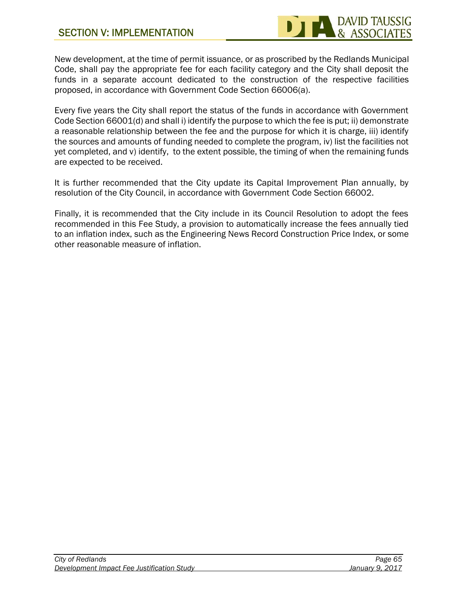New development, at the time of permit issuance, or as proscribed by the Redlands Municipal Code, shall pay the appropriate fee for each facility category and the City shall deposit the funds in a separate account dedicated to the construction of the respective facilities proposed, in accordance with Government Code Section 66006(a).

Every five years the City shall report the status of the funds in accordance with Government Code Section 66001(d) and shall i) identify the purpose to which the fee is put; ii) demonstrate a reasonable relationship between the fee and the purpose for which it is charge, iii) identify the sources and amounts of funding needed to complete the program, iv) list the facilities not yet completed, and v) identify, to the extent possible, the timing of when the remaining funds are expected to be received.

It is further recommended that the City update its Capital Improvement Plan annually, by resolution of the City Council, in accordance with Government Code Section 66002.

Finally, it is recommended that the City include in its Council Resolution to adopt the fees recommended in this Fee Study, a provision to automatically increase the fees annually tied to an inflation index, such as the Engineering News Record Construction Price Index, or some other reasonable measure of inflation.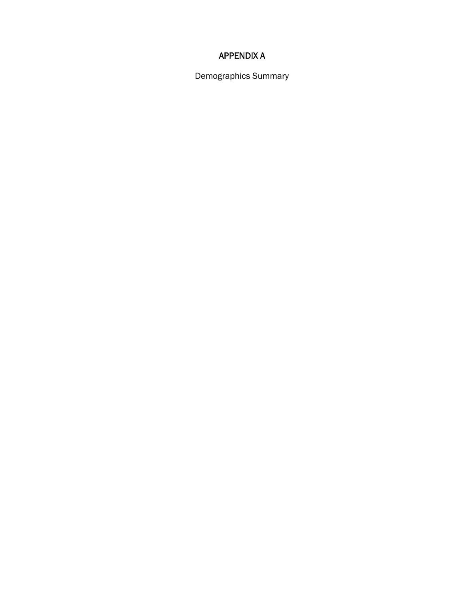### **APPENDIX A**

Demographics Summary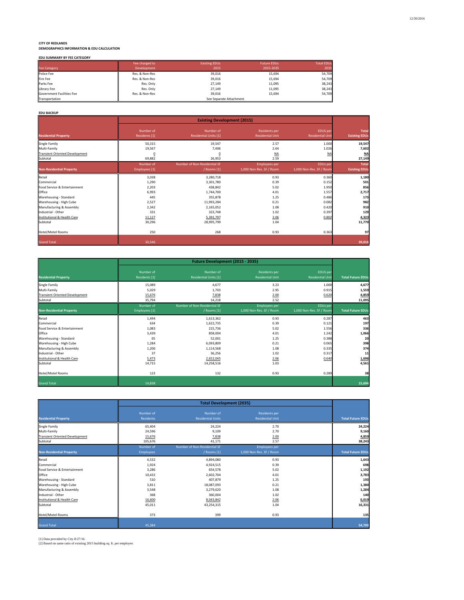**CITY OF REDLANDS DEMOGRAPHICS INFORMATION & EDU CALCULATION**

|  |  |  | EDU SUMMARY BY FEE CATEGORY |  |
|--|--|--|-----------------------------|--|
|--|--|--|-----------------------------|--|

|                           | Fee charged to | <b>Existing EDUs</b>    | <b>Future EDUs</b> | <b>Total EDUs</b> |
|---------------------------|----------------|-------------------------|--------------------|-------------------|
| <b>Fee Category</b>       | Development    | 2015                    | 2015-2035          | 2035              |
| Police Fee                | Res. & Non-Res | 39,016                  | 15,694             | 54.709            |
| Fire Fee                  | Res. & Non-Res | 39,016                  | 15,694             | 54,709            |
| Parks Fee                 | Res. Only      | 27,149                  | 11,095             | 38,243            |
| Library Fee               | Res. Only      | 27.149                  | 11,095             | 38,243            |
| Government Facilities Fee | Res. & Non-Res | 39.016                  | 15,694             | 54,709            |
| Transportation            |                | See Separate Attachment |                    |                   |

#### **EDU BACKUP**

|                                       |                            | <b>Existing Development (2015)</b>          |                                                  |                                             |                               |  |  |
|---------------------------------------|----------------------------|---------------------------------------------|--------------------------------------------------|---------------------------------------------|-------------------------------|--|--|
| <b>Residential Property</b>           | Number of<br>Residents [1] | Number of<br><b>Residential Units [1]</b>   | <b>Residents per</b><br><b>Residential Unit</b>  | EDUS per<br><b>Residential Unit</b>         | Total<br><b>Existing EDUs</b> |  |  |
| <b>Single Family</b>                  | 50,315                     | 19,547                                      | 2.57                                             | 1.000                                       | 19,547                        |  |  |
| Multi-Family                          | 19,567                     | 7,406                                       | 2.64                                             | 1.026                                       | 7,602                         |  |  |
| <b>Transient Oriented Development</b> | 0                          | 0                                           | NA                                               | <b>NA</b>                                   | M                             |  |  |
| Subtotal                              | 69,882                     | 26,953                                      | 2.59                                             |                                             | 27,149                        |  |  |
| <b>Non-Residential Property</b>       | Number of<br>Employees [1] | Number of Non-Residential SF<br>/ Rooms [1] | <b>Employees per</b><br>1,000 Non-Res. SF / Room | <b>EDUs per</b><br>1,000 Non-Res. SF / Room | Total<br><b>Existing EDUs</b> |  |  |
| Retail                                | 3,038                      | 3,280,718                                   | 0.93                                             | 0.360                                       | 1,180                         |  |  |
| Commercial                            | 1,290                      | 3,301,780                                   | 0.39                                             | 0.152                                       | 501                           |  |  |
| Food Service & Entertainment          | 2,203                      | 438,842                                     | 5.02                                             | 1.950                                       | 856                           |  |  |
| Office                                | 6,993                      | 1,744,700                                   | 4.01                                             | 1.557                                       | 2,717                         |  |  |
| Warehousing - Standard                | 445                        | 355,878                                     | 1.25                                             | 0.486                                       | 173                           |  |  |
| Warehousing - High Cube               | 2,527                      | 11,993,284                                  | 0.21                                             | 0.082                                       | 982                           |  |  |
| Manufacturing & Assembly              | 2,342                      | 2,165,052                                   | 1.08                                             | 0.420                                       | 910                           |  |  |
| Industrial - Other                    | 331                        | 323,748                                     | 1.02                                             | 0.397                                       | 129                           |  |  |
| Institutional & Health Care           | 11,127                     | 5,391,797                                   | 2.06                                             | 0.802                                       | 4,323                         |  |  |
| Subtotal                              | 30,296                     | 28,995,799                                  | 1.04                                             |                                             | 11,770                        |  |  |
| <b>Hotel/Motel Rooms</b>              | 250                        | 268                                         | 0.93                                             | 0.363                                       | 97                            |  |  |
| <b>Grand Total</b>                    | 30,546                     |                                             |                                                  |                                             | 39,016                        |  |  |

|                                       |                            | Future Development (2015 - 2035)          |                                                 |                                     |                          |  |  |  |
|---------------------------------------|----------------------------|-------------------------------------------|-------------------------------------------------|-------------------------------------|--------------------------|--|--|--|
| <b>Residential Property</b>           | Number of<br>Residents [1] | Number of<br><b>Residential Units [1]</b> | <b>Residents per</b><br><b>Residential Unit</b> | EDUS per<br><b>Residential Unit</b> | <b>Total Future EDUs</b> |  |  |  |
| Single Family                         | 15,089                     | 4,677                                     | 3.23                                            | 1.000                               | 4,677                    |  |  |  |
| Multi-Family                          | 5,029                      | 1,703                                     | 2.95                                            | 0.915                               | 1,559                    |  |  |  |
| <b>Transient Oriented Development</b> | 15,676                     | 7,838                                     | 2.00                                            | 0.620                               | 4,859                    |  |  |  |
| Subtotal                              | 35,794                     | 14,218                                    | 2.52                                            |                                     | 11,095                   |  |  |  |
|                                       | Number of                  | Number of Non-Residential SF              | <b>Employees per</b>                            | EDUs per                            |                          |  |  |  |
| <b>Non-Residential Property</b>       | Employees [1]              | / Rooms [1]                               | 1,000 Non-Res. SF / Room                        | 1,000 Non-Res. SF / Room            | <b>Total Future EDUs</b> |  |  |  |
| Retail                                | 1,494                      | 1,613,362                                 | 0.93                                            | 0.287                               | 463                      |  |  |  |
| Commercial                            | 634                        | 1,622,735                                 | 0.39                                            | 0.121                               | 197                      |  |  |  |
| Food Service & Entertainment          | 1,083                      | 215,736                                   | 5.02                                            | 1.556                               | 336                      |  |  |  |
| Office                                | 3,439                      | 858,004                                   | 4.01                                            | 1.242                               | 1,066                    |  |  |  |
| Warehousing - Standard                | 65                         | 52,001                                    | 1.25                                            | 0.388                               | 20                       |  |  |  |
| Warehousing - High Cube               | 1,284                      | 6,093,809                                 | 0.21                                            | 0.065                               | 398                      |  |  |  |
| Manufacturing & Assembly              | 1,206                      | 1,114,568                                 | 1.08                                            | 0.335                               | 374                      |  |  |  |
| Industrial - Other                    | 37                         | 36,256                                    | 1.02                                            | 0.317                               | 11                       |  |  |  |
| Institutional & Health Care           | 5,473                      | 2,652,045                                 | 2.06                                            | 0.640                               | 1,696                    |  |  |  |
| Subtotal                              | 14,715                     | 14,258,516                                | 1.03                                            |                                     | 4,561                    |  |  |  |
| <b>Hotel/Motel Rooms</b>              | 123                        | 132                                       | 0.93                                            | 0.289                               | 38                       |  |  |  |
| <b>Grand Total</b>                    | 14,838                     |                                           |                                                 |                                     | 15,694                   |  |  |  |

| <b>Residential Property</b>           | Number of<br>Residents        | Number of<br><b>Residential Units</b>       | <b>Residents per</b><br><b>Residential Unit</b>  | <b>Total Future EDUs</b> |
|---------------------------------------|-------------------------------|---------------------------------------------|--------------------------------------------------|--------------------------|
| Single Family                         | 65,404                        | 24,224                                      | 2.70                                             | 24,224                   |
| Multi-Family                          | 24,596                        | 9,109                                       | 2.70                                             | 9,160                    |
| <b>Transient Oriented Development</b> | 15,676                        | 7,838                                       | 2.00                                             | 4,859                    |
| Subtotal                              | 105,676                       | 41,171                                      | 2.57                                             | 38,243                   |
| <b>Non-Residential Property</b>       | Number of<br><b>Employees</b> | Number of Non-Residential SF<br>/ Rooms [1] | <b>Employees per</b><br>1,000 Non-Res. SF / Room | <b>Total Future EDUs</b> |
| Retail                                | 4,532                         | 4,894,080                                   | 0.93                                             | 1,643                    |
| Commercial                            | 1,924                         | 4,924,515                                   | 0.39                                             | 698                      |
| Food Service & Entertainment          | 3,286                         | 654,578                                     | 5.02                                             | 1,192                    |
| Office                                | 10,432                        | 2,602,704                                   | 4.01                                             | 3,783                    |
| Warehousing - Standard                | 510                           | 407,879                                     | 1.25                                             | 193                      |
| Warehousing - High Cube               | 3,811                         | 18,087,093                                  | 0.21                                             | 1,380                    |
| Manufacturing & Assembly              | 3,548                         | 3,279,620                                   | 1.08                                             | 1,284                    |
| Industrial - Other                    | 368                           | 360,004                                     | 1.02                                             | 140                      |
| Institutional & Health Care           | 16,600                        | 8,043,842                                   | 2.06                                             | 6,019                    |
| Subtotal                              | 45,011                        | 43,254,315                                  | 1.04                                             | 16,331                   |
| Hotel/Motel Rooms                     | 373                           | 399                                         | 0.93                                             | 135                      |
| <b>Grand Total</b>                    | 45,384                        |                                             |                                                  | 54,709                   |

[1] Data provided by City 8/27/16.<br>[2] Based on same ratio of existing 2015 building sq. ft. per employee.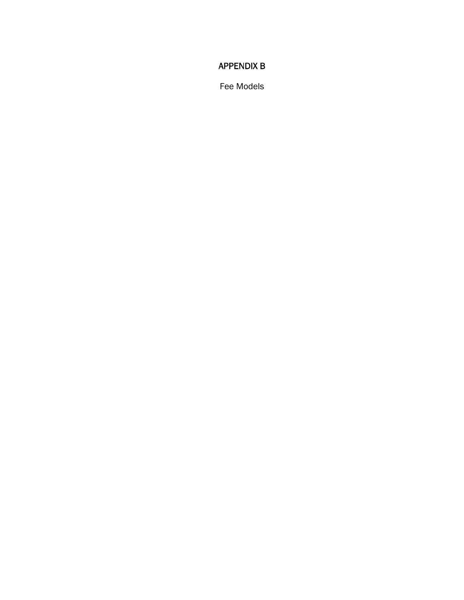## **APPENDIX B**

Fee Models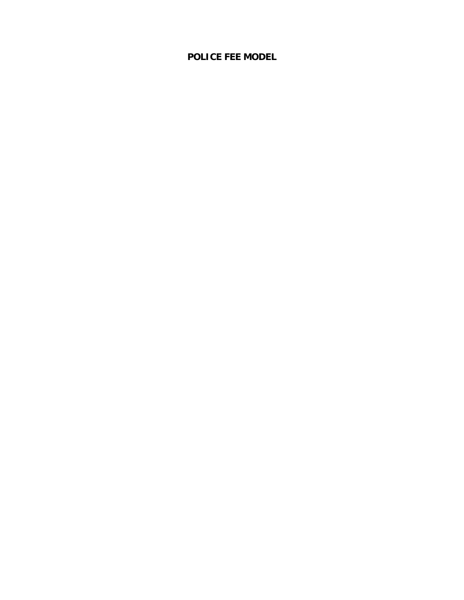# **POLICE FEE MODEL**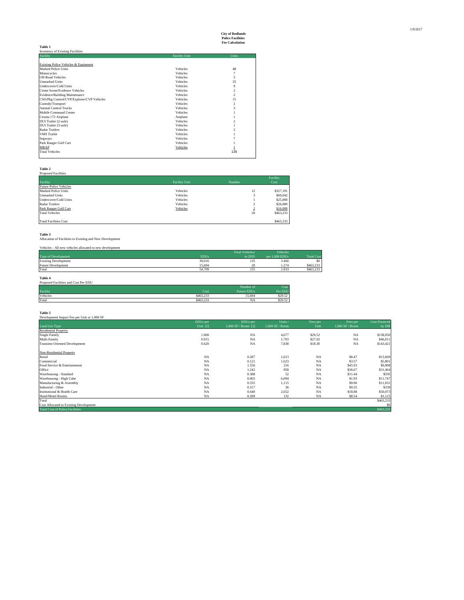# **City of Redlands Police Facilities Fee Calculation**

|                                           |                      | ree Calculation |
|-------------------------------------------|----------------------|-----------------|
| <b>Table 1</b>                            |                      |                 |
| <b>Inventory of Existing Facilities</b>   |                      |                 |
| Facility                                  | <b>Facility Unit</b> | Units           |
|                                           |                      |                 |
| Existing Police Vehicles & Equipment      |                      |                 |
| Marked Police Units                       | Vehicles             | 48              |
| Motorcycles                               | Vehicles             | 7               |
| <b>Off-Road Vehicles</b>                  | Vehicles             | 5               |
| <b>Unmarked Units</b>                     | Vehicles             | 25              |
| Undercover/Cold Units                     | Vehicles             | 9               |
| Crime Scene/Evidence Vehicles             | Vehicles             | $\overline{c}$  |
| Evidence/Building Maintenance             | Vehicles             | $\overline{c}$  |
| CSO/Pkg Control/CVP/Explorer/CVP Vehicles | Vehicles             | 15              |
| Custody/Transport                         | Vehicles             | $\overline{c}$  |
| <b>Animal Control Trucks</b>              | Vehicles             | 3               |
| Mobile Command Center                     | Vehicles             |                 |
| Cessna 172 Airplane                       | Airplane             |                 |
| DUI Trailer (2-axle)                      | Vehicles             | 2               |
| DUI Trailer (3-axle)                      | Vehicles             |                 |
| <b>Radar Trailers</b>                     | Vehicles             | $\overline{c}$  |
| <b>VMS</b> Trailer                        | Vehicles             |                 |
| Segways                                   | Vehicles             |                 |
| Park Ranger Golf Cart                     | Vehicles             |                 |
| MRAP                                      | Vehicles             |                 |
| <b>Total Vehicles</b>                     |                      | 135             |
|                                           |                      |                 |

|                               |                      |               | Facility  |
|-------------------------------|----------------------|---------------|-----------|
| Facility                      | <b>Facility Unit</b> | Number        | Cost      |
| <b>Future Police Vehicles</b> |                      |               |           |
| Marked Police Units           | Vehicles             | 12            | \$327,191 |
| <b>Unmarked Units</b>         | Vehicles             | 3             | \$69,042  |
| Undercover/Cold Units         | Vehicles             |               | \$25,000  |
| Radar Trailers                | Vehicles             | $\Delta$<br>∠ | \$26,000  |
| Park Ranger Golf Cart         | Vehicles             | $\sim$<br>÷   | \$16,000  |
| <b>Total Vehicles</b>         |                      | 20            | \$463,233 |

**Table 3**<br>Allocation of Facilities to Existing and New Development

Development Impact Fee per Unit or 1,000 SF

|             | Total Vehicles/ | <b>Vehicles</b> |                   |
|-------------|-----------------|-----------------|-------------------|
| <b>EDUs</b> | in 2035         | per 1.000 EDUs  | <b>Total Cost</b> |
| 39,016      | 135             | 3.460           | \$0               |
| 15.694      | 20              | 1.274           | \$463,233         |
| 54.709      | 155             | 2.833           | \$463,233         |
|             |                 |                 |                   |

**Table 4**<br>Proposed Facilities and Cost Per EDU

| There is actively and cost Feb ED C |              |                    |         |
|-------------------------------------|--------------|--------------------|---------|
|                                     |              | Number of          |         |
| Facility                            | <b>Cost-</b> | <b>Future EDUs</b> | Per EDU |
| Vehicles                            | \$463,233    | 15.694             | \$29.52 |
| Total                               | \$463,233    | NA                 | \$29.52 |

**Table 5**

EDUs per EDUs per Units / Fees per Fees per Cost Financed Land Use Type Unit [2] 1,000 SF / Room [2] 1,000 SF / Room Unit 1,000 SF / Room by DIF Residential Property<br>Single Family 1.000 NA 4,677 \$29.52 NA \$138,050 Multi-Family 1.000 NA 4,677 \$29.52 NA \$138,050 MA<br>Multi-Family 1.102 NA 1,703 \$27.02 NA 546,011 NA 7,838 \$18.30 NA \$143,421 NA 5143,421 Non-Residential Property<br>
Non-Residential Property<br>
Connectial<br>
Condex Entertainment<br>
Scotland & Entertainment<br>
Model Scotland & Entertainment<br>
Model Scotland & Entertainment<br>
Model Scotland & Entertainment<br>
Model Scotland Total \$463,233 September \$463,233 Cost Allocated to Existing Development \$463,233 Cost Allocated to Existing Development \$463,233<br>Cost Allocated to Existing Development \$0 Total Cost of Police Facilities \$463,233<br>Total Cos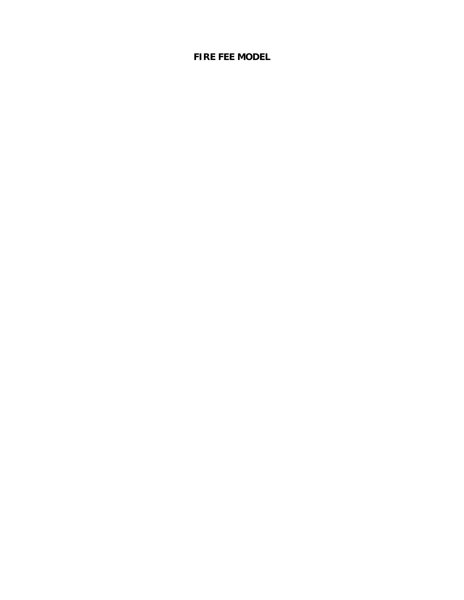# **FIRE FEE MODEL**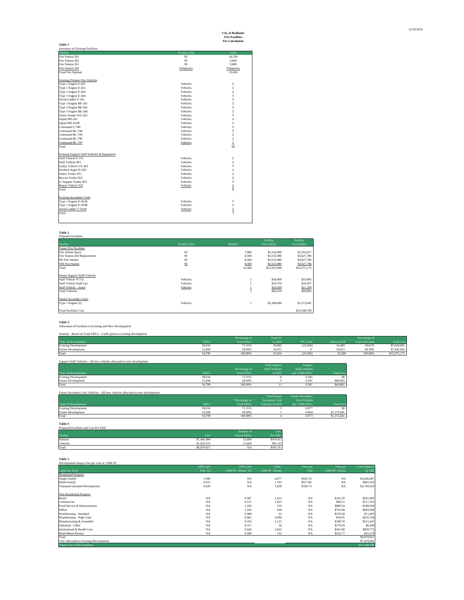| Table 1                                     |                      |               |
|---------------------------------------------|----------------------|---------------|
| Inventory of Existing Facilities            |                      |               |
| Facility                                    | <b>Facility Unit</b> | Units         |
| Fire Station 261                            | SF                   | 14.256        |
| Fire Station 262                            | SF                   | 3.600         |
| Fire Station 263                            | <b>SF</b>            | 5,600         |
| Fire Station 264                            | Temporary            | Temporary     |
| <b>Total Fire Stations</b>                  |                      | 23.456        |
|                                             |                      |               |
| <b>Existing Primary Fire Vehicles</b>       |                      |               |
| Type 1 Engine E-261                         | Vehicles             | 1             |
| Type 1 Engine E-262                         | Vehicles             | 1             |
| Type 1 Engine E-263                         | Vehicles             | 1             |
| Type 1 Engine E-264                         | Vehicles             | 1             |
| Aerial Ladder T-261                         | Vehicles             | 1             |
| Type 3 Engine BE-261                        | Vehicles             | 1             |
| Type 3 Engine BE-262                        | Vehicles             | 1             |
| Type 3 Engine BE-264                        | Vehicles             | 1             |
| Water Tender WT-263                         | Vehicles             | 1             |
| Squad MS-261                                | Vehicles             | 1             |
| Squad MS-261R                               | Vehicles             | 1             |
| Command C-700                               | Vehicles             | 1             |
| Command BC-704                              | Vehicles             | 1             |
| Command BC-705                              | Vehicles             | 1             |
| Command BC-706                              | Vehicles             | 1             |
| Command BC-707                              | Vehicles             | $\mathbf{1}$  |
| Total                                       |                      | 16            |
|                                             |                      |               |
| Existing Support Staff Vehicles & Equipment |                      |               |
| Staff Vehicle P-751                         | Vehicles             | 1             |
| Staff Vehicle 903                           | Vehicles             | 1             |
| Utility Vehicle UT-261                      | Vehicles             | 1             |
| Incident Suppt IS-263                       | Vehicles             | 1             |
| Safety Trailer 951                          | Vehicles             | 1             |
| Rescue Trailer 952                          | Vehicles             | 1             |
| Lt Support Trailer 953                      | Vehicles             | 1             |
| Repair Vehicle 925                          | Vehicles             | $\frac{1}{8}$ |
| Total                                       |                      |               |
|                                             |                      |               |
| <b>Existing Secondary Units</b>             |                      |               |
| Type 1 Engine E-261R                        | Vehicles             | 1             |
| Type 1 Engine E-263R                        | Vehicles             | 1             |
| Aerial Ladder T-261R                        | Vehicles             | 1             |
| Total                                       |                      | 3             |
|                                             |                      |               |
|                                             |                      |               |

|                            |        | Facility      | Facility     |
|----------------------------|--------|---------------|--------------|
| <b>Facility Unit</b>       | Number | Cost (2013)   | Cost (2016)  |
|                            |        |               |              |
| SF                         | 7.000  | \$3,318,000   | \$3,591,817  |
| SF                         | 8.500  | \$3,535,980   | \$3,827,786  |
| SF                         | 8.500  | \$3,535,980   | \$3,827,786  |
| $\ensuremath{\mathsf{SF}}$ | 8,500  | \$3,535,980   | \$3,827,786  |
|                            | 32,500 | \$13,925,940  | \$15,075,175 |
|                            |        |               |              |
|                            |        |               |              |
| Vehicles                   |        | \$18,000      | \$19,485     |
| Vehicles                   |        | \$18,750      | \$20,297     |
| Vehicles                   |        | \$19,500      | \$21,109     |
|                            |        | \$56,250      | \$60,892     |
|                            |        |               |              |
|                            |        |               |              |
| Vehicles                   |        | \$1,268,000   | \$1,372,641  |
|                            |        |               |              |
|                            |        |               | \$16,508,708 |
|                            |        | $\frac{1}{3}$ |              |

**Table 3**<br>Allocation of Facilities to Existing and New Development Stations - Based on Total EDUs - Credit given to existing development

| standard and the come to come of the come and the company of the company of the company of the company of the |             |               |                 |                  |                          |               |                |  |
|---------------------------------------------------------------------------------------------------------------|-------------|---------------|-----------------|------------------|--------------------------|---------------|----------------|--|
|                                                                                                               |             | Percentage of | <b>Total SF</b> |                  |                          | Percentage of |                |  |
| Type of Development                                                                                           | <b>EDUs</b> | al EDHs       | in 2035         | <b>SF</b> Credit | $\Delta$ lloc<br>ated SF | Allocated.    | <b>Total C</b> |  |
| <b>Existing Development</b>                                                                                   | 39.016      | 71.31%        | 39.905          | (23, 456)        | 16,449                   | 50.61%        | \$7,629,681    |  |
| <b>Future Development</b>                                                                                     | 15.694      | 28.69%        | 16.051          |                  | 16.05                    | 49.39%        | \$7,445,494    |  |
| Total                                                                                                         | 54.709      | 100.00%       | 55.956          | (23.456)         | 32.500                   | 100,00%       | \$15,075,175   |  |
|                                                                                                               |             |               |                 |                  |                          |               |                |  |

| Support Staff Vehicles - All new vehicles allocated to new development |             |                   |                       |                       |                   |  |  |  |
|------------------------------------------------------------------------|-------------|-------------------|-----------------------|-----------------------|-------------------|--|--|--|
|                                                                        |             |                   | <b>Total Support</b>  | Support               |                   |  |  |  |
|                                                                        |             | Percentage of     | <b>Staff Vehicles</b> | <b>Staff Vehicles</b> |                   |  |  |  |
| Type of Development                                                    | <b>EDUs</b> | <b>Total EDUs</b> | in 2035               | per 1.000 EDUs        | <b>Total Cost</b> |  |  |  |
| <b>Existing Development</b>                                            | 39.016      | 71.31%            |                       | 0.205                 |                   |  |  |  |
| Future Development                                                     | 15.694      | 28.69%            |                       | 0.191                 | \$60,892          |  |  |  |
| Total                                                                  | 54,709      | 100,00%           |                       | 0.201                 | \$60,892          |  |  |  |

Future Secondary Unit Vehicles - All new

|                             |             |                   | <b>Total Future</b> | <b>Future Secondary</b> |                   |
|-----------------------------|-------------|-------------------|---------------------|-------------------------|-------------------|
|                             |             | Percentage of     | Secondary Unit      | Unit Vehicles           |                   |
| Type of Development         | <b>EDUs</b> | <b>Total EDUs</b> | Vehicles in 2035    | per 1.000 EDUs          | <b>Total Cost</b> |
| <b>Existing Development</b> | 39.016      | 71.31%            |                     | 0.077                   |                   |
| Future Development          | 15.694      | 28.69%            |                     | 0.064                   | \$1,372,641       |
| Total                       | 54,709      | 100,00%           |                     | 0.073                   | \$1,372,641       |

**Table 4** Proposed Facilities and Cost Per EDU

|          |             | Number of          | Cost     |
|----------|-------------|--------------------|----------|
| Facility | Cost        | <b>Future EDUs</b> | Per EDU  |
| Stations | \$7,445,494 | 15.694             | \$474.42 |
| Vehicles | \$1,433,533 | 15.694             | \$91.34  |
| Total    | \$8,879,027 | <b>NA</b>          | \$565.76 |

| Table 5                                     |            |                       |                   |           |                   |                      |
|---------------------------------------------|------------|-----------------------|-------------------|-----------|-------------------|----------------------|
| Development Impact Fee per Unit or 1,000 SF |            |                       |                   |           |                   |                      |
|                                             | EDUs per   | EDUs per              | Units             | Fees per  | Fees per          | <b>Cost Financed</b> |
| Land Use Type                               | Unit $[2]$ | $1,000$ SF / Room [2] | $1,000$ SF / Room | Unit      | $1.000$ SF / Room | by DIF               |
| <b>Residential Property</b>                 |            |                       |                   |           |                   |                      |
| <b>Single Family</b>                        | 1.000      | <b>NA</b>             | 4,677             | \$565.76  | <b>NA</b>         | \$2,646,081          |
| Multi-Family                                | 0.915      | <b>NA</b>             | 1.703             | \$517.86  | <b>NA</b>         | \$881,910            |
| <b>Transient Oriented Development</b>       | 0.620      | <b>NA</b>             | 7,838             | \$350.73  | <b>NA</b>         | \$2,749,020          |
|                                             |            |                       |                   |           |                   |                      |
| Non-Residential Property                    |            |                       |                   |           |                   |                      |
| Retail                                      | <b>NA</b>  | 0.287                 | 1.613             | <b>NA</b> | \$162.39          | \$261,995            |
| Commercial                                  | <b>NA</b>  | 0.121                 | 1.623             | <b>NA</b> | \$68.51           | \$111,181            |
| Food Service & Entertainment                | <b>NA</b>  | 1.556                 | 216               | <b>NA</b> | \$880.34          | \$189,920            |
| Office                                      | <b>NA</b>  | 1.242                 | 858               | <b>NA</b> | \$702.89          | \$603,080            |
| Warehousing - Standard                      | <b>NA</b>  | 0.388                 | 52                | <b>NA</b> | \$219.28          | \$11,403             |
| Warehousing - High Cube                     | <b>NA</b>  | 0.065                 | 6,094             | <b>NA</b> | \$36.95           | \$225,164            |
| Manufacturing & Assembly                    | <b>NA</b>  | 0.335                 | 1,115             | <b>NA</b> | \$189.70          | \$211,431            |
| Industrial - Other                          | <b>NA</b>  | 0.317                 | 36                | <b>NA</b> | \$179.29          | \$6,500              |
| Institutional & Health Care                 | <b>NA</b>  | 0.640                 | 2,652             | <b>NA</b> | \$361.90          | \$959,772            |
| Hotel/Motel Rooms                           | <b>NA</b>  | 0.289                 | 132               | <b>NA</b> | \$163.77          | \$21,570             |
| Total                                       |            |                       |                   |           |                   | \$8,879,027          |
| Cost Allocated to Existing Development      |            |                       |                   |           |                   | \$7,629,681          |
| <b>Total Cost of Fire Facilities</b>        |            |                       |                   |           |                   | \$16,508,708         |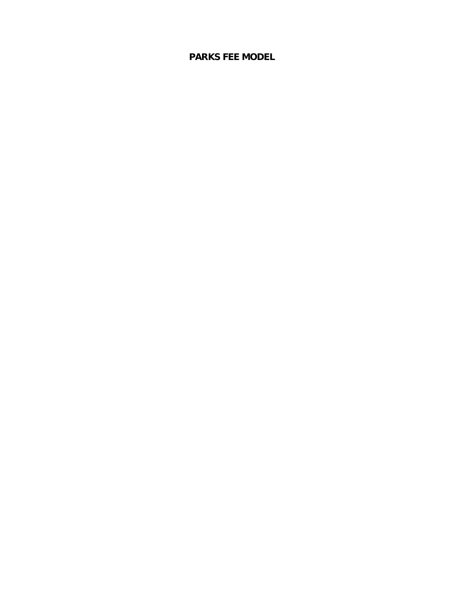# **PARKS FEE MODEL**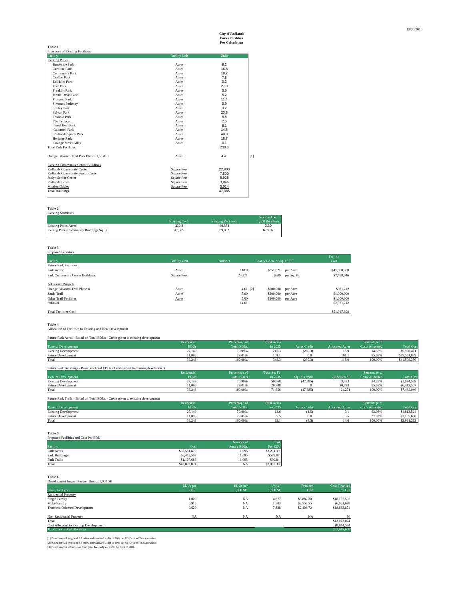# **City of Redlands Parks Facilities Fee Calculation**

|                                            |                      | гес сакинанон |     |
|--------------------------------------------|----------------------|---------------|-----|
| Table 1                                    |                      |               |     |
| <b>Inventory of Existing Facilities</b>    |                      |               |     |
| Facility                                   | <b>Facility Unit</b> | Units         |     |
| <b>Existing Parks</b>                      |                      |               |     |
| <b>Brookside Park</b>                      | Acres                | 9.2           |     |
| Caroline Park                              | Acres                | 16.8          |     |
| <b>Community Park</b>                      | Acres                | 18.2          |     |
| Crafton Park                               | Acres                | 7.5           |     |
| <b>Ed Hales Park</b>                       | Acres                | 0.3           |     |
| Ford Park                                  | Acres                | 27.0          |     |
| Franklin Park                              | Acres                | 0.6           |     |
| Jennie Davis Park                          | Acres                | 5.2           |     |
| <b>Prospect Park</b>                       | Acres                | 11.4          |     |
| Simonds Parkway                            | Acres                | 0.9           |     |
| <b>Smiley Park</b>                         | Acres                | 9.2           |     |
| Sylvan Park                                | Acres                | 23.3          |     |
| Texonia Park                               | Acres                | 8.8           |     |
| The Terrace                                | Acres                | 2.5           |     |
| <b>Isreal Beal Park</b>                    | Acres                | 8.1           |     |
| Oakmont Park                               | Acres                | 14.6          |     |
| <b>Redlands Sports Park</b>                | Acres                | 48.0          |     |
| Heritage Park                              | Acres                | 18.7          |     |
| <b>Orange Street Alley</b>                 | Acres                | 0.1           |     |
| <b>Total Park Facilities</b>               |                      | 230.3         |     |
| Orange Blossam Trail Park Phases 1, 2, & 3 | Acres                | 4.48          | [1] |
| <b>Existing Community Center Buildings</b> |                      |               |     |
| Redlands Community Center                  | <b>Square Feet</b>   | 22,900        |     |
| Redlands Community Senior Center           | <b>Square Feet</b>   | 7,500         |     |
| <b>Joslyn Senior Center</b>                | <b>Square Feet</b>   | 8,925         |     |
| Redlands Bowl                              | <b>Square Feet</b>   | 3,046         |     |
| <b>Mission Gables</b>                      | <b>Square Feet</b>   | 5,014         |     |
| <b>Total Buildings</b>                     |                      | 47,385        |     |

## **Table 2** Existing Standards

| <b>Existing Units</b> | <b>Existing Residents</b> | Standard per<br>1.000 Residents |
|-----------------------|---------------------------|---------------------------------|
| 230.3                 | 69.882                    | 3.30                            |
| 47.385                | 69.882                    | 678.07                          |
|                       |                           |                                 |

## **Table 3** Proposed Facilities

| <b>Tradition of Herman</b>      |                      |            |                              |             | Facility     |
|---------------------------------|----------------------|------------|------------------------------|-------------|--------------|
| Facility                        | <b>Facility Unit</b> | Number     | Cost per Acre or Sq. Ft. [2] |             | Cost         |
| <b>Future Park Facilities</b>   |                      |            |                              |             |              |
| Park Acres                      | Acres                | 118.0      | \$351.821                    | per Acre    | \$41,508,350 |
| Park Community Center Buildings | <b>Square Feet</b>   | 24,271     | \$309                        | per Sq. Ft. | \$7,488,046  |
| <b>Additional Projects</b>      |                      |            |                              |             |              |
| Orange Blossom Trail Phase 4    | Acres                | $4.61$ [2] | \$200,000                    | per Acre    | \$921,212    |
| Zanja Trail                     | Acres                | 5.00       | \$200,000                    | per Acre    | \$1,000,000  |
| <b>Other Trail Facilities</b>   | Acres                | 5.00       | \$200,000                    | per Acre    | \$1,000,000  |
| Subtotal                        |                      | 14.61      |                              |             | \$2,921,212  |
| <b>Total Facilities Cost</b>    |                      |            |                              |             | \$51,917,608 |

**Table 4**<br>Allocation of Facilities to Existing and New Development

| Future Park Acres - Based on Total EDUs - Credit given to existing development |             |                   |                    |              |                        |                        |                   |
|--------------------------------------------------------------------------------|-------------|-------------------|--------------------|--------------|------------------------|------------------------|-------------------|
|                                                                                | Residential | Percentage of     | <b>Total Acres</b> |              |                        | Percentage of          |                   |
| Type of Development                                                            | <b>EDUs</b> | <b>Total EDUs</b> | in 2035            | Acres Credit | <b>Allocated Acres</b> | <b>Costs Allocated</b> | <b>Total Cost</b> |
| <b>Existing Development</b>                                                    | 27,149      | 70.99%            | 247.3              | (230.3)      | 16.9                   | 14.35%                 | \$5,956,471       |
| <b>Future Development</b>                                                      | 11.095      | 29.01%            | 101.1              | 0.0          | 101.1                  | 85.65%                 | \$35,551,879      |
| Total                                                                          | 38.243      | 100.00%           | 348.3              | (230.3)      | 118.0                  | 100,00%                | \$41,508,350      |

| Future Park Buildings - Based on Total EDUs - Credit given to existing development |             |                   |               |                |                     |                        |                   |  |
|------------------------------------------------------------------------------------|-------------|-------------------|---------------|----------------|---------------------|------------------------|-------------------|--|
|                                                                                    | Residential | Percentage of     | Total Sq. Ft. |                |                     | Percentage of          |                   |  |
| Type of Development                                                                | <b>EDUs</b> | <b>Total EDUs</b> | in 2035       | Sq. Ft. Credit | <b>Allocated SF</b> | <b>Costs Allocated</b> | <b>Total Cost</b> |  |
| <b>Existing Development</b>                                                        | 27,149      | 70.99%            | 50.868        | (47.385)       | 3.483               | 14.35%                 | \$1,074.539       |  |
| <b>Future Development</b>                                                          | 11.095      | 29.01%            | 20.788        |                | 20.788              | 85.65%                 | \$6,413,507       |  |
| Total                                                                              | 38.243      | 100,00%           | 71.656        | (47.385)       | 24,271              | 100,00%                | \$7,488,046       |  |

| Future Park Trails - Based on Total EDUs - Credit given to existing development |             |               |                    |              |                        |                        |                   |
|---------------------------------------------------------------------------------|-------------|---------------|--------------------|--------------|------------------------|------------------------|-------------------|
|                                                                                 | Residential | Percentage of | <b>Total Acres</b> |              |                        | Percentage of          |                   |
| Type of Development                                                             | <b>EDUs</b> | Total EDUs    | in 2035            | Acres Credit | <b>Allocated Acres</b> | <b>Costs Allocated</b> | <b>Total Cost</b> |
| <b>Existing Development</b>                                                     | 27,149      | 70.99%        | 13.6               | 4.5.         |                        | 62.08%                 | \$1,813,524       |
| Future Development                                                              | 1.095       | 29.01%        |                    |              |                        | 37.92%                 | \$1,107,688       |
| Total                                                                           | 38,243      | 100,00%       |                    | 4.5          | 14.6                   | 100.00%                | \$2,921,212       |

| Table 5                              |              |                    |            |
|--------------------------------------|--------------|--------------------|------------|
| Proposed Facilities and Cost Per EDU |              |                    |            |
|                                      |              | Number of          | Cost       |
| Facility                             | Cost         | <b>Future EDUs</b> | Per EDU    |
| Park Acres                           | \$35,551,879 | 11.095             | \$3,204.39 |
| Park Buildings                       | \$6,413,507  | 11.095             | \$578.07   |
| Park Trails                          | \$1,107,688  | 11.095             | \$99.84    |
| Total                                | \$43,073,074 | NA                 | \$3,882.30 |

| Table 6                                     |           |           |           |            |                      |
|---------------------------------------------|-----------|-----------|-----------|------------|----------------------|
| Development Impact Fee per Unit or 1,000 SF |           |           |           |            |                      |
|                                             | EDUs per  | EDUs per  | Units /   | Fees per   | <b>Cost Financed</b> |
| Land Use Type                               | Unit      | 1,000 SF  | 1.000 SF  | Unit       | by DIF               |
| <b>Residential Property</b>                 |           |           |           |            |                      |
| <b>Single Family</b>                        | 1.000     | <b>NA</b> | 4,677     | \$3,882.30 | \$18,157,502         |
| Multi-Family                                | 0.915     | <b>NA</b> | 1,703     | \$3,553.55 | \$6,051,698          |
| <b>Transient Oriented Development</b>       | 0.620     | <b>NA</b> | 7,838     | \$2,406.72 | \$18,863,874         |
| Non-Residential Property                    | <b>NA</b> | <b>NA</b> | <b>NA</b> | <b>NA</b>  |                      |
| Total                                       |           |           |           |            | \$43,073,074         |
| Cost Allocated to Existing Development      |           |           |           |            | \$8,844,534          |
| <b>Total Cost of Park Facilities</b>        |           |           |           |            | \$51,917,608         |

[1] Based on trail length of 3.7 miles and standard width of 10 ft per US Dept. of Transportation.<br>[2] Based on trail length of 3.8 miles and standard width of 10 ft per US Dept. of Transportation.<br>[3] Based on cost inform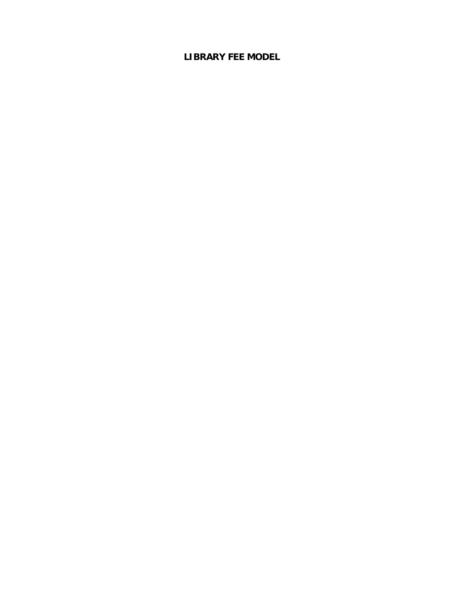# **LIBRARY FEE MODEL**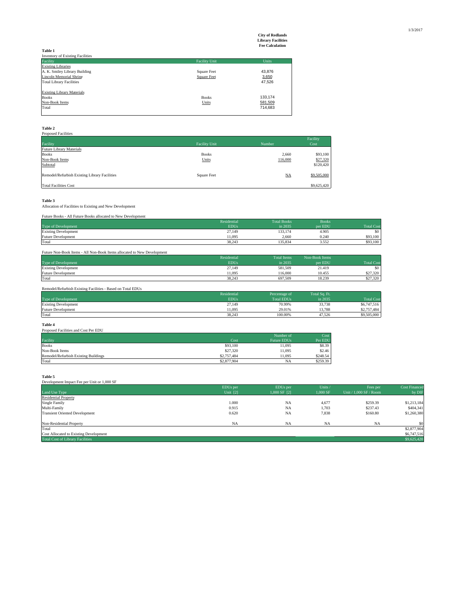# **City of Redlands Library Facilities Fee Calculation**

|                                         |                      | Tec carcaman |
|-----------------------------------------|----------------------|--------------|
| Table 1                                 |                      |              |
| <b>Inventory of Existing Facilities</b> |                      |              |
| Facility                                | <b>Facility Unit</b> | <b>Units</b> |
| <b>Existing Libraries</b>               |                      |              |
| A. K. Smiley Library Building           | <b>Square Feet</b>   | 43,876       |
| Lincoln Memorial Shrine                 | <b>Square Feet</b>   | 3,650        |
| <b>Total Library Facilities</b>         |                      | 47,526       |
|                                         |                      |              |
| <b>Existing Library Materials</b>       |                      |              |
| <b>Books</b>                            | <b>Books</b>         | 133,174      |
| Non-Book Items                          | Units                | 581,509      |
| Total                                   |                      | 714,683      |
|                                         |                      |              |

| Table 2                                       |                      |                |             |  |  |
|-----------------------------------------------|----------------------|----------------|-------------|--|--|
| <b>Proposed Facilities</b>                    |                      |                |             |  |  |
|                                               |                      |                | Facility    |  |  |
| Facility                                      | <b>Facility Unit</b> | Number         | Cost        |  |  |
| <b>Future Library Materials</b>               |                      |                |             |  |  |
| <b>Books</b>                                  | <b>Books</b>         | 2,660          | \$93,100    |  |  |
| Non-Book Items                                | Units                | 116,000        | \$27,320    |  |  |
| Subtotal                                      |                      |                | \$120,420   |  |  |
|                                               |                      |                |             |  |  |
| Remodel/Refurbish Existing Library Facilities | <b>Square Feet</b>   | $_{\text{NA}}$ | \$9,505,000 |  |  |
|                                               |                      |                |             |  |  |
| <b>Total Facilities Cost</b>                  |                      |                | \$9,625,420 |  |  |

# **Table 3**<br>Allocation of Facilities to Existing and New Development

|--|

|                             | Residential | <b>Total Books</b> | <b>Books</b> |                   |
|-----------------------------|-------------|--------------------|--------------|-------------------|
| Type of Development         | <b>EDUs</b> | in 2035            | per EDU      | <b>Total Cost</b> |
| <b>Existing Development</b> | 27,149      | 133,174            | 4.905        | \$0               |
| <b>Future Development</b>   | 11.095      | 2.660              | 0.240        | \$93,100          |
| Total                       | 38.243      | 135.834            | 3.552        | \$93,100          |
|                             |             |                    |              |                   |

| Future Non-Book Items - All Non-Book Items allocated to New Development |             |                    |                |                   |
|-------------------------------------------------------------------------|-------------|--------------------|----------------|-------------------|
|                                                                         | Residential | <b>Total Items</b> | Non-Book Items |                   |
| Type of Development                                                     | <b>EDUs</b> | in 2035            | per EDU        | <b>Total Cost</b> |
| <b>Existing Development</b>                                             | 27,149      | 581,509            | 21.419         | \$0               |
| <b>Future Development</b>                                               | 11.095      | 116,000            | 10.455         | \$27,320          |
| Total                                                                   | 38.243      | 697.509            | 18.239         | \$27,320          |

## Remodel/Refurbish Existing Facilities - Based on Total EDUs Example 1 dential Percentage of Total Sq. Ft.<br>
Residential Procedure 1 Total EDUs<br>
Total EDUs<br>
in 2035 Type of Development EDUs and EDUs in 2035 Total Cost Total Cost<br>
Existing Development 27,149 29,1149 29,01% 33,738 \$6,747,516<br>
Future Development 21,095 29,901% 13,788 \$2,757,484<br>
Total Total 38,243 100.00% 47,526 \$9,505,

**Table 4**

### Proposed Facilities and Cost Per EDU

|                                      |             | Number of          | Cost     |
|--------------------------------------|-------------|--------------------|----------|
| Facility                             | Cost        | <b>Future EDUs</b> | Per EDU  |
| <b>Books</b>                         | \$93,100    | 11.095             | \$8.39   |
| Non-Book Items                       | \$27,320    | 11.095             | \$2.46   |
| Remodel/Refurbish Existing Buildings | \$2,757,484 | 11.095             | \$248.54 |
| Total                                | \$2,877,904 | <b>NA</b>          | \$259.39 |

**Table 5**

| EDUs per   | EDUs per         | Units /   | Fees per                 | Cost Financed |
|------------|------------------|-----------|--------------------------|---------------|
| Unit $[2]$ | $1,000$ SF $[2]$ | 1,000 SF  | Unit / $1.000$ SF / Room | by DIF        |
|            |                  |           |                          |               |
| 1.000      | <b>NA</b>        | 4,677     | \$259.39                 | \$1,213,184   |
| 0.915      | <b>NA</b>        | 1,703     | \$237.43                 | \$404,341     |
| 0.620      | <b>NA</b>        | 7,838     | \$160.80                 | \$1,260,380   |
| <b>NA</b>  | <b>NA</b>        | <b>NA</b> | <b>NA</b>                |               |
|            |                  |           |                          | \$2,877,904   |
|            |                  |           |                          | \$6,747,516   |
|            |                  |           |                          | \$9,625,420   |
|            |                  |           |                          |               |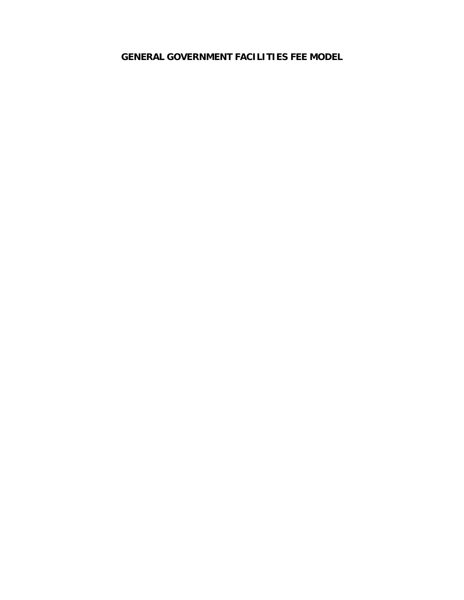**GENERAL GOVERNMENT FACILITIES FEE MODEL**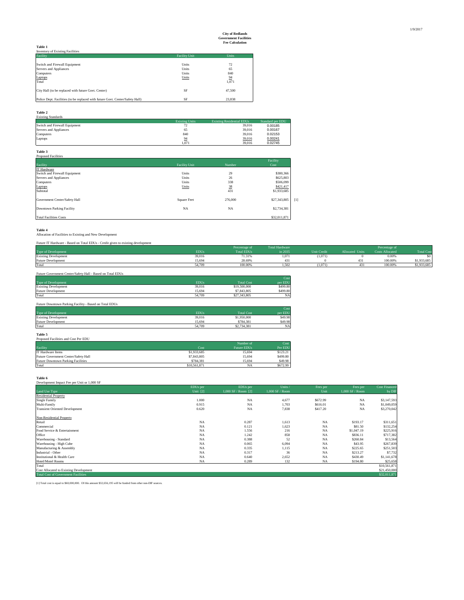|                                                                               |                      | тес савсшанон |
|-------------------------------------------------------------------------------|----------------------|---------------|
| <b>Table 1</b>                                                                |                      |               |
| <b>Inventory of Existing Facilities</b>                                       |                      |               |
| Facility                                                                      | <b>Facility Unit</b> | Units         |
|                                                                               |                      |               |
| Switch and Firewall Equipment                                                 | Units                | 72            |
| Servers and Appliances                                                        | Units                | 65            |
| Computers                                                                     | Units                | 840           |
| Laptops                                                                       | Units                | 94            |
| Total                                                                         |                      | 1.071         |
|                                                                               |                      |               |
| City Hall (to be replaced with future Govt. Center)                           | SF                   | 47.500        |
|                                                                               |                      |               |
| Police Dept. Facilities (to be replaced with future Govt. Center/Safety Hall) | SF                   | 23.838        |

## **Table 2** Existing Standards

| <b>EXISTING STATIONERS</b>    |                       |                                  |                  |
|-------------------------------|-----------------------|----------------------------------|------------------|
|                               | <b>Existing Units</b> | <b>Existing Residential EDUs</b> | Standard per EDU |
| Switch and Firewall Equipment |                       | 39.016                           | 0.00185          |
| Servers and Appliances        | 65                    | 39.016                           | 0.00167          |
| Computers                     | 840                   | 39.016                           | 0.02153          |
| Laptops                       | 94                    | 39,016                           | 0.00241          |
|                               | 1.071                 | 39.016                           | 0.02745          |

| Table 3                       |                      |         |              |       |
|-------------------------------|----------------------|---------|--------------|-------|
| <b>Proposed Facilities</b>    |                      |         |              |       |
|                               |                      |         | Facility     |       |
| Facility                      | <b>Facility Unit</b> | Number  | Cost         |       |
| IT Hardware                   |                      |         |              |       |
| Switch and Firewall Equipment | Units                | 29      | \$380,366    |       |
| Servers and Appliances        | Units                | 26      | \$625,803    |       |
| Computers                     | Units                | 338     | \$506,099    |       |
| Laptops                       | Units                | 38      | \$421,417    |       |
| Subtotal                      |                      | 431     | \$1,933,685  |       |
| Government Center/Safety Hall | Square Feet          | 276,000 | \$27,343,805 | $[1]$ |
| Downtown Parking Facility     | <b>NA</b>            | NA      | \$2,734,381  |       |
| <b>Total Facilities Costs</b> |                      |         | \$32,011,871 |       |

**Table 4** Allocation of Facilities to Existing and New Development

| Future IT Hardware - Based on Total EDUs - Credit given to existing development |             |               |                       |                    |                        |                        |                  |
|---------------------------------------------------------------------------------|-------------|---------------|-----------------------|--------------------|------------------------|------------------------|------------------|
|                                                                                 |             | Percentage of | <b>Total Hardware</b> |                    |                        | Percentage of          |                  |
| Type of Development                                                             | <b>EDUs</b> | Total EDUs    | in 2035               | <b>Unit Credit</b> | <b>Allocated Units</b> | <b>Costs Allocated</b> | <b>Total Cos</b> |
| <b>Existing Development</b>                                                     | 39.016      | 71.31%        | 1.071                 | (1,071)            |                        | 0.00%                  |                  |
| Future Development                                                              | 15.694      | 28.69%        | 431                   |                    | 431                    | 100,00%                | \$1,933,685      |
| Total                                                                           | 54.709      | 100.00%       | 1.502                 | (1.071)            |                        | 100,00%                | \$1,933,685      |

| Future Government Center/Safety Hall - Based on Total EDUs |             |                   | Cost      |
|------------------------------------------------------------|-------------|-------------------|-----------|
| Type of Development                                        | <b>EDUs</b> | <b>Total Cost</b> | per EDU   |
| <b>Existing Development</b>                                | 39.016      | \$19,500,000      | \$499.80  |
| <b>Future Development</b>                                  | 15.694      | \$7,843,805       | \$499.80  |
| Total                                                      | 54.709      | \$27,343,805      | <b>NA</b> |

| Future Downtown Parking Facility - Based on Total EDUs |             |                   |           |
|--------------------------------------------------------|-------------|-------------------|-----------|
|                                                        |             |                   | Cost      |
| Type of Development                                    | <b>EDUs</b> | <b>Total Cost</b> | per EDU   |
| <b>Existing Development</b>                            | 39.016      | \$1,950,000       | \$49.98   |
| <b>Future Development</b>                              | 15.694      | \$784.381         | \$49.98   |
| Total                                                  | 54.709      | \$2,734.381       | <b>NA</b> |

| Table 5                              |              |                    |          |
|--------------------------------------|--------------|--------------------|----------|
| Proposed Facilities and Cost Per EDU |              |                    |          |
|                                      |              | Number of          | Cost     |
| Facility                             | Cost         | <b>Future EDUs</b> | Per EDU  |
| <b>IT Hardware Items</b>             | \$1,933,685  | 15.694             | \$123.21 |
| Future Government Center/Safety Hall | \$7,843,805  | 15.694             | \$499.80 |
| Future Downtown Parking Facilities   | \$784.381    | 15.694             | \$49.98  |
| Total                                | \$10,561,871 | NA                 | \$672.99 |

| Table 6                                     |           |                       |                 |           |                 |                      |
|---------------------------------------------|-----------|-----------------------|-----------------|-----------|-----------------|----------------------|
| Development Impact Fee per Unit or 1,000 SF |           |                       |                 |           |                 |                      |
|                                             | EDUs per  | EDUs per              | Units           | Fees per  | Fees per        | <b>Cost Financed</b> |
| Land Use Type                               | Unit [2]  | $1,000$ SF / Room [2] | 1,000 SF / Room | Unit      | 1,000 SF / Room | by DIF               |
| <b>Residential Property</b>                 |           |                       |                 |           |                 |                      |
| Single Family                               | 1.000     | <b>NA</b>             | 4,677           | \$672.99  | <b>NA</b>       | \$3,147,593          |
| Multi-Family                                | 0.915     | NA                    | 1,703           | \$616.01  | <b>NA</b>       | \$1,049,059          |
| <b>Transient Oriented Development</b>       | 0.620     | NA                    | 7,838           | \$417.20  | <b>NA</b>       | \$3,270,042          |
| Non-Residential Property                    |           |                       |                 |           |                 |                      |
| Retail                                      | <b>NA</b> | 0.287                 | 1,613           | <b>NA</b> | \$193.17        | \$311,651            |
| Commercial                                  | NA        | 0.121                 | 1,623           | NA        | \$81.50         | \$132,254            |
| Food Service & Entertainment                | NA        | 1.556                 | 216             | <b>NA</b> | \$1,047.19      | \$225,916            |
| Office                                      | <b>NA</b> | 1.242                 | 858             | <b>NA</b> | \$836.11        | \$717,382            |
| Warehousing - Standard                      | <b>NA</b> | 0.388                 | 52              | <b>NA</b> | \$260.84        | \$13,564             |
| Warehousing - High Cube                     | <b>NA</b> | 0.065                 | 6,094           | <b>NA</b> | \$43.95         | \$267,839            |
| Manufacturing & Assembly                    | <b>NA</b> | 0.335                 | 1,115           | <b>NA</b> | \$225.65        | \$251,503            |
| Industrial - Other                          | <b>NA</b> | 0.317                 | 36              | NA        | \$213.27        | \$7,732              |
| Institutional & Health Care                 | <b>NA</b> | 0.640                 | 2,652           | NA        | \$430.49        | \$1,141,678          |
| Hotel/Motel Rooms                           | NA        | 0.289                 | 132             | NA        | \$194.80        | \$25,658             |
| Total                                       |           |                       |                 |           |                 | \$10,561,871         |
| Cost Allocated to Existing Development      |           |                       |                 |           |                 | \$21,450,000         |
| <b>Total Cost of Government Facilities</b>  |           |                       |                 |           |                 | \$32,011,871         |

[1] Total cost is equal to \$60,000,000. Of this amount \$32,656,195 will be funded from other non-DIF sources.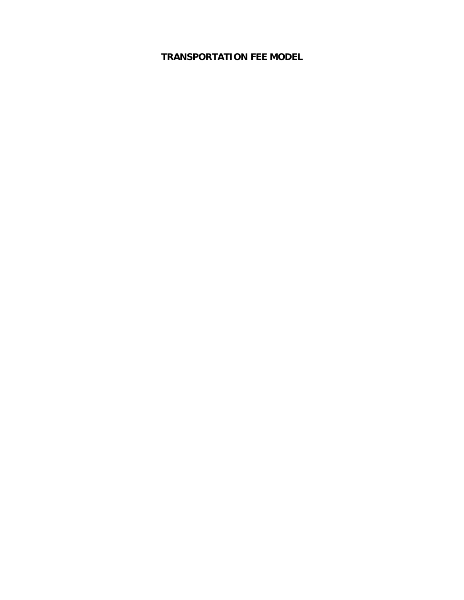**TRANSPORTATION FEE MODEL**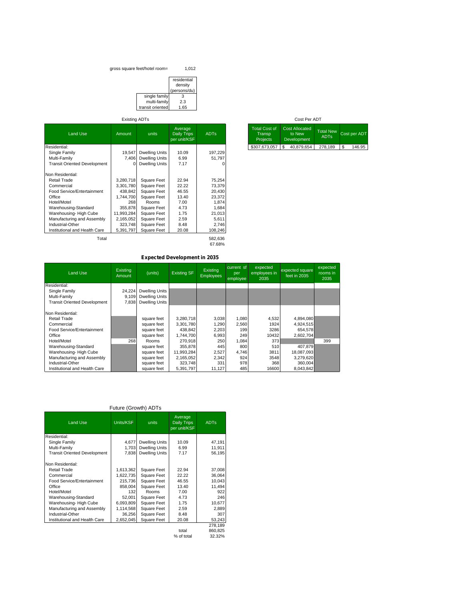### gross square feet/hotel room= 1,012

|                  | residential<br>density |
|------------------|------------------------|
|                  | (persons/du)           |
| single family    | к                      |
| multi-family     | 2.3                    |
| transit oriented | 1.65                   |

## Existing ADTs

| <b>Land Use</b>                     | Amount     | units                 | Average<br>Daily Trips<br>per unit/KSF | <b>ADTs</b> | <b>Total Cost of</b><br>Transp<br><b>Projects</b> | <b>Cost Allocated</b><br>to New<br>Development | <b>Total New</b><br><b>ADTs</b> | Cost per ADT |
|-------------------------------------|------------|-----------------------|----------------------------------------|-------------|---------------------------------------------------|------------------------------------------------|---------------------------------|--------------|
| Residential:                        |            |                       |                                        |             | \$307,673,057                                     | \$<br>40,879,654                               | 278,189                         | \$<br>146.95 |
| Single Family                       | 19,547     | <b>Dwelling Units</b> | 10.09                                  | 197,229     |                                                   |                                                |                                 |              |
| Multi-Family                        | 7,406      | <b>Dwelling Units</b> | 6.99                                   | 51,797      |                                                   |                                                |                                 |              |
| <b>Transit Oriented Development</b> |            | <b>Dwelling Units</b> | 7.17                                   | $\Omega$    |                                                   |                                                |                                 |              |
| Non Residential:                    |            |                       |                                        |             |                                                   |                                                |                                 |              |
| <b>Retail Trade</b>                 | 3,280,718  | Square Feet           | 22.94                                  | 75,254      |                                                   |                                                |                                 |              |
| Commercial                          | 3,301,780  | Square Feet           | 22.22                                  | 73,379      |                                                   |                                                |                                 |              |
| Food Service/Entertainment          | 438,842    | Square Feet           | 46.55                                  | 20,430      |                                                   |                                                |                                 |              |
| Office                              | 1.744.700  | Square Feet           | 13.40                                  | 23,372      |                                                   |                                                |                                 |              |
| Hotel/Motel                         | 268        | Rooms                 | 7.00                                   | 1,874       |                                                   |                                                |                                 |              |
| Warehousing-Standard                | 355,878    | Square Feet           | 4.73                                   | 1,684       |                                                   |                                                |                                 |              |
| Warehousing-High Cube               | 11,993,284 | Square Feet           | 1.75                                   | 21,013      |                                                   |                                                |                                 |              |
| Manufacturing and Assembly          | 2,165,052  | Square Feet           | 2.59                                   | 5,611       |                                                   |                                                |                                 |              |
| Industrial-Other                    | 323,748    | Square Feet           | 8.48                                   | 2,746       |                                                   |                                                |                                 |              |
| Institutional and Health Care       | 5,391,797  | Square Feet           | 20.08                                  | 108,246     |                                                   |                                                |                                 |              |
| Total                               |            |                       |                                        | 582,636     |                                                   |                                                |                                 |              |
|                                     |            |                       |                                        | 67.68%      |                                                   |                                                |                                 |              |

## **Expected Development in 2035**

| <b>Land Use</b>                     | Existing<br>Amount | (units)               | <b>Existing SF</b> | <b>Existing</b><br><b>Employees</b> | current sf<br>per<br>employee | expected<br>employees in<br>2035 | expected square<br>feet in 2035 | expected<br>rooms in<br>2035 |
|-------------------------------------|--------------------|-----------------------|--------------------|-------------------------------------|-------------------------------|----------------------------------|---------------------------------|------------------------------|
| Residential:                        |                    |                       |                    |                                     |                               |                                  |                                 |                              |
| Single Family                       | 24,224             | <b>Dwelling Units</b> |                    |                                     |                               |                                  |                                 |                              |
| Multi-Family                        | 9.109              | <b>Dwelling Units</b> |                    |                                     |                               |                                  |                                 |                              |
| <b>Transit Oriented Development</b> | 7,838              | <b>Dwelling Units</b> |                    |                                     |                               |                                  |                                 |                              |
| Non Residential:                    |                    |                       |                    |                                     |                               |                                  |                                 |                              |
| Retail Trade                        |                    | square feet           | 3.280.718          | 3,038                               | 1.080                         | 4,532                            | 4,894,080                       |                              |
| Commercial                          |                    | square feet           | 3,301,780          | 1,290                               | 2,560                         | 1924                             | 4,924,515                       |                              |
| Food Service/Entertainment          |                    | square feet           | 438.842            | 2,203                               | 199                           | 3286                             | 654.578                         |                              |
| Office                              |                    | square feet           | 1,744,700          | 6,993                               | 249                           | 10432                            | 2.602.704                       |                              |
| Hotel/Motel                         | 268                | <b>Rooms</b>          | 270.918            | 250                                 | 1,084                         | 373                              |                                 | 399                          |
| Warehousing-Standard                |                    | square feet           | 355,878            | 445                                 | 800                           | 510                              | 407.879                         |                              |
| Warehousing-High Cube               |                    | square feet           | 11,993,284         | 2,527                               | 4.746                         | 3811                             | 18,087,093                      |                              |
| Manufacturing and Assembly          |                    | square feet           | 2,165,052          | 2,342                               | 924                           | 3548                             | 3,279,620                       |                              |
| Industrial-Other                    |                    | square feet           | 323.748            | 331                                 | 978                           | 368                              | 360.004                         |                              |
| Institutional and Health Care       |                    | square feet           | 5.391.797          | 11,127                              | 485                           | 16600                            | 8.043.842                       |                              |

## Future (Growth) ADTs

| <b>Land Use</b>                     | Units/KSF | units                 | Average<br>Daily Trips<br>per unit/KSF | <b>ADTs</b> |
|-------------------------------------|-----------|-----------------------|----------------------------------------|-------------|
| Residential:                        |           |                       |                                        |             |
| Single Family                       | 4,677     | <b>Dwelling Units</b> | 10.09                                  | 47,191      |
| Multi-Family                        | 1.703     | <b>Dwelling Units</b> | 6.99                                   | 11.911      |
| <b>Transit Oriented Development</b> | 7.838     | <b>Dwelling Units</b> | 7.17                                   | 56.195      |
|                                     |           |                       |                                        |             |
| Non Residential:                    |           |                       |                                        |             |
| <b>Retail Trade</b>                 | 1,613,362 | <b>Square Feet</b>    | 22.94                                  | 37,008      |
| Commercial                          | 1,622,735 | Square Feet           | 22.22                                  | 36,064      |
| Food Service/Entertainment          | 215,736   | Square Feet           | 46.55                                  | 10,043      |
| Office                              | 858.004   | Square Feet           | 13.40                                  | 11.494      |
| Hotel/Motel                         | 132       | Rooms                 | 7.00                                   | 922         |
| Warehousing-Standard                | 52,001    | Square Feet           | 4.73                                   | 246         |
| Warehousing-High Cube               | 6,093,809 | Square Feet           | 1.75                                   | 10,677      |
| Manufacturing and Assembly          | 1,114,568 | <b>Square Feet</b>    | 2.59                                   | 2,889       |
| Industrial-Other                    | 36,256    | Square Feet           | 8.48                                   | 307         |
| Institutional and Health Care       | 2,652,045 | Square Feet           | 20.08                                  | 53,243      |
|                                     |           |                       |                                        | 278.189     |
|                                     |           |                       | total                                  | 860,825     |

 $\begin{array}{r} 276,109 \\ \text{total} \\ 860,825 \\ \text{% of total} \\ 32.32\% \end{array}$ 

## Cost Per ADT

| <b>Total Cost of</b><br>Transp<br><b>Projects</b> | <b>Cost Allocated</b><br>to New<br>Development | <b>Total New</b><br><b>ADTs</b> | Cost per ADT |
|---------------------------------------------------|------------------------------------------------|---------------------------------|--------------|
| \$307.673.057                                     | 40,879,654                                     | 278,189                         | \$<br>146.95 |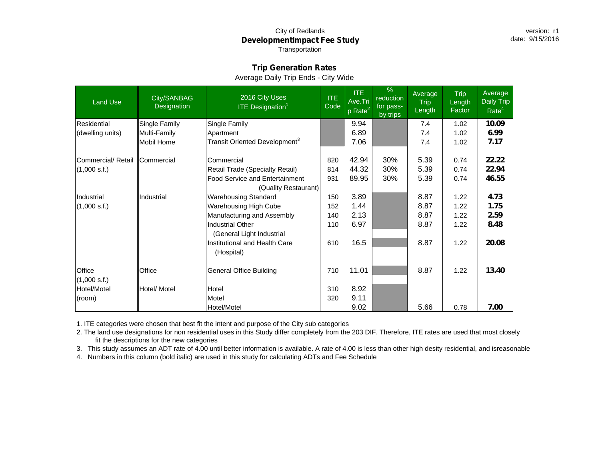## City of Redlands **DevelopmentImpact Fee Study** Transportation

## **Trip Generation Rates**

## Average Daily Trip Ends - City Wide

| <b>Land Use</b>    | City/SANBAG<br>Designation | 2016 City Uses<br><b>ITE Designation</b> <sup>1</sup> | ITE.<br>Code | <b>ITE</b><br>Ave.Tri<br>$\overline{\mathsf{p}}$ Rate <sup>21</sup> | $\%$<br>reduction<br>for pass-<br>by trips | Average<br><b>Trip</b><br>Length | Trip<br>Length<br>Factor | Average<br>Daily Trip<br>Rate <sup>4</sup> |
|--------------------|----------------------------|-------------------------------------------------------|--------------|---------------------------------------------------------------------|--------------------------------------------|----------------------------------|--------------------------|--------------------------------------------|
| Residential        | Single Family              | Single Family                                         |              | 9.94                                                                |                                            | 7.4                              | 1.02                     | 10.09                                      |
| (dwelling units)   | Multi-Family               | Apartment                                             |              | 6.89                                                                |                                            | 7.4                              | 1.02                     | 6.99                                       |
|                    | Mobil Home                 | Transit Oriented Development <sup>3</sup>             |              | 7.06                                                                |                                            | 7.4                              | 1.02                     | 7.17                                       |
| Commercial/ Retail | Commercial                 | Commercial                                            | 820          | 42.94                                                               | 30%                                        | 5.39                             | 0.74                     | 22.22                                      |
| (1,000 s.f.)       |                            | Retail Trade (Specialty Retail)                       | 814          | 44.32                                                               | 30%                                        | 5.39                             | 0.74                     | 22.94                                      |
|                    |                            | <b>Food Service and Entertainment</b>                 | 931          | 89.95                                                               | 30%                                        | 5.39                             | 0.74                     | 46.55                                      |
|                    |                            | (Quality Restaurant)                                  |              |                                                                     |                                            |                                  |                          |                                            |
| Industrial         | Industrial                 | <b>Warehousing Standard</b>                           | 150          | 3.89                                                                |                                            | 8.87                             | 1.22                     | 4.73                                       |
| (1,000 s.f.)       |                            | Warehousing High Cube                                 | 152          | 1.44                                                                |                                            | 8.87                             | 1.22                     | 1.75                                       |
|                    |                            | Manufacturing and Assembly                            | 140          | 2.13                                                                |                                            | 8.87                             | 1.22                     | 2.59                                       |
|                    |                            | <b>Industrial Other</b>                               | 110          | 6.97                                                                |                                            | 8.87                             | 1.22                     | 8.48                                       |
|                    |                            | (General Light Industrial                             |              |                                                                     |                                            |                                  |                          |                                            |
|                    |                            | Institutional and Health Care                         | 610          | 16.5                                                                |                                            | 8.87                             | 1.22                     | 20.08                                      |
|                    |                            | (Hospital)                                            |              |                                                                     |                                            |                                  |                          |                                            |
| Office             | Office                     | <b>General Office Building</b>                        | 710          | 11.01                                                               |                                            | 8.87                             | 1.22                     | 13.40                                      |
| (1,000 s.f.)       |                            |                                                       |              |                                                                     |                                            |                                  |                          |                                            |
| Hotel/Motel        | Hotel/ Motel               | Hotel                                                 | 310          | 8.92                                                                |                                            |                                  |                          |                                            |
| (room)             |                            | Motel                                                 | 320          | 9.11                                                                |                                            |                                  |                          |                                            |
|                    |                            | Hotel/Motel                                           |              | 9.02                                                                |                                            | 5.66                             | 0.78                     | 7.00                                       |

1. ITE categories were chosen that best fit the intent and purpose of the City sub categories

2. The land use designations for non residential uses in this Study differ completely from the 203 DIF. Therefore, ITE rates are used that most closely fit the descriptions for the new categories

3. This study assumes an ADT rate of 4.00 until better information is available. A rate of 4.00 is less than other high desity residential, and isreasonable

4. Numbers in this column (bold italic) are used in this study for calculating ADTs and Fee Schedule